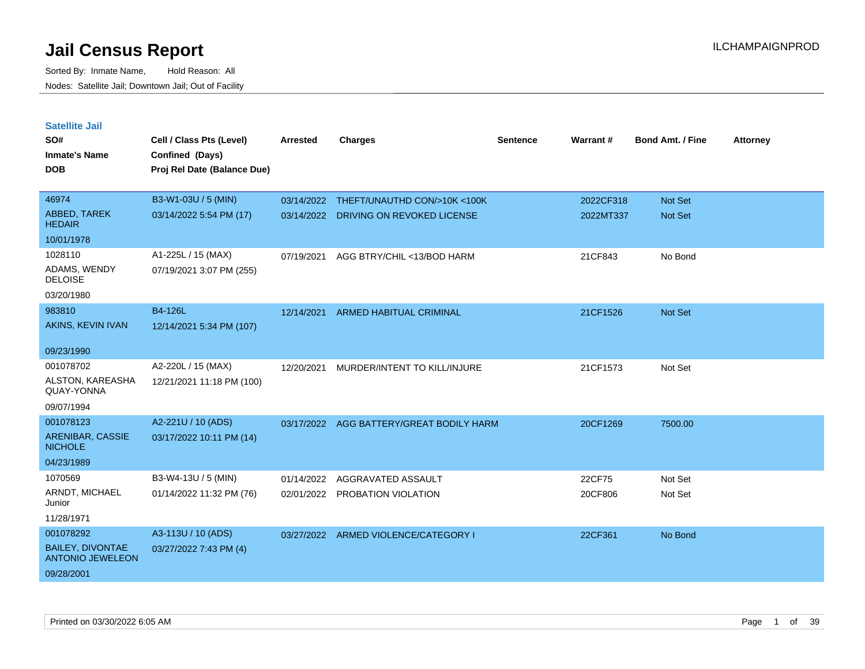| <b>Satellite Jail</b>                              |                             |                 |                                |                 |           |                         |                 |
|----------------------------------------------------|-----------------------------|-----------------|--------------------------------|-----------------|-----------|-------------------------|-----------------|
| SO#                                                | Cell / Class Pts (Level)    | <b>Arrested</b> | <b>Charges</b>                 | <b>Sentence</b> | Warrant#  | <b>Bond Amt. / Fine</b> | <b>Attorney</b> |
| <b>Inmate's Name</b>                               | Confined (Days)             |                 |                                |                 |           |                         |                 |
| <b>DOB</b>                                         | Proj Rel Date (Balance Due) |                 |                                |                 |           |                         |                 |
|                                                    |                             |                 |                                |                 |           |                         |                 |
| 46974                                              | B3-W1-03U / 5 (MIN)         | 03/14/2022      | THEFT/UNAUTHD CON/>10K <100K   |                 | 2022CF318 | <b>Not Set</b>          |                 |
| ABBED, TAREK<br><b>HEDAIR</b>                      | 03/14/2022 5:54 PM (17)     | 03/14/2022      | DRIVING ON REVOKED LICENSE     |                 | 2022MT337 | Not Set                 |                 |
| 10/01/1978                                         |                             |                 |                                |                 |           |                         |                 |
| 1028110                                            | A1-225L / 15 (MAX)          | 07/19/2021      | AGG BTRY/CHIL <13/BOD HARM     |                 | 21CF843   | No Bond                 |                 |
| ADAMS, WENDY<br><b>DELOISE</b>                     | 07/19/2021 3:07 PM (255)    |                 |                                |                 |           |                         |                 |
| 03/20/1980                                         |                             |                 |                                |                 |           |                         |                 |
| 983810                                             | B4-126L                     | 12/14/2021      | <b>ARMED HABITUAL CRIMINAL</b> |                 | 21CF1526  | <b>Not Set</b>          |                 |
| AKINS, KEVIN IVAN                                  | 12/14/2021 5:34 PM (107)    |                 |                                |                 |           |                         |                 |
|                                                    |                             |                 |                                |                 |           |                         |                 |
| 09/23/1990                                         |                             |                 |                                |                 |           |                         |                 |
| 001078702                                          | A2-220L / 15 (MAX)          | 12/20/2021      | MURDER/INTENT TO KILL/INJURE   |                 | 21CF1573  | Not Set                 |                 |
| ALSTON, KAREASHA<br>QUAY-YONNA                     | 12/21/2021 11:18 PM (100)   |                 |                                |                 |           |                         |                 |
| 09/07/1994                                         |                             |                 |                                |                 |           |                         |                 |
| 001078123                                          | A2-221U / 10 (ADS)          | 03/17/2022      | AGG BATTERY/GREAT BODILY HARM  |                 | 20CF1269  | 7500.00                 |                 |
| ARENIBAR, CASSIE<br><b>NICHOLE</b>                 | 03/17/2022 10:11 PM (14)    |                 |                                |                 |           |                         |                 |
| 04/23/1989                                         |                             |                 |                                |                 |           |                         |                 |
| 1070569                                            | B3-W4-13U / 5 (MIN)         | 01/14/2022      | AGGRAVATED ASSAULT             |                 | 22CF75    | Not Set                 |                 |
| ARNDT, MICHAEL<br>Junior                           | 01/14/2022 11:32 PM (76)    | 02/01/2022      | <b>PROBATION VIOLATION</b>     |                 | 20CF806   | Not Set                 |                 |
| 11/28/1971                                         |                             |                 |                                |                 |           |                         |                 |
| 001078292                                          | A3-113U / 10 (ADS)          | 03/27/2022      | ARMED VIOLENCE/CATEGORY I      |                 | 22CF361   | No Bond                 |                 |
| <b>BAILEY, DIVONTAE</b><br><b>ANTONIO JEWELEON</b> | 03/27/2022 7:43 PM (4)      |                 |                                |                 |           |                         |                 |
| 09/28/2001                                         |                             |                 |                                |                 |           |                         |                 |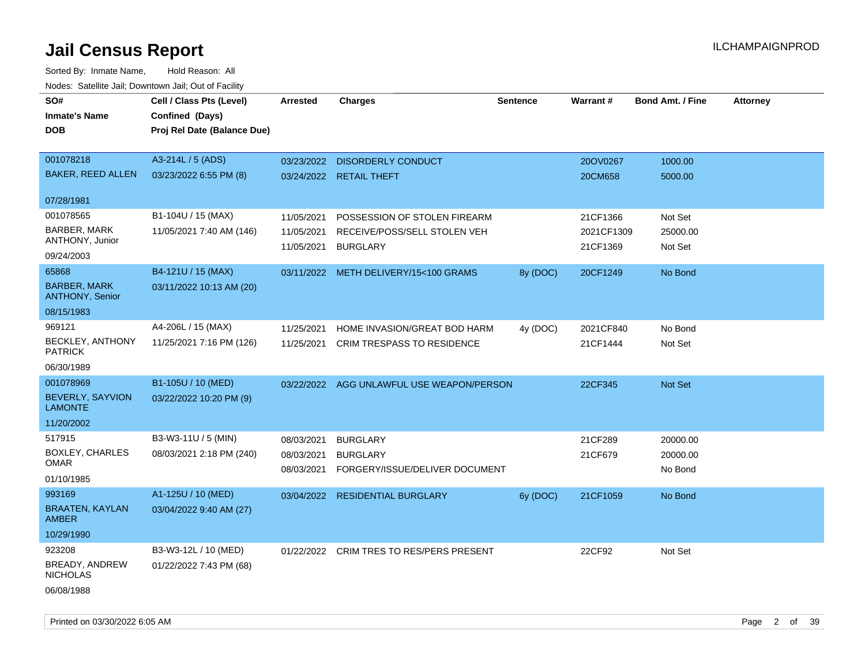| SO#                                           | Cell / Class Pts (Level)    | <b>Arrested</b> | <b>Charges</b>                            | <b>Sentence</b> | Warrant#   | <b>Bond Amt. / Fine</b> | <b>Attorney</b> |
|-----------------------------------------------|-----------------------------|-----------------|-------------------------------------------|-----------------|------------|-------------------------|-----------------|
| <b>Inmate's Name</b>                          | Confined (Days)             |                 |                                           |                 |            |                         |                 |
| <b>DOB</b>                                    | Proj Rel Date (Balance Due) |                 |                                           |                 |            |                         |                 |
|                                               |                             |                 |                                           |                 |            |                         |                 |
| 001078218                                     | A3-214L / 5 (ADS)           | 03/23/2022      | <b>DISORDERLY CONDUCT</b>                 |                 | 20OV0267   | 1000.00                 |                 |
| <b>BAKER, REED ALLEN</b>                      | 03/23/2022 6:55 PM (8)      |                 | 03/24/2022 RETAIL THEFT                   |                 | 20CM658    | 5000.00                 |                 |
| 07/28/1981                                    |                             |                 |                                           |                 |            |                         |                 |
| 001078565                                     | B1-104U / 15 (MAX)          | 11/05/2021      | POSSESSION OF STOLEN FIREARM              |                 | 21CF1366   | Not Set                 |                 |
| <b>BARBER, MARK</b>                           | 11/05/2021 7:40 AM (146)    | 11/05/2021      | RECEIVE/POSS/SELL STOLEN VEH              |                 | 2021CF1309 | 25000.00                |                 |
| ANTHONY, Junior                               |                             | 11/05/2021      | <b>BURGLARY</b>                           |                 | 21CF1369   | Not Set                 |                 |
| 09/24/2003                                    |                             |                 |                                           |                 |            |                         |                 |
| 65868                                         | B4-121U / 15 (MAX)          |                 | 03/11/2022 METH DELIVERY/15<100 GRAMS     | 8y (DOC)        | 20CF1249   | No Bond                 |                 |
| <b>BARBER, MARK</b><br><b>ANTHONY, Senior</b> | 03/11/2022 10:13 AM (20)    |                 |                                           |                 |            |                         |                 |
| 08/15/1983                                    |                             |                 |                                           |                 |            |                         |                 |
| 969121                                        | A4-206L / 15 (MAX)          | 11/25/2021      | HOME INVASION/GREAT BOD HARM              | 4y (DOC)        | 2021CF840  | No Bond                 |                 |
| <b>BECKLEY, ANTHONY</b><br><b>PATRICK</b>     | 11/25/2021 7:16 PM (126)    | 11/25/2021      | CRIM TRESPASS TO RESIDENCE                |                 | 21CF1444   | Not Set                 |                 |
| 06/30/1989                                    |                             |                 |                                           |                 |            |                         |                 |
| 001078969                                     | B1-105U / 10 (MED)          |                 | 03/22/2022 AGG UNLAWFUL USE WEAPON/PERSON |                 | 22CF345    | Not Set                 |                 |
| BEVERLY, SAYVION<br><b>LAMONTE</b>            | 03/22/2022 10:20 PM (9)     |                 |                                           |                 |            |                         |                 |
| 11/20/2002                                    |                             |                 |                                           |                 |            |                         |                 |
| 517915                                        | B3-W3-11U / 5 (MIN)         | 08/03/2021      | <b>BURGLARY</b>                           |                 | 21CF289    | 20000.00                |                 |
| <b>BOXLEY, CHARLES</b>                        | 08/03/2021 2:18 PM (240)    | 08/03/2021      | <b>BURGLARY</b>                           |                 | 21CF679    | 20000.00                |                 |
| <b>OMAR</b>                                   |                             | 08/03/2021      | FORGERY/ISSUE/DELIVER DOCUMENT            |                 |            | No Bond                 |                 |
| 01/10/1985                                    |                             |                 |                                           |                 |            |                         |                 |
| 993169                                        | A1-125U / 10 (MED)          |                 | 03/04/2022 RESIDENTIAL BURGLARY           | 6y (DOC)        | 21CF1059   | No Bond                 |                 |
| <b>BRAATEN, KAYLAN</b><br><b>AMBER</b>        | 03/04/2022 9:40 AM (27)     |                 |                                           |                 |            |                         |                 |
| 10/29/1990                                    |                             |                 |                                           |                 |            |                         |                 |
| 923208                                        | B3-W3-12L / 10 (MED)        |                 | 01/22/2022 CRIM TRES TO RES/PERS PRESENT  |                 | 22CF92     | Not Set                 |                 |
| BREADY, ANDREW<br><b>NICHOLAS</b>             | 01/22/2022 7:43 PM (68)     |                 |                                           |                 |            |                         |                 |
| 06/08/1988                                    |                             |                 |                                           |                 |            |                         |                 |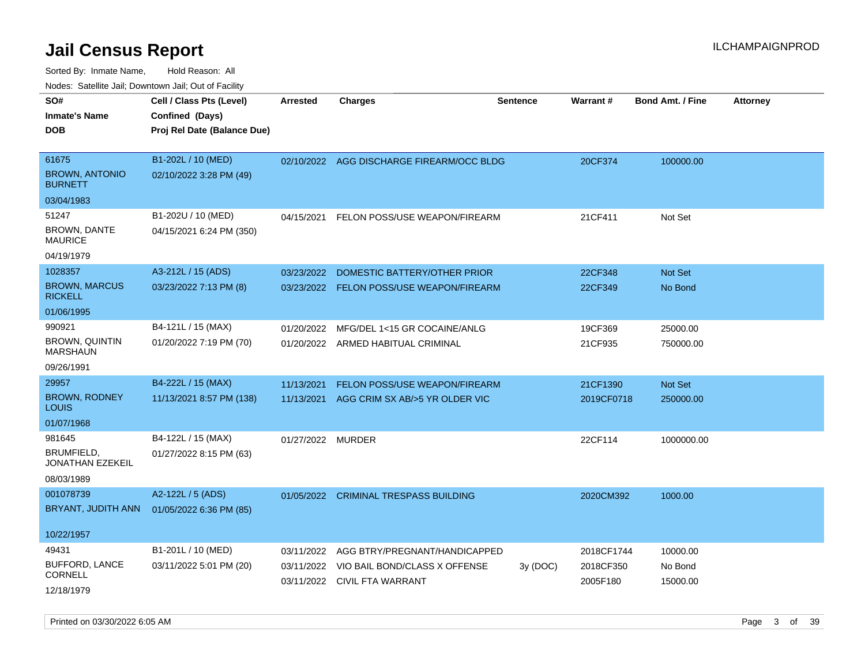| SO#                                               | Cell / Class Pts (Level)                       | <b>Arrested</b>          | <b>Charges</b>                                                           | <b>Sentence</b> | Warrant#              | <b>Bond Amt. / Fine</b>   | <b>Attorney</b> |
|---------------------------------------------------|------------------------------------------------|--------------------------|--------------------------------------------------------------------------|-----------------|-----------------------|---------------------------|-----------------|
| Inmate's Name<br>DOB                              | Confined (Days)<br>Proj Rel Date (Balance Due) |                          |                                                                          |                 |                       |                           |                 |
| 61675<br><b>BROWN, ANTONIO</b><br>BURNETT         | B1-202L / 10 (MED)<br>02/10/2022 3:28 PM (49)  |                          | 02/10/2022 AGG DISCHARGE FIREARM/OCC BLDG                                |                 | 20CF374               | 100000.00                 |                 |
| 03/04/1983                                        |                                                |                          |                                                                          |                 |                       |                           |                 |
| 51247<br><b>BROWN, DANTE</b><br>MAURICE           | B1-202U / 10 (MED)<br>04/15/2021 6:24 PM (350) | 04/15/2021               | FELON POSS/USE WEAPON/FIREARM                                            |                 | 21CF411               | Not Set                   |                 |
| 04/19/1979                                        |                                                |                          |                                                                          |                 |                       |                           |                 |
| 1028357<br><b>BROWN, MARCUS</b><br><b>RICKELL</b> | A3-212L / 15 (ADS)<br>03/23/2022 7:13 PM (8)   | 03/23/2022               | DOMESTIC BATTERY/OTHER PRIOR<br>03/23/2022 FELON POSS/USE WEAPON/FIREARM |                 | 22CF348<br>22CF349    | <b>Not Set</b><br>No Bond |                 |
| 01/06/1995                                        |                                                |                          |                                                                          |                 |                       |                           |                 |
| 990921<br>BROWN, QUINTIN<br>MARSHAUN              | B4-121L / 15 (MAX)<br>01/20/2022 7:19 PM (70)  | 01/20/2022<br>01/20/2022 | MFG/DEL 1<15 GR COCAINE/ANLG<br>ARMED HABITUAL CRIMINAL                  |                 | 19CF369<br>21CF935    | 25000.00<br>750000.00     |                 |
| 09/26/1991                                        |                                                |                          |                                                                          |                 |                       |                           |                 |
| 29957                                             | B4-222L / 15 (MAX)                             | 11/13/2021               | <b>FELON POSS/USE WEAPON/FIREARM</b>                                     |                 | 21CF1390              | Not Set                   |                 |
| <b>BROWN, RODNEY</b><br>LOUIS                     | 11/13/2021 8:57 PM (138)                       | 11/13/2021               | AGG CRIM SX AB/>5 YR OLDER VIC                                           |                 | 2019CF0718            | 250000.00                 |                 |
| 01/07/1968                                        |                                                |                          |                                                                          |                 |                       |                           |                 |
| 981645                                            | B4-122L / 15 (MAX)                             | 01/27/2022 MURDER        |                                                                          |                 | 22CF114               | 1000000.00                |                 |
| BRUMFIELD,<br>JONATHAN EZEKEIL                    | 01/27/2022 8:15 PM (63)                        |                          |                                                                          |                 |                       |                           |                 |
| 08/03/1989                                        |                                                |                          |                                                                          |                 |                       |                           |                 |
| 001078739                                         | A2-122L / 5 (ADS)                              |                          | 01/05/2022 CRIMINAL TRESPASS BUILDING                                    |                 | 2020CM392             | 1000.00                   |                 |
|                                                   | BRYANT, JUDITH ANN  01/05/2022 6:36 PM (85)    |                          |                                                                          |                 |                       |                           |                 |
| 10/22/1957                                        |                                                |                          |                                                                          |                 |                       |                           |                 |
| 49431                                             | B1-201L / 10 (MED)                             | 03/11/2022               | AGG BTRY/PREGNANT/HANDICAPPED                                            |                 | 2018CF1744            | 10000.00                  |                 |
| <b>BUFFORD, LANCE</b><br>CORNELL                  | 03/11/2022 5:01 PM (20)                        | 03/11/2022               | VIO BAIL BOND/CLASS X OFFENSE<br>03/11/2022 CIVIL FTA WARRANT            | 3y (DOC)        | 2018CF350<br>2005F180 | No Bond<br>15000.00       |                 |
| 12/18/1979                                        |                                                |                          |                                                                          |                 |                       |                           |                 |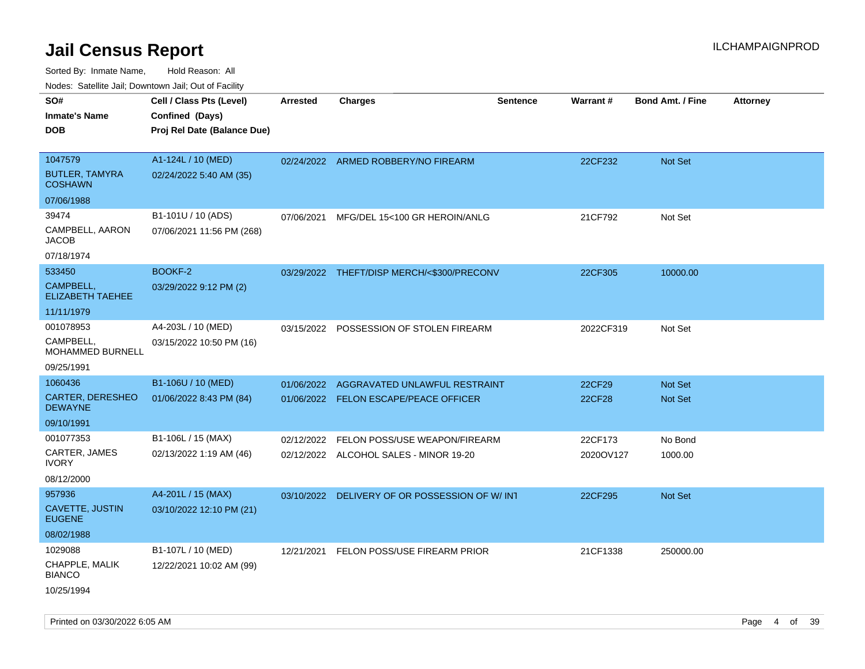Sorted By: Inmate Name, Hold Reason: All

Nodes: Satellite Jail; Downtown Jail; Out of Facility

| SO#                                       | Cell / Class Pts (Level)    | <b>Arrested</b> | <b>Charges</b>                                | <b>Sentence</b> | <b>Warrant#</b> | <b>Bond Amt. / Fine</b> | <b>Attorney</b> |
|-------------------------------------------|-----------------------------|-----------------|-----------------------------------------------|-----------------|-----------------|-------------------------|-----------------|
| <b>Inmate's Name</b>                      | Confined (Days)             |                 |                                               |                 |                 |                         |                 |
| <b>DOB</b>                                | Proj Rel Date (Balance Due) |                 |                                               |                 |                 |                         |                 |
|                                           |                             |                 |                                               |                 |                 |                         |                 |
| 1047579                                   | A1-124L / 10 (MED)          |                 | 02/24/2022 ARMED ROBBERY/NO FIREARM           |                 | 22CF232         | Not Set                 |                 |
| <b>BUTLER, TAMYRA</b><br><b>COSHAWN</b>   | 02/24/2022 5:40 AM (35)     |                 |                                               |                 |                 |                         |                 |
| 07/06/1988                                |                             |                 |                                               |                 |                 |                         |                 |
| 39474                                     | B1-101U / 10 (ADS)          | 07/06/2021      | MFG/DEL 15<100 GR HEROIN/ANLG                 |                 | 21CF792         | Not Set                 |                 |
| CAMPBELL, AARON<br><b>JACOB</b>           | 07/06/2021 11:56 PM (268)   |                 |                                               |                 |                 |                         |                 |
| 07/18/1974                                |                             |                 |                                               |                 |                 |                         |                 |
| 533450                                    | BOOKF-2                     |                 | 03/29/2022 THEFT/DISP MERCH/<\$300/PRECONV    |                 | 22CF305         | 10000.00                |                 |
| CAMPBELL,<br><b>ELIZABETH TAEHEE</b>      | 03/29/2022 9:12 PM (2)      |                 |                                               |                 |                 |                         |                 |
| 11/11/1979                                |                             |                 |                                               |                 |                 |                         |                 |
| 001078953                                 | A4-203L / 10 (MED)          | 03/15/2022      | POSSESSION OF STOLEN FIREARM                  |                 | 2022CF319       | Not Set                 |                 |
| CAMPBELL,<br><b>MOHAMMED BURNELL</b>      | 03/15/2022 10:50 PM (16)    |                 |                                               |                 |                 |                         |                 |
| 09/25/1991                                |                             |                 |                                               |                 |                 |                         |                 |
| 1060436                                   | B1-106U / 10 (MED)          | 01/06/2022      | AGGRAVATED UNLAWFUL RESTRAINT                 |                 | 22CF29          | Not Set                 |                 |
| <b>CARTER, DERESHEO</b><br><b>DEWAYNE</b> | 01/06/2022 8:43 PM (84)     |                 | 01/06/2022 FELON ESCAPE/PEACE OFFICER         |                 | 22CF28          | Not Set                 |                 |
| 09/10/1991                                |                             |                 |                                               |                 |                 |                         |                 |
| 001077353                                 | B1-106L / 15 (MAX)          | 02/12/2022      | FELON POSS/USE WEAPON/FIREARM                 |                 | 22CF173         | No Bond                 |                 |
| CARTER, JAMES<br><b>IVORY</b>             | 02/13/2022 1:19 AM (46)     |                 | 02/12/2022 ALCOHOL SALES - MINOR 19-20        |                 | 2020OV127       | 1000.00                 |                 |
| 08/12/2000                                |                             |                 |                                               |                 |                 |                         |                 |
| 957936                                    | A4-201L / 15 (MAX)          |                 | 03/10/2022 DELIVERY OF OR POSSESSION OF W/INT |                 | 22CF295         | Not Set                 |                 |
| CAVETTE, JUSTIN<br><b>EUGENE</b>          | 03/10/2022 12:10 PM (21)    |                 |                                               |                 |                 |                         |                 |
| 08/02/1988                                |                             |                 |                                               |                 |                 |                         |                 |
| 1029088                                   | B1-107L / 10 (MED)          |                 | 12/21/2021 FELON POSS/USE FIREARM PRIOR       |                 | 21CF1338        | 250000.00               |                 |
| CHAPPLE, MALIK<br><b>BIANCO</b>           | 12/22/2021 10:02 AM (99)    |                 |                                               |                 |                 |                         |                 |
| 10/25/1994                                |                             |                 |                                               |                 |                 |                         |                 |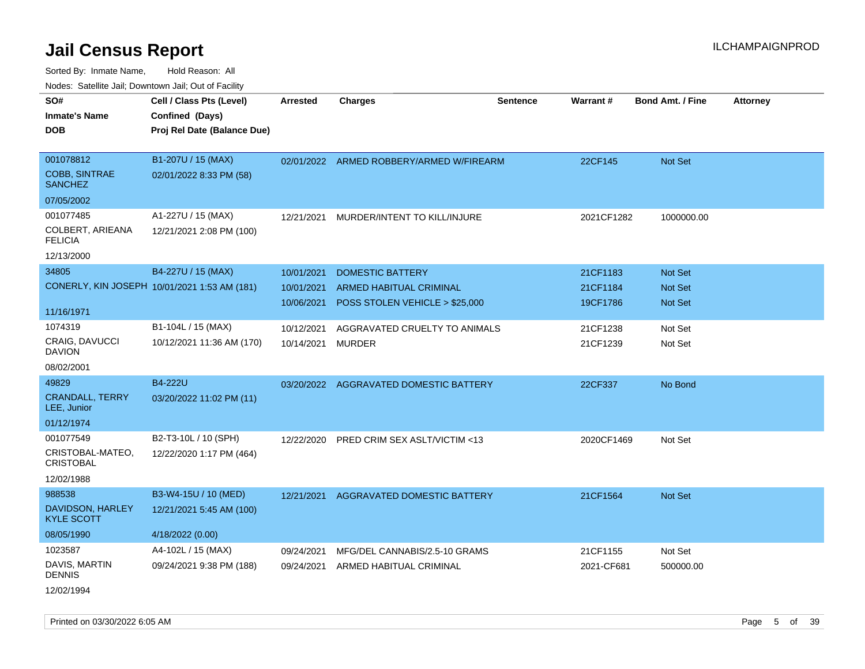Sorted By: Inmate Name, Hold Reason: All Nodes: Satellite Jail; Downtown Jail; Out of Facility

| 10000. Catolino can, Domntonn can, Cat or I doint |                                              |                 |                                          |                 |            |                         |                 |
|---------------------------------------------------|----------------------------------------------|-----------------|------------------------------------------|-----------------|------------|-------------------------|-----------------|
| SO#<br>Inmate's Name                              | Cell / Class Pts (Level)<br>Confined (Days)  | <b>Arrested</b> | <b>Charges</b>                           | <b>Sentence</b> | Warrant#   | <b>Bond Amt. / Fine</b> | <b>Attorney</b> |
| <b>DOB</b>                                        | Proj Rel Date (Balance Due)                  |                 |                                          |                 |            |                         |                 |
| 001078812                                         | B1-207U / 15 (MAX)                           |                 | 02/01/2022 ARMED ROBBERY/ARMED W/FIREARM |                 | 22CF145    | Not Set                 |                 |
| <b>COBB, SINTRAE</b><br><b>SANCHEZ</b>            | 02/01/2022 8:33 PM (58)                      |                 |                                          |                 |            |                         |                 |
| 07/05/2002                                        |                                              |                 |                                          |                 |            |                         |                 |
| 001077485                                         | A1-227U / 15 (MAX)                           | 12/21/2021      | MURDER/INTENT TO KILL/INJURE             |                 | 2021CF1282 | 1000000.00              |                 |
| COLBERT, ARIEANA<br>FELICIA                       | 12/21/2021 2:08 PM (100)                     |                 |                                          |                 |            |                         |                 |
| 12/13/2000                                        |                                              |                 |                                          |                 |            |                         |                 |
| 34805                                             | B4-227U / 15 (MAX)                           | 10/01/2021      | <b>DOMESTIC BATTERY</b>                  |                 | 21CF1183   | <b>Not Set</b>          |                 |
|                                                   | CONERLY, KIN JOSEPH 10/01/2021 1:53 AM (181) | 10/01/2021      | ARMED HABITUAL CRIMINAL                  |                 | 21CF1184   | <b>Not Set</b>          |                 |
|                                                   |                                              | 10/06/2021      | POSS STOLEN VEHICLE > \$25,000           |                 | 19CF1786   | <b>Not Set</b>          |                 |
| 11/16/1971                                        |                                              |                 |                                          |                 |            |                         |                 |
| 1074319                                           | B1-104L / 15 (MAX)                           | 10/12/2021      | AGGRAVATED CRUELTY TO ANIMALS            |                 | 21CF1238   | Not Set                 |                 |
| CRAIG, DAVUCCI<br>DAVION                          | 10/12/2021 11:36 AM (170)                    | 10/14/2021      | MURDER                                   |                 | 21CF1239   | Not Set                 |                 |
| 08/02/2001                                        |                                              |                 |                                          |                 |            |                         |                 |
| 49829                                             | B4-222U                                      |                 | 03/20/2022 AGGRAVATED DOMESTIC BATTERY   |                 | 22CF337    | No Bond                 |                 |
| <b>CRANDALL, TERRY</b><br>LEE, Junior             | 03/20/2022 11:02 PM (11)                     |                 |                                          |                 |            |                         |                 |
| 01/12/1974                                        |                                              |                 |                                          |                 |            |                         |                 |
| 001077549                                         | B2-T3-10L / 10 (SPH)                         | 12/22/2020      | PRED CRIM SEX ASLT/VICTIM <13            |                 | 2020CF1469 | Not Set                 |                 |
| CRISTOBAL-MATEO,<br><b>CRISTOBAL</b>              | 12/22/2020 1:17 PM (464)                     |                 |                                          |                 |            |                         |                 |
| 12/02/1988                                        |                                              |                 |                                          |                 |            |                         |                 |
| 988538                                            | B3-W4-15U / 10 (MED)                         | 12/21/2021      | AGGRAVATED DOMESTIC BATTERY              |                 | 21CF1564   | <b>Not Set</b>          |                 |
| DAVIDSON, HARLEY<br><b>KYLE SCOTT</b>             | 12/21/2021 5:45 AM (100)                     |                 |                                          |                 |            |                         |                 |
| 08/05/1990                                        | 4/18/2022 (0.00)                             |                 |                                          |                 |            |                         |                 |
| 1023587                                           | A4-102L / 15 (MAX)                           | 09/24/2021      | MFG/DEL CANNABIS/2.5-10 GRAMS            |                 | 21CF1155   | Not Set                 |                 |
| DAVIS, MARTIN<br><b>DENNIS</b>                    | 09/24/2021 9:38 PM (188)                     | 09/24/2021      | ARMED HABITUAL CRIMINAL                  |                 | 2021-CF681 | 500000.00               |                 |
| 1010011001                                        |                                              |                 |                                          |                 |            |                         |                 |

12/02/1994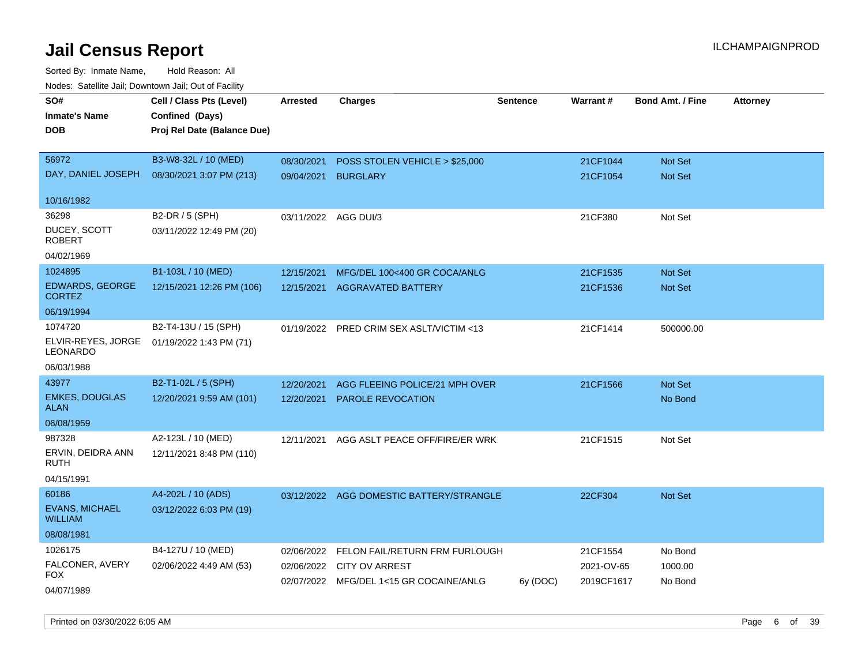Sorted By: Inmate Name, Hold Reason: All Nodes: Satellite Jail; Downtown Jail; Out of Facility

| SO#<br><b>Inmate's Name</b>             | Cell / Class Pts (Level)<br>Confined (Days) | <b>Arrested</b> | <b>Charges</b>                           | <b>Sentence</b> | <b>Warrant#</b> | <b>Bond Amt. / Fine</b> | <b>Attorney</b> |
|-----------------------------------------|---------------------------------------------|-----------------|------------------------------------------|-----------------|-----------------|-------------------------|-----------------|
| <b>DOB</b>                              | Proj Rel Date (Balance Due)                 |                 |                                          |                 |                 |                         |                 |
| 56972                                   | B3-W8-32L / 10 (MED)                        | 08/30/2021      | POSS STOLEN VEHICLE > \$25,000           |                 | 21CF1044        | Not Set                 |                 |
| DAY, DANIEL JOSEPH                      | 08/30/2021 3:07 PM (213)                    | 09/04/2021      | <b>BURGLARY</b>                          |                 | 21CF1054        | Not Set                 |                 |
| 10/16/1982                              |                                             |                 |                                          |                 |                 |                         |                 |
| 36298                                   | B2-DR / 5 (SPH)                             | 03/11/2022      | AGG DUI/3                                |                 | 21CF380         | Not Set                 |                 |
| DUCEY, SCOTT<br><b>ROBERT</b>           | 03/11/2022 12:49 PM (20)                    |                 |                                          |                 |                 |                         |                 |
| 04/02/1969                              |                                             |                 |                                          |                 |                 |                         |                 |
| 1024895                                 | B1-103L / 10 (MED)                          | 12/15/2021      | MFG/DEL 100<400 GR COCA/ANLG             |                 | 21CF1535        | Not Set                 |                 |
| EDWARDS, GEORGE<br><b>CORTEZ</b>        | 12/15/2021 12:26 PM (106)                   |                 | 12/15/2021 AGGRAVATED BATTERY            |                 | 21CF1536        | Not Set                 |                 |
| 06/19/1994                              |                                             |                 |                                          |                 |                 |                         |                 |
| 1074720                                 | B2-T4-13U / 15 (SPH)                        |                 | 01/19/2022 PRED CRIM SEX ASLT/VICTIM <13 |                 | 21CF1414        | 500000.00               |                 |
| ELVIR-REYES, JORGE<br><b>LEONARDO</b>   | 01/19/2022 1:43 PM (71)                     |                 |                                          |                 |                 |                         |                 |
| 06/03/1988                              |                                             |                 |                                          |                 |                 |                         |                 |
| 43977                                   | B2-T1-02L / 5 (SPH)                         | 12/20/2021      | AGG FLEEING POLICE/21 MPH OVER           |                 | 21CF1566        | Not Set                 |                 |
| <b>EMKES, DOUGLAS</b><br><b>ALAN</b>    | 12/20/2021 9:59 AM (101)                    | 12/20/2021      | <b>PAROLE REVOCATION</b>                 |                 |                 | No Bond                 |                 |
| 06/08/1959                              |                                             |                 |                                          |                 |                 |                         |                 |
| 987328                                  | A2-123L / 10 (MED)                          | 12/11/2021      | AGG ASLT PEACE OFF/FIRE/ER WRK           |                 | 21CF1515        | Not Set                 |                 |
| ERVIN, DEIDRA ANN<br><b>RUTH</b>        | 12/11/2021 8:48 PM (110)                    |                 |                                          |                 |                 |                         |                 |
| 04/15/1991                              |                                             |                 |                                          |                 |                 |                         |                 |
| 60186                                   | A4-202L / 10 (ADS)                          |                 | 03/12/2022 AGG DOMESTIC BATTERY/STRANGLE |                 | 22CF304         | Not Set                 |                 |
| <b>EVANS, MICHAEL</b><br><b>WILLIAM</b> | 03/12/2022 6:03 PM (19)                     |                 |                                          |                 |                 |                         |                 |
| 08/08/1981                              |                                             |                 |                                          |                 |                 |                         |                 |
| 1026175                                 | B4-127U / 10 (MED)                          | 02/06/2022      | FELON FAIL/RETURN FRM FURLOUGH           |                 | 21CF1554        | No Bond                 |                 |
| FALCONER, AVERY<br><b>FOX</b>           | 02/06/2022 4:49 AM (53)                     |                 | 02/06/2022 CITY OV ARREST                |                 | 2021-OV-65      | 1000.00                 |                 |
| 04/07/1989                              |                                             |                 | 02/07/2022 MFG/DEL 1<15 GR COCAINE/ANLG  | 6y (DOC)        | 2019CF1617      | No Bond                 |                 |

Printed on 03/30/2022 6:05 AM Page 6 of 39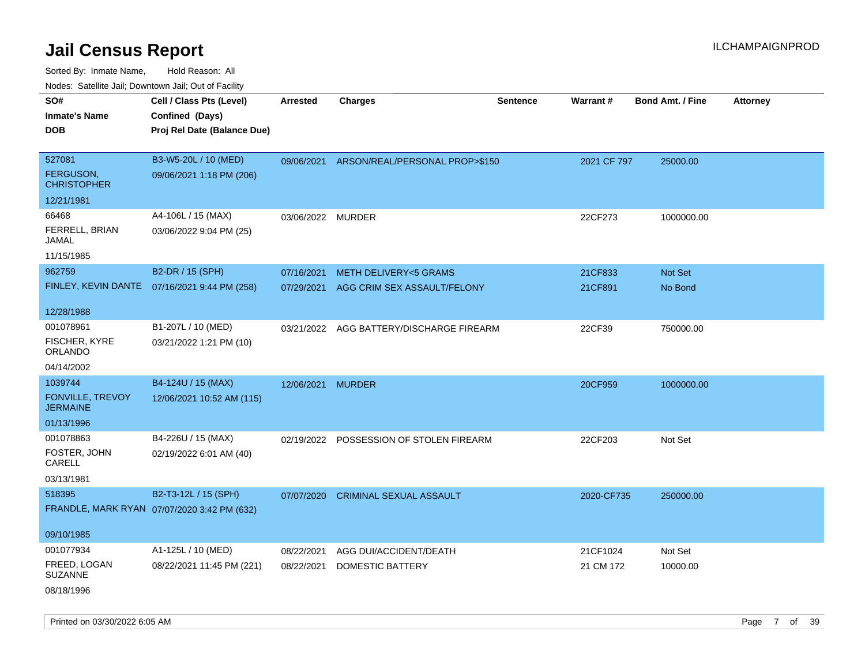Sorted By: Inmate Name, Hold Reason: All Nodes: Satellite Jail; Downtown Jail; Out of Facility

| rougs. Calcing Jan, Downtown Jan, Out of Facility            |                                                                            |                          |                                                                |                 |                       |                         |                 |
|--------------------------------------------------------------|----------------------------------------------------------------------------|--------------------------|----------------------------------------------------------------|-----------------|-----------------------|-------------------------|-----------------|
| SO#<br><b>Inmate's Name</b><br><b>DOB</b>                    | Cell / Class Pts (Level)<br>Confined (Days)<br>Proj Rel Date (Balance Due) | <b>Arrested</b>          | <b>Charges</b>                                                 | <b>Sentence</b> | Warrant#              | <b>Bond Amt. / Fine</b> | <b>Attorney</b> |
| 527081<br><b>FERGUSON,</b><br><b>CHRISTOPHER</b>             | B3-W5-20L / 10 (MED)<br>09/06/2021 1:18 PM (206)                           |                          | 09/06/2021 ARSON/REAL/PERSONAL PROP>\$150                      |                 | 2021 CF 797           | 25000.00                |                 |
| 12/21/1981<br>66468<br>FERRELL, BRIAN<br>JAMAL<br>11/15/1985 | A4-106L / 15 (MAX)<br>03/06/2022 9:04 PM (25)                              | 03/06/2022 MURDER        |                                                                |                 | 22CF273               | 1000000.00              |                 |
| 962759<br>12/28/1988                                         | B2-DR / 15 (SPH)<br>FINLEY, KEVIN DANTE 07/16/2021 9:44 PM (258)           | 07/16/2021<br>07/29/2021 | <b>METH DELIVERY&lt;5 GRAMS</b><br>AGG CRIM SEX ASSAULT/FELONY |                 | 21CF833<br>21CF891    | Not Set<br>No Bond      |                 |
| 001078961<br>FISCHER, KYRE<br>ORLANDO<br>04/14/2002          | B1-207L / 10 (MED)<br>03/21/2022 1:21 PM (10)                              |                          | 03/21/2022 AGG BATTERY/DISCHARGE FIREARM                       |                 | 22CF39                | 750000.00               |                 |
| 1039744<br>FONVILLE, TREVOY<br><b>JERMAINE</b><br>01/13/1996 | B4-124U / 15 (MAX)<br>12/06/2021 10:52 AM (115)                            | 12/06/2021 MURDER        |                                                                |                 | 20CF959               | 1000000.00              |                 |
| 001078863<br>FOSTER, JOHN<br>CARELL<br>03/13/1981            | B4-226U / 15 (MAX)<br>02/19/2022 6:01 AM (40)                              |                          | 02/19/2022 POSSESSION OF STOLEN FIREARM                        |                 | 22CF203               | Not Set                 |                 |
| 518395<br>09/10/1985                                         | B2-T3-12L / 15 (SPH)<br>FRANDLE, MARK RYAN 07/07/2020 3:42 PM (632)        | 07/07/2020               | <b>CRIMINAL SEXUAL ASSAULT</b>                                 |                 | 2020-CF735            | 250000.00               |                 |
| 001077934<br>FREED, LOGAN<br><b>SUZANNE</b><br>08/18/1996    | A1-125L / 10 (MED)<br>08/22/2021 11:45 PM (221)                            | 08/22/2021<br>08/22/2021 | AGG DUI/ACCIDENT/DEATH<br>DOMESTIC BATTERY                     |                 | 21CF1024<br>21 CM 172 | Not Set<br>10000.00     |                 |

Printed on 03/30/2022 6:05 AM **Page 7** of 39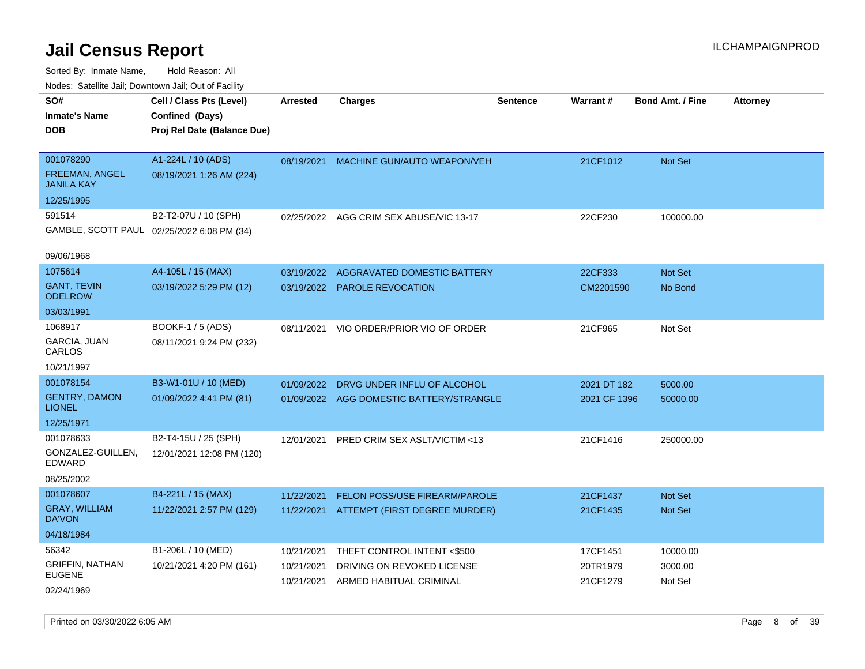Sorted By: Inmate Name, Hold Reason: All Nodes: Satellite Jail; Downtown Jail; Out of Facility

| ivoues. Salellite Jali, Downtown Jali, Out of Facility |                                            |            |                                          |                 |              |                         |                 |
|--------------------------------------------------------|--------------------------------------------|------------|------------------------------------------|-----------------|--------------|-------------------------|-----------------|
| SO#                                                    | Cell / Class Pts (Level)                   | Arrested   | <b>Charges</b>                           | <b>Sentence</b> | Warrant#     | <b>Bond Amt. / Fine</b> | <b>Attorney</b> |
| Inmate's Name                                          | Confined (Days)                            |            |                                          |                 |              |                         |                 |
| <b>DOB</b>                                             | Proj Rel Date (Balance Due)                |            |                                          |                 |              |                         |                 |
|                                                        |                                            |            |                                          |                 |              |                         |                 |
| 001078290                                              | A1-224L / 10 (ADS)                         | 08/19/2021 | MACHINE GUN/AUTO WEAPON/VEH              |                 | 21CF1012     | Not Set                 |                 |
| <b>FREEMAN, ANGEL</b><br>JANILA KAY                    | 08/19/2021 1:26 AM (224)                   |            |                                          |                 |              |                         |                 |
| 12/25/1995                                             |                                            |            |                                          |                 |              |                         |                 |
| 591514                                                 | B2-T2-07U / 10 (SPH)                       | 02/25/2022 | AGG CRIM SEX ABUSE/VIC 13-17             |                 | 22CF230      | 100000.00               |                 |
|                                                        | GAMBLE, SCOTT PAUL 02/25/2022 6:08 PM (34) |            |                                          |                 |              |                         |                 |
| 09/06/1968                                             |                                            |            |                                          |                 |              |                         |                 |
| 1075614                                                | A4-105L / 15 (MAX)                         | 03/19/2022 | AGGRAVATED DOMESTIC BATTERY              |                 | 22CF333      | Not Set                 |                 |
| <b>GANT, TEVIN</b><br>ODELROW                          | 03/19/2022 5:29 PM (12)                    | 03/19/2022 | <b>PAROLE REVOCATION</b>                 |                 | CM2201590    | No Bond                 |                 |
| 03/03/1991                                             |                                            |            |                                          |                 |              |                         |                 |
| 1068917                                                | BOOKF-1 / 5 (ADS)                          | 08/11/2021 | VIO ORDER/PRIOR VIO OF ORDER             |                 | 21CF965      | Not Set                 |                 |
| <b>GARCIA, JUAN</b><br>CARLOS                          | 08/11/2021 9:24 PM (232)                   |            |                                          |                 |              |                         |                 |
| 10/21/1997                                             |                                            |            |                                          |                 |              |                         |                 |
| 001078154                                              | B3-W1-01U / 10 (MED)                       | 01/09/2022 | DRVG UNDER INFLU OF ALCOHOL              |                 | 2021 DT 182  | 5000.00                 |                 |
| <b>GENTRY, DAMON</b><br><b>LIONEL</b>                  | 01/09/2022 4:41 PM (81)                    |            | 01/09/2022 AGG DOMESTIC BATTERY/STRANGLE |                 | 2021 CF 1396 | 50000.00                |                 |
| 12/25/1971                                             |                                            |            |                                          |                 |              |                         |                 |
| 001078633                                              | B2-T4-15U / 25 (SPH)                       | 12/01/2021 | <b>PRED CRIM SEX ASLT/VICTIM &lt;13</b>  |                 | 21CF1416     | 250000.00               |                 |
| GONZALEZ-GUILLEN,<br>EDWARD                            | 12/01/2021 12:08 PM (120)                  |            |                                          |                 |              |                         |                 |
| 08/25/2002                                             |                                            |            |                                          |                 |              |                         |                 |
| 001078607                                              | B4-221L / 15 (MAX)                         | 11/22/2021 | <b>FELON POSS/USE FIREARM/PAROLE</b>     |                 | 21CF1437     | <b>Not Set</b>          |                 |
| <b>GRAY, WILLIAM</b><br>DA'VON                         | 11/22/2021 2:57 PM (129)                   | 11/22/2021 | ATTEMPT (FIRST DEGREE MURDER)            |                 | 21CF1435     | <b>Not Set</b>          |                 |
| 04/18/1984                                             |                                            |            |                                          |                 |              |                         |                 |
| 56342                                                  | B1-206L / 10 (MED)                         | 10/21/2021 | THEFT CONTROL INTENT <\$500              |                 | 17CF1451     | 10000.00                |                 |
| <b>GRIFFIN, NATHAN</b>                                 | 10/21/2021 4:20 PM (161)                   | 10/21/2021 | DRIVING ON REVOKED LICENSE               |                 | 20TR1979     | 3000.00                 |                 |
| EUGENE                                                 |                                            | 10/21/2021 | ARMED HABITUAL CRIMINAL                  |                 | 21CF1279     | Not Set                 |                 |
| 02/24/1969                                             |                                            |            |                                          |                 |              |                         |                 |

Printed on 03/30/2022 6:05 AM **Page 8** of 39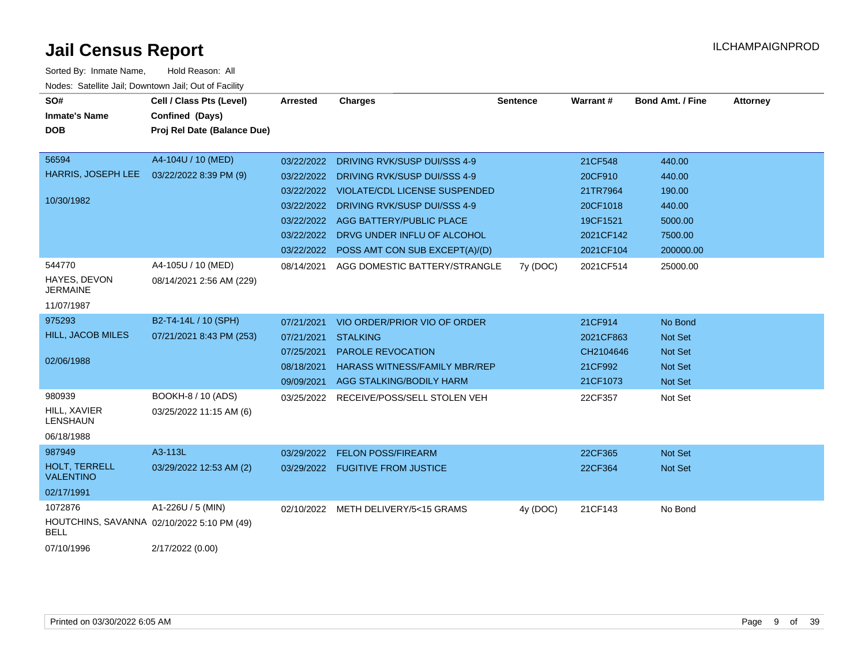| SO#<br><b>Inmate's Name</b>       | Cell / Class Pts (Level)<br>Confined (Days) | Arrested   | <b>Charges</b>                            | <b>Sentence</b> | <b>Warrant#</b> | <b>Bond Amt. / Fine</b> | <b>Attorney</b> |
|-----------------------------------|---------------------------------------------|------------|-------------------------------------------|-----------------|-----------------|-------------------------|-----------------|
| <b>DOB</b>                        | Proj Rel Date (Balance Due)                 |            |                                           |                 |                 |                         |                 |
|                                   |                                             |            |                                           |                 |                 |                         |                 |
| 56594                             | A4-104U / 10 (MED)                          | 03/22/2022 | DRIVING RVK/SUSP DUI/SSS 4-9              |                 | 21CF548         | 440.00                  |                 |
| HARRIS, JOSEPH LEE                | 03/22/2022 8:39 PM (9)                      | 03/22/2022 | DRIVING RVK/SUSP DUI/SSS 4-9              |                 | 20CF910         | 440.00                  |                 |
|                                   |                                             | 03/22/2022 | <b>VIOLATE/CDL LICENSE SUSPENDED</b>      |                 | 21TR7964        | 190.00                  |                 |
| 10/30/1982                        |                                             |            | 03/22/2022 DRIVING RVK/SUSP DUI/SSS 4-9   |                 | 20CF1018        | 440.00                  |                 |
|                                   |                                             | 03/22/2022 | AGG BATTERY/PUBLIC PLACE                  |                 | 19CF1521        | 5000.00                 |                 |
|                                   |                                             | 03/22/2022 | DRVG UNDER INFLU OF ALCOHOL               |                 | 2021CF142       | 7500.00                 |                 |
|                                   |                                             |            | 03/22/2022 POSS AMT CON SUB EXCEPT(A)/(D) |                 | 2021CF104       | 200000.00               |                 |
| 544770                            | A4-105U / 10 (MED)                          | 08/14/2021 | AGG DOMESTIC BATTERY/STRANGLE             | 7y (DOC)        | 2021CF514       | 25000.00                |                 |
| HAYES, DEVON<br><b>JERMAINE</b>   | 08/14/2021 2:56 AM (229)                    |            |                                           |                 |                 |                         |                 |
| 11/07/1987                        |                                             |            |                                           |                 |                 |                         |                 |
| 975293                            | B2-T4-14L / 10 (SPH)                        | 07/21/2021 | VIO ORDER/PRIOR VIO OF ORDER              |                 | 21CF914         | No Bond                 |                 |
| <b>HILL, JACOB MILES</b>          | 07/21/2021 8:43 PM (253)                    | 07/21/2021 | <b>STALKING</b>                           |                 | 2021CF863       | <b>Not Set</b>          |                 |
|                                   |                                             | 07/25/2021 | <b>PAROLE REVOCATION</b>                  |                 | CH2104646       | Not Set                 |                 |
| 02/06/1988                        |                                             | 08/18/2021 | <b>HARASS WITNESS/FAMILY MBR/REP</b>      |                 | 21CF992         | Not Set                 |                 |
|                                   |                                             | 09/09/2021 | AGG STALKING/BODILY HARM                  |                 | 21CF1073        | Not Set                 |                 |
| 980939                            | BOOKH-8 / 10 (ADS)                          |            | 03/25/2022 RECEIVE/POSS/SELL STOLEN VEH   |                 | 22CF357         | Not Set                 |                 |
| HILL, XAVIER<br><b>LENSHAUN</b>   | 03/25/2022 11:15 AM (6)                     |            |                                           |                 |                 |                         |                 |
| 06/18/1988                        |                                             |            |                                           |                 |                 |                         |                 |
| 987949                            | A3-113L                                     | 03/29/2022 | <b>FELON POSS/FIREARM</b>                 |                 | 22CF365         | Not Set                 |                 |
| HOLT, TERRELL<br><b>VALENTINO</b> | 03/29/2022 12:53 AM (2)                     |            | 03/29/2022 FUGITIVE FROM JUSTICE          |                 | 22CF364         | <b>Not Set</b>          |                 |
| 02/17/1991                        |                                             |            |                                           |                 |                 |                         |                 |
| 1072876                           | A1-226U / 5 (MIN)                           |            | 02/10/2022 METH DELIVERY/5<15 GRAMS       | 4y (DOC)        | 21CF143         | No Bond                 |                 |
| <b>BELL</b>                       | HOUTCHINS, SAVANNA 02/10/2022 5:10 PM (49)  |            |                                           |                 |                 |                         |                 |
| 07/10/1996                        | 2/17/2022 (0.00)                            |            |                                           |                 |                 |                         |                 |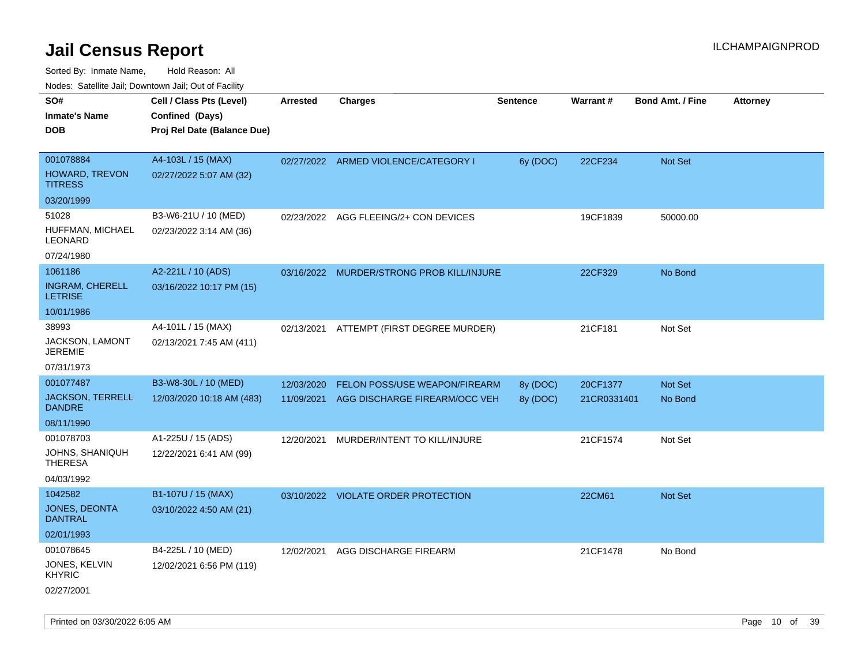|                                          | Nodes: Satellite Jali, Downtown Jali, Out of Facility |                 |                                           |                 |             |                         |                 |
|------------------------------------------|-------------------------------------------------------|-----------------|-------------------------------------------|-----------------|-------------|-------------------------|-----------------|
| SO#                                      | Cell / Class Pts (Level)                              | <b>Arrested</b> | <b>Charges</b>                            | <b>Sentence</b> | Warrant#    | <b>Bond Amt. / Fine</b> | <b>Attorney</b> |
| <b>Inmate's Name</b>                     | Confined (Days)                                       |                 |                                           |                 |             |                         |                 |
| <b>DOB</b>                               | Proj Rel Date (Balance Due)                           |                 |                                           |                 |             |                         |                 |
|                                          |                                                       |                 |                                           |                 |             |                         |                 |
| 001078884                                | A4-103L / 15 (MAX)                                    |                 | 02/27/2022 ARMED VIOLENCE/CATEGORY I      | 6y (DOC)        | 22CF234     | Not Set                 |                 |
| HOWARD, TREVON<br><b>TITRESS</b>         | 02/27/2022 5:07 AM (32)                               |                 |                                           |                 |             |                         |                 |
| 03/20/1999                               |                                                       |                 |                                           |                 |             |                         |                 |
| 51028                                    | B3-W6-21U / 10 (MED)                                  | 02/23/2022      | AGG FLEEING/2+ CON DEVICES                |                 | 19CF1839    | 50000.00                |                 |
| HUFFMAN, MICHAEL<br>LEONARD              | 02/23/2022 3:14 AM (36)                               |                 |                                           |                 |             |                         |                 |
| 07/24/1980                               |                                                       |                 |                                           |                 |             |                         |                 |
| 1061186                                  | A2-221L / 10 (ADS)                                    |                 | 03/16/2022 MURDER/STRONG PROB KILL/INJURE |                 | 22CF329     | No Bond                 |                 |
| <b>INGRAM, CHERELL</b><br><b>LETRISE</b> | 03/16/2022 10:17 PM (15)                              |                 |                                           |                 |             |                         |                 |
| 10/01/1986                               |                                                       |                 |                                           |                 |             |                         |                 |
| 38993                                    | A4-101L / 15 (MAX)                                    | 02/13/2021      | ATTEMPT (FIRST DEGREE MURDER)             |                 | 21CF181     | Not Set                 |                 |
| JACKSON, LAMONT<br><b>JEREMIE</b>        | 02/13/2021 7:45 AM (411)                              |                 |                                           |                 |             |                         |                 |
| 07/31/1973                               |                                                       |                 |                                           |                 |             |                         |                 |
| 001077487                                | B3-W8-30L / 10 (MED)                                  | 12/03/2020      | FELON POSS/USE WEAPON/FIREARM             | 8y (DOC)        | 20CF1377    | Not Set                 |                 |
| <b>JACKSON, TERRELL</b><br><b>DANDRE</b> | 12/03/2020 10:18 AM (483)                             | 11/09/2021      | AGG DISCHARGE FIREARM/OCC VEH             | 8y (DOC)        | 21CR0331401 | No Bond                 |                 |
| 08/11/1990                               |                                                       |                 |                                           |                 |             |                         |                 |
| 001078703                                | A1-225U / 15 (ADS)                                    | 12/20/2021      | MURDER/INTENT TO KILL/INJURE              |                 | 21CF1574    | Not Set                 |                 |
| JOHNS, SHANIQUH<br><b>THERESA</b>        | 12/22/2021 6:41 AM (99)                               |                 |                                           |                 |             |                         |                 |
| 04/03/1992                               |                                                       |                 |                                           |                 |             |                         |                 |
| 1042582                                  | B1-107U / 15 (MAX)                                    |                 | 03/10/2022 VIOLATE ORDER PROTECTION       |                 | 22CM61      | Not Set                 |                 |
| JONES, DEONTA<br><b>DANTRAL</b>          | 03/10/2022 4:50 AM (21)                               |                 |                                           |                 |             |                         |                 |
| 02/01/1993                               |                                                       |                 |                                           |                 |             |                         |                 |
| 001078645                                | B4-225L / 10 (MED)                                    | 12/02/2021      | AGG DISCHARGE FIREARM                     |                 | 21CF1478    | No Bond                 |                 |
| JONES, KELVIN<br><b>KHYRIC</b>           | 12/02/2021 6:56 PM (119)                              |                 |                                           |                 |             |                         |                 |
| 02/27/2001                               |                                                       |                 |                                           |                 |             |                         |                 |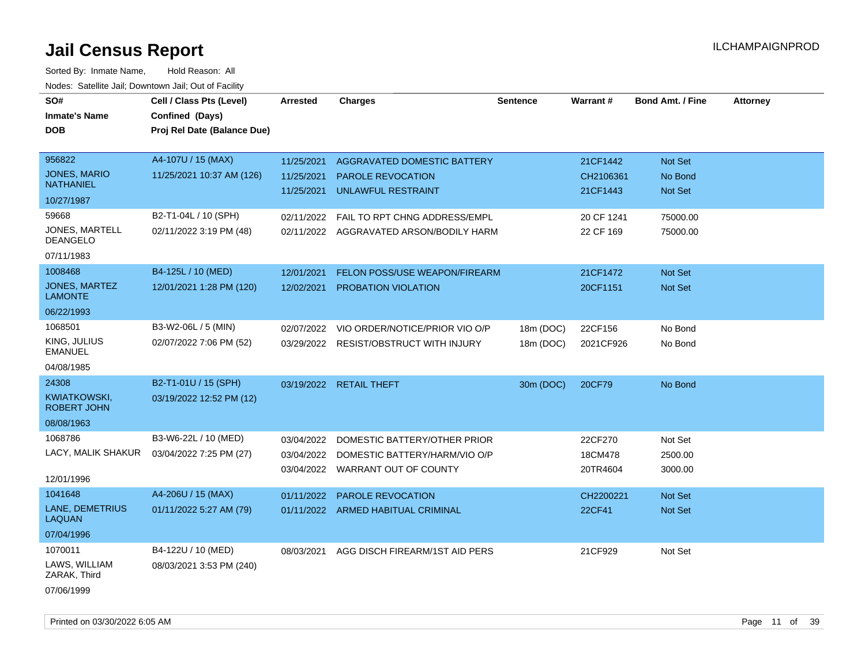| SO#                                       | Cell / Class Pts (Level)    | <b>Arrested</b> | <b>Charges</b>                           | <b>Sentence</b> | Warrant#   | <b>Bond Amt. / Fine</b> | <b>Attorney</b> |
|-------------------------------------------|-----------------------------|-----------------|------------------------------------------|-----------------|------------|-------------------------|-----------------|
| <b>Inmate's Name</b>                      |                             |                 |                                          |                 |            |                         |                 |
|                                           | Confined (Days)             |                 |                                          |                 |            |                         |                 |
| <b>DOB</b>                                | Proj Rel Date (Balance Due) |                 |                                          |                 |            |                         |                 |
| 956822                                    | A4-107U / 15 (MAX)          | 11/25/2021      | AGGRAVATED DOMESTIC BATTERY              |                 | 21CF1442   | Not Set                 |                 |
| <b>JONES, MARIO</b>                       | 11/25/2021 10:37 AM (126)   |                 |                                          |                 |            |                         |                 |
| <b>NATHANIEL</b>                          |                             | 11/25/2021      | PAROLE REVOCATION                        |                 | CH2106361  | No Bond                 |                 |
| 10/27/1987                                |                             | 11/25/2021      | UNLAWFUL RESTRAINT                       |                 | 21CF1443   | Not Set                 |                 |
| 59668                                     | B2-T1-04L / 10 (SPH)        | 02/11/2022      | FAIL TO RPT CHNG ADDRESS/EMPL            |                 | 20 CF 1241 | 75000.00                |                 |
| JONES, MARTELL<br><b>DEANGELO</b>         | 02/11/2022 3:19 PM (48)     |                 | 02/11/2022 AGGRAVATED ARSON/BODILY HARM  |                 | 22 CF 169  | 75000.00                |                 |
| 07/11/1983                                |                             |                 |                                          |                 |            |                         |                 |
| 1008468                                   | B4-125L / 10 (MED)          | 12/01/2021      | FELON POSS/USE WEAPON/FIREARM            |                 | 21CF1472   | Not Set                 |                 |
| <b>JONES, MARTEZ</b><br><b>LAMONTE</b>    | 12/01/2021 1:28 PM (120)    | 12/02/2021      | <b>PROBATION VIOLATION</b>               |                 | 20CF1151   | Not Set                 |                 |
| 06/22/1993                                |                             |                 |                                          |                 |            |                         |                 |
| 1068501                                   | B3-W2-06L / 5 (MIN)         | 02/07/2022      | VIO ORDER/NOTICE/PRIOR VIO O/P           | 18m (DOC)       | 22CF156    | No Bond                 |                 |
| KING, JULIUS<br><b>EMANUEL</b>            | 02/07/2022 7:06 PM (52)     | 03/29/2022      | RESIST/OBSTRUCT WITH INJURY              | 18m (DOC)       | 2021CF926  | No Bond                 |                 |
| 04/08/1985                                |                             |                 |                                          |                 |            |                         |                 |
| 24308                                     | B2-T1-01U / 15 (SPH)        |                 | 03/19/2022 RETAIL THEFT                  | 30m (DOC)       | 20CF79     | No Bond                 |                 |
| <b>KWIATKOWSKI,</b><br><b>ROBERT JOHN</b> | 03/19/2022 12:52 PM (12)    |                 |                                          |                 |            |                         |                 |
| 08/08/1963                                |                             |                 |                                          |                 |            |                         |                 |
| 1068786                                   | B3-W6-22L / 10 (MED)        | 03/04/2022      | DOMESTIC BATTERY/OTHER PRIOR             |                 | 22CF270    | Not Set                 |                 |
| LACY, MALIK SHAKUR                        | 03/04/2022 7:25 PM (27)     |                 | 03/04/2022 DOMESTIC BATTERY/HARM/VIO O/P |                 | 18CM478    | 2500.00                 |                 |
|                                           |                             |                 | 03/04/2022 WARRANT OUT OF COUNTY         |                 | 20TR4604   | 3000.00                 |                 |
| 12/01/1996                                |                             |                 |                                          |                 |            |                         |                 |
| 1041648                                   | A4-206U / 15 (MAX)          | 01/11/2022      | PAROLE REVOCATION                        |                 | CH2200221  | Not Set                 |                 |
| LANE, DEMETRIUS<br><b>LAQUAN</b>          | 01/11/2022 5:27 AM (79)     |                 | 01/11/2022 ARMED HABITUAL CRIMINAL       |                 | 22CF41     | Not Set                 |                 |
| 07/04/1996                                |                             |                 |                                          |                 |            |                         |                 |
| 1070011                                   | B4-122U / 10 (MED)          | 08/03/2021      | AGG DISCH FIREARM/1ST AID PERS           |                 | 21CF929    | Not Set                 |                 |
| LAWS, WILLIAM<br>ZARAK, Third             | 08/03/2021 3:53 PM (240)    |                 |                                          |                 |            |                         |                 |
| 07/06/1999                                |                             |                 |                                          |                 |            |                         |                 |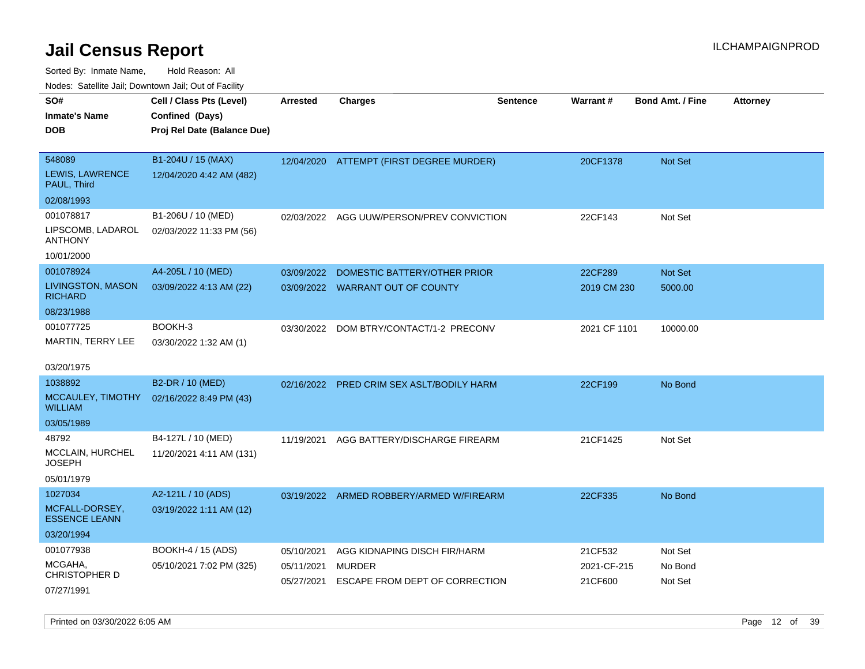Sorted By: Inmate Name, Hold Reason: All

Nodes: Satellite Jail; Downtown Jail; Out of Facility

| SO#                                    | Cell / Class Pts (Level)    | Arrested   | <b>Charges</b>                           | Sentence | <b>Warrant#</b> | <b>Bond Amt. / Fine</b> | <b>Attorney</b> |
|----------------------------------------|-----------------------------|------------|------------------------------------------|----------|-----------------|-------------------------|-----------------|
| <b>Inmate's Name</b>                   | Confined (Days)             |            |                                          |          |                 |                         |                 |
| <b>DOB</b>                             | Proj Rel Date (Balance Due) |            |                                          |          |                 |                         |                 |
|                                        |                             |            |                                          |          |                 |                         |                 |
| 548089                                 | B1-204U / 15 (MAX)          |            | 12/04/2020 ATTEMPT (FIRST DEGREE MURDER) |          | 20CF1378        | Not Set                 |                 |
| LEWIS, LAWRENCE<br>PAUL, Third         | 12/04/2020 4:42 AM (482)    |            |                                          |          |                 |                         |                 |
| 02/08/1993                             |                             |            |                                          |          |                 |                         |                 |
| 001078817                              | B1-206U / 10 (MED)          | 02/03/2022 | AGG UUW/PERSON/PREV CONVICTION           |          | 22CF143         | Not Set                 |                 |
| LIPSCOMB, LADAROL<br><b>ANTHONY</b>    | 02/03/2022 11:33 PM (56)    |            |                                          |          |                 |                         |                 |
| 10/01/2000                             |                             |            |                                          |          |                 |                         |                 |
| 001078924                              | A4-205L / 10 (MED)          | 03/09/2022 | DOMESTIC BATTERY/OTHER PRIOR             |          | 22CF289         | <b>Not Set</b>          |                 |
| LIVINGSTON, MASON<br><b>RICHARD</b>    | 03/09/2022 4:13 AM (22)     |            | 03/09/2022 WARRANT OUT OF COUNTY         |          | 2019 CM 230     | 5000.00                 |                 |
| 08/23/1988                             |                             |            |                                          |          |                 |                         |                 |
| 001077725                              | BOOKH-3                     |            | 03/30/2022 DOM BTRY/CONTACT/1-2 PRECONV  |          | 2021 CF 1101    | 10000.00                |                 |
| <b>MARTIN, TERRY LEE</b>               | 03/30/2022 1:32 AM (1)      |            |                                          |          |                 |                         |                 |
|                                        |                             |            |                                          |          |                 |                         |                 |
| 03/20/1975                             |                             |            |                                          |          |                 |                         |                 |
| 1038892                                | B2-DR / 10 (MED)            | 02/16/2022 | PRED CRIM SEX ASLT/BODILY HARM           |          | 22CF199         | No Bond                 |                 |
| MCCAULEY, TIMOTHY<br><b>WILLIAM</b>    | 02/16/2022 8:49 PM (43)     |            |                                          |          |                 |                         |                 |
| 03/05/1989                             |                             |            |                                          |          |                 |                         |                 |
| 48792                                  | B4-127L / 10 (MED)          | 11/19/2021 | AGG BATTERY/DISCHARGE FIREARM            |          | 21CF1425        | Not Set                 |                 |
| MCCLAIN, HURCHEL<br><b>JOSEPH</b>      | 11/20/2021 4:11 AM (131)    |            |                                          |          |                 |                         |                 |
| 05/01/1979                             |                             |            |                                          |          |                 |                         |                 |
| 1027034                                | A2-121L / 10 (ADS)          |            | 03/19/2022 ARMED ROBBERY/ARMED W/FIREARM |          | 22CF335         | No Bond                 |                 |
| MCFALL-DORSEY,<br><b>ESSENCE LEANN</b> | 03/19/2022 1:11 AM (12)     |            |                                          |          |                 |                         |                 |
| 03/20/1994                             |                             |            |                                          |          |                 |                         |                 |
| 001077938                              | BOOKH-4 / 15 (ADS)          | 05/10/2021 | AGG KIDNAPING DISCH FIR/HARM             |          | 21CF532         | Not Set                 |                 |
| MCGAHA,                                | 05/10/2021 7:02 PM (325)    | 05/11/2021 | <b>MURDER</b>                            |          | 2021-CF-215     | No Bond                 |                 |
| CHRISTOPHER D                          |                             | 05/27/2021 | ESCAPE FROM DEPT OF CORRECTION           |          | 21CF600         | Not Set                 |                 |
| 07/27/1991                             |                             |            |                                          |          |                 |                         |                 |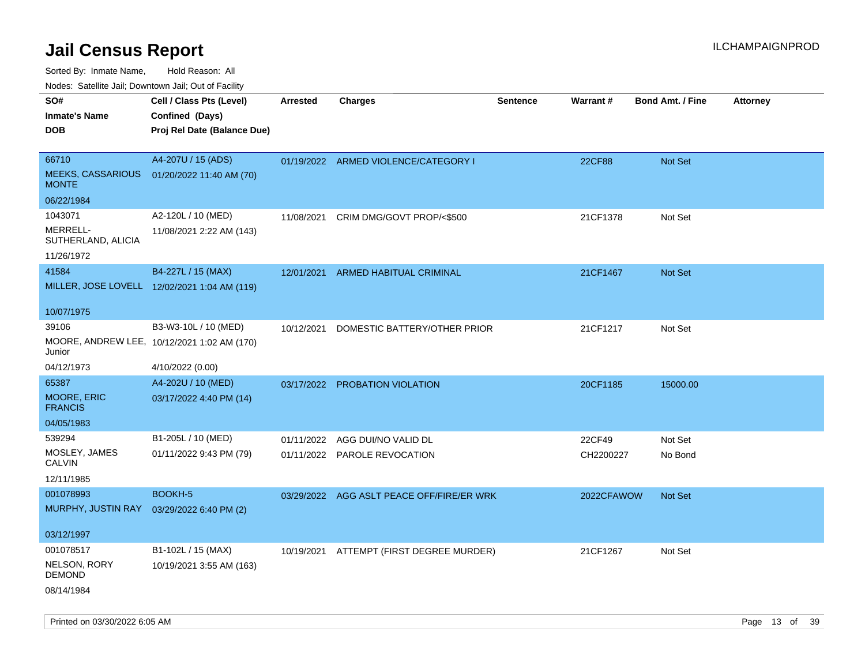Sorted By: Inmate Name, Hold Reason: All

Nodes: Satellite Jail; Downtown Jail; Out of Facility

| SO#                                      | Cell / Class Pts (Level)                     | <b>Arrested</b> | <b>Charges</b>                            | <b>Sentence</b> | <b>Warrant#</b> | <b>Bond Amt. / Fine</b> | Attorney |
|------------------------------------------|----------------------------------------------|-----------------|-------------------------------------------|-----------------|-----------------|-------------------------|----------|
| <b>Inmate's Name</b>                     | Confined (Days)                              |                 |                                           |                 |                 |                         |          |
| <b>DOB</b>                               | Proj Rel Date (Balance Due)                  |                 |                                           |                 |                 |                         |          |
|                                          |                                              |                 |                                           |                 |                 |                         |          |
| 66710                                    | A4-207U / 15 (ADS)                           |                 | 01/19/2022 ARMED VIOLENCE/CATEGORY I      |                 | 22CF88          | Not Set                 |          |
| <b>MEEKS, CASSARIOUS</b><br><b>MONTE</b> | 01/20/2022 11:40 AM (70)                     |                 |                                           |                 |                 |                         |          |
| 06/22/1984                               |                                              |                 |                                           |                 |                 |                         |          |
| 1043071                                  | A2-120L / 10 (MED)                           | 11/08/2021      | CRIM DMG/GOVT PROP/<\$500                 |                 | 21CF1378        | Not Set                 |          |
| MERRELL-<br>SUTHERLAND, ALICIA           | 11/08/2021 2:22 AM (143)                     |                 |                                           |                 |                 |                         |          |
| 11/26/1972                               |                                              |                 |                                           |                 |                 |                         |          |
| 41584                                    | B4-227L / 15 (MAX)                           | 12/01/2021      | ARMED HABITUAL CRIMINAL                   |                 | 21CF1467        | Not Set                 |          |
|                                          | MILLER, JOSE LOVELL 12/02/2021 1:04 AM (119) |                 |                                           |                 |                 |                         |          |
|                                          |                                              |                 |                                           |                 |                 |                         |          |
| 10/07/1975                               |                                              |                 |                                           |                 |                 |                         |          |
| 39106                                    | B3-W3-10L / 10 (MED)                         | 10/12/2021      | DOMESTIC BATTERY/OTHER PRIOR              |                 | 21CF1217        | Not Set                 |          |
| Junior                                   | MOORE, ANDREW LEE, 10/12/2021 1:02 AM (170)  |                 |                                           |                 |                 |                         |          |
| 04/12/1973                               | 4/10/2022 (0.00)                             |                 |                                           |                 |                 |                         |          |
| 65387                                    | A4-202U / 10 (MED)                           |                 | 03/17/2022 PROBATION VIOLATION            |                 | 20CF1185        | 15000.00                |          |
| MOORE, ERIC<br><b>FRANCIS</b>            | 03/17/2022 4:40 PM (14)                      |                 |                                           |                 |                 |                         |          |
| 04/05/1983                               |                                              |                 |                                           |                 |                 |                         |          |
| 539294                                   | B1-205L / 10 (MED)                           |                 | 01/11/2022 AGG DUI/NO VALID DL            |                 | 22CF49          | Not Set                 |          |
| MOSLEY, JAMES<br><b>CALVIN</b>           | 01/11/2022 9:43 PM (79)                      |                 | 01/11/2022 PAROLE REVOCATION              |                 | CH2200227       | No Bond                 |          |
| 12/11/1985                               |                                              |                 |                                           |                 |                 |                         |          |
| 001078993                                | BOOKH-5                                      |                 | 03/29/2022 AGG ASLT PEACE OFF/FIRE/ER WRK |                 | 2022CFAWOW      | <b>Not Set</b>          |          |
| MURPHY, JUSTIN RAY                       | 03/29/2022 6:40 PM (2)                       |                 |                                           |                 |                 |                         |          |
|                                          |                                              |                 |                                           |                 |                 |                         |          |
| 03/12/1997                               |                                              |                 |                                           |                 |                 |                         |          |
| 001078517                                | B1-102L / 15 (MAX)                           | 10/19/2021      | ATTEMPT (FIRST DEGREE MURDER)             |                 | 21CF1267        | Not Set                 |          |
| NELSON, RORY<br><b>DEMOND</b>            | 10/19/2021 3:55 AM (163)                     |                 |                                           |                 |                 |                         |          |
| 08/14/1984                               |                                              |                 |                                           |                 |                 |                         |          |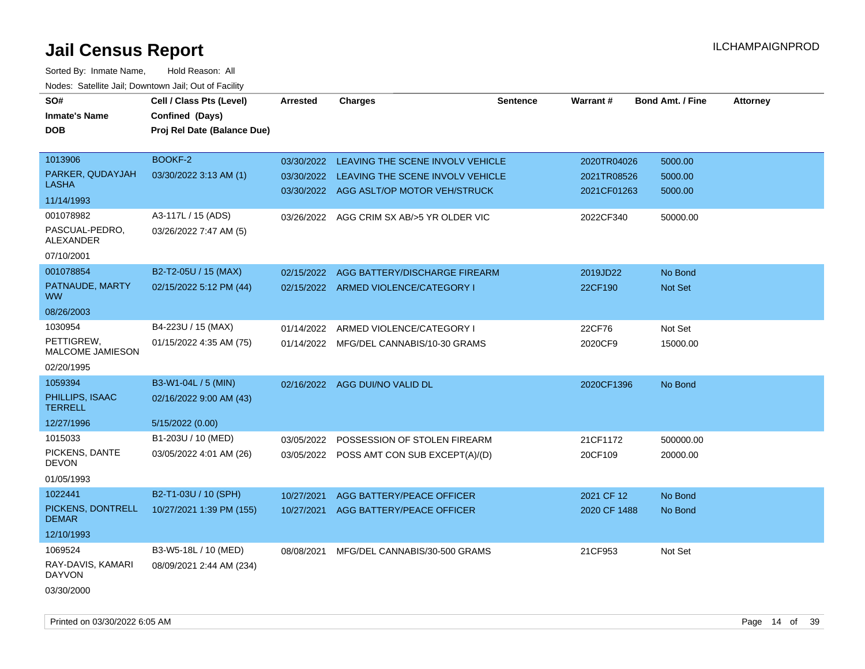Sorted By: Inmate Name, Hold Reason: All Nodes: Satellite Jail; Downtown Jail; Out of Facility

| SO#<br><b>Inmate's Name</b><br><b>DOB</b> | Cell / Class Pts (Level)<br>Confined (Days)<br>Proj Rel Date (Balance Due) | <b>Arrested</b> | <b>Charges</b>                            | <b>Sentence</b> | Warrant#     | <b>Bond Amt. / Fine</b> | <b>Attorney</b> |
|-------------------------------------------|----------------------------------------------------------------------------|-----------------|-------------------------------------------|-----------------|--------------|-------------------------|-----------------|
| 1013906                                   | <b>BOOKF-2</b>                                                             | 03/30/2022      | LEAVING THE SCENE INVOLV VEHICLE          |                 | 2020TR04026  | 5000.00                 |                 |
| PARKER, QUDAYJAH                          | 03/30/2022 3:13 AM (1)                                                     | 03/30/2022      | LEAVING THE SCENE INVOLV VEHICLE          |                 | 2021TR08526  | 5000.00                 |                 |
| LASHA                                     |                                                                            |                 | 03/30/2022 AGG ASLT/OP MOTOR VEH/STRUCK   |                 | 2021CF01263  | 5000.00                 |                 |
| 11/14/1993                                |                                                                            |                 |                                           |                 |              |                         |                 |
| 001078982                                 | A3-117L / 15 (ADS)                                                         | 03/26/2022      | AGG CRIM SX AB/>5 YR OLDER VIC            |                 | 2022CF340    | 50000.00                |                 |
| PASCUAL-PEDRO,<br><b>ALEXANDER</b>        | 03/26/2022 7:47 AM (5)                                                     |                 |                                           |                 |              |                         |                 |
| 07/10/2001                                |                                                                            |                 |                                           |                 |              |                         |                 |
| 001078854                                 | B2-T2-05U / 15 (MAX)                                                       | 02/15/2022      | AGG BATTERY/DISCHARGE FIREARM             |                 | 2019JD22     | No Bond                 |                 |
| PATNAUDE, MARTY<br><b>WW</b>              | 02/15/2022 5:12 PM (44)                                                    |                 | 02/15/2022 ARMED VIOLENCE/CATEGORY I      |                 | 22CF190      | Not Set                 |                 |
| 08/26/2003                                |                                                                            |                 |                                           |                 |              |                         |                 |
| 1030954                                   | B4-223U / 15 (MAX)                                                         | 01/14/2022      | ARMED VIOLENCE/CATEGORY I                 |                 | 22CF76       | Not Set                 |                 |
| PETTIGREW,<br>MALCOME JAMIESON            | 01/15/2022 4:35 AM (75)                                                    |                 | 01/14/2022 MFG/DEL CANNABIS/10-30 GRAMS   |                 | 2020CF9      | 15000.00                |                 |
| 02/20/1995                                |                                                                            |                 |                                           |                 |              |                         |                 |
| 1059394                                   | B3-W1-04L / 5 (MIN)                                                        |                 | 02/16/2022 AGG DUI/NO VALID DL            |                 | 2020CF1396   | No Bond                 |                 |
| PHILLIPS, ISAAC<br><b>TERRELL</b>         | 02/16/2022 9:00 AM (43)                                                    |                 |                                           |                 |              |                         |                 |
| 12/27/1996                                | 5/15/2022 (0.00)                                                           |                 |                                           |                 |              |                         |                 |
| 1015033                                   | B1-203U / 10 (MED)                                                         | 03/05/2022      | POSSESSION OF STOLEN FIREARM              |                 | 21CF1172     | 500000.00               |                 |
| PICKENS, DANTE<br>DEVON                   | 03/05/2022 4:01 AM (26)                                                    |                 | 03/05/2022 POSS AMT CON SUB EXCEPT(A)/(D) |                 | 20CF109      | 20000.00                |                 |
| 01/05/1993                                |                                                                            |                 |                                           |                 |              |                         |                 |
| 1022441                                   | B2-T1-03U / 10 (SPH)                                                       | 10/27/2021      | AGG BATTERY/PEACE OFFICER                 |                 | 2021 CF 12   | No Bond                 |                 |
| PICKENS, DONTRELL<br><b>DEMAR</b>         | 10/27/2021 1:39 PM (155)                                                   | 10/27/2021      | AGG BATTERY/PEACE OFFICER                 |                 | 2020 CF 1488 | No Bond                 |                 |
| 12/10/1993                                |                                                                            |                 |                                           |                 |              |                         |                 |
| 1069524                                   | B3-W5-18L / 10 (MED)                                                       | 08/08/2021      | MFG/DEL CANNABIS/30-500 GRAMS             |                 | 21CF953      | Not Set                 |                 |
| RAY-DAVIS, KAMARI<br><b>DAYVON</b>        | 08/09/2021 2:44 AM (234)                                                   |                 |                                           |                 |              |                         |                 |
| 03/30/2000                                |                                                                            |                 |                                           |                 |              |                         |                 |

Printed on 03/30/2022 6:05 AM Page 14 of 39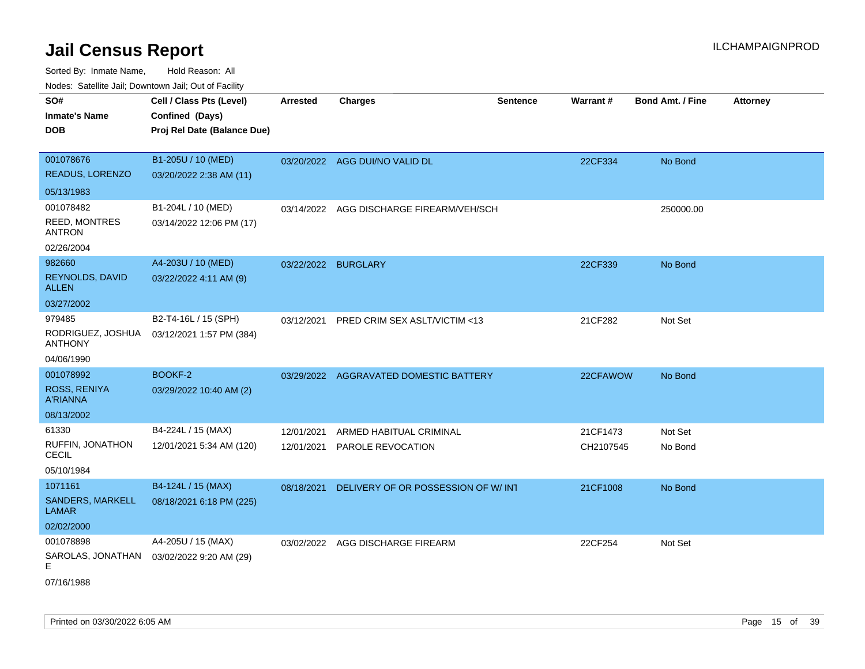| SO#<br><b>Inmate's Name</b><br>DOB                                             | Cell / Class Pts (Level)<br>Confined (Days)<br>Proj Rel Date (Balance Due) | <b>Arrested</b>          | <b>Charges</b>                               | <b>Sentence</b> | <b>Warrant#</b>       | <b>Bond Amt. / Fine</b> | <b>Attorney</b> |
|--------------------------------------------------------------------------------|----------------------------------------------------------------------------|--------------------------|----------------------------------------------|-----------------|-----------------------|-------------------------|-----------------|
| 001078676<br>READUS, LORENZO                                                   | B1-205U / 10 (MED)<br>03/20/2022 2:38 AM (11)                              |                          | 03/20/2022 AGG DUI/NO VALID DL               |                 | 22CF334               | No Bond                 |                 |
| 05/13/1983<br>001078482<br><b>REED, MONTRES</b><br><b>ANTRON</b><br>02/26/2004 | B1-204L / 10 (MED)<br>03/14/2022 12:06 PM (17)                             |                          | 03/14/2022 AGG DISCHARGE FIREARM/VEH/SCH     |                 |                       | 250000.00               |                 |
| 982660<br><b>REYNOLDS, DAVID</b><br><b>ALLEN</b>                               | A4-203U / 10 (MED)<br>03/22/2022 4:11 AM (9)                               | 03/22/2022               | <b>BURGLARY</b>                              |                 | 22CF339               | No Bond                 |                 |
| 03/27/2002<br>979485<br>RODRIGUEZ, JOSHUA<br>ANTHONY<br>04/06/1990             | B2-T4-16L / 15 (SPH)<br>03/12/2021 1:57 PM (384)                           | 03/12/2021               | PRED CRIM SEX ASLT/VICTIM <13                |                 | 21CF282               | Not Set                 |                 |
| 001078992<br><b>ROSS, RENIYA</b><br><b>A'RIANNA</b><br>08/13/2002              | <b>BOOKF-2</b><br>03/29/2022 10:40 AM (2)                                  |                          | 03/29/2022 AGGRAVATED DOMESTIC BATTERY       |                 | 22CFAWOW              | No Bond                 |                 |
| 61330<br>RUFFIN, JONATHON<br><b>CECIL</b><br>05/10/1984                        | B4-224L / 15 (MAX)<br>12/01/2021 5:34 AM (120)                             | 12/01/2021<br>12/01/2021 | ARMED HABITUAL CRIMINAL<br>PAROLE REVOCATION |                 | 21CF1473<br>CH2107545 | Not Set<br>No Bond      |                 |
| 1071161<br>SANDERS, MARKELL<br><b>LAMAR</b><br>02/02/2000                      | B4-124L / 15 (MAX)<br>08/18/2021 6:18 PM (225)                             | 08/18/2021               | DELIVERY OF OR POSSESSION OF W/ INT          |                 | 21CF1008              | No Bond                 |                 |
| 001078898<br>SAROLAS, JONATHAN<br>E.<br>07/16/1988                             | A4-205U / 15 (MAX)<br>03/02/2022 9:20 AM (29)                              |                          | 03/02/2022 AGG DISCHARGE FIREARM             |                 | 22CF254               | Not Set                 |                 |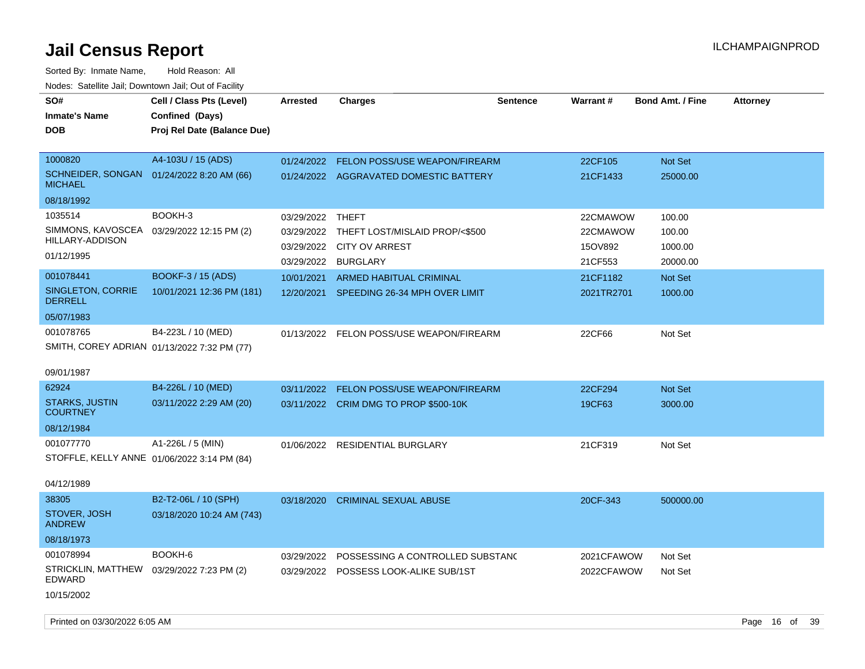| Nuuts. Saltiille Jall, Duwilluwii Jall, Oul Ul I acility    |                             |                  |                                          |                 |                 |                         |                 |
|-------------------------------------------------------------|-----------------------------|------------------|------------------------------------------|-----------------|-----------------|-------------------------|-----------------|
| SO#                                                         | Cell / Class Pts (Level)    | <b>Arrested</b>  | <b>Charges</b>                           | <b>Sentence</b> | <b>Warrant#</b> | <b>Bond Amt. / Fine</b> | <b>Attorney</b> |
| <b>Inmate's Name</b>                                        | Confined (Days)             |                  |                                          |                 |                 |                         |                 |
| <b>DOB</b>                                                  | Proj Rel Date (Balance Due) |                  |                                          |                 |                 |                         |                 |
|                                                             |                             |                  |                                          |                 |                 |                         |                 |
| 1000820                                                     | A4-103U / 15 (ADS)          | 01/24/2022       | FELON POSS/USE WEAPON/FIREARM            |                 | 22CF105         | <b>Not Set</b>          |                 |
| SCHNEIDER, SONGAN 01/24/2022 8:20 AM (66)<br><b>MICHAEL</b> |                             |                  | 01/24/2022 AGGRAVATED DOMESTIC BATTERY   |                 | 21CF1433        | 25000.00                |                 |
| 08/18/1992                                                  |                             |                  |                                          |                 |                 |                         |                 |
| 1035514                                                     | BOOKH-3                     | 03/29/2022 THEFT |                                          |                 | 22CMAWOW        | 100.00                  |                 |
| SIMMONS, KAVOSCEA 03/29/2022 12:15 PM (2)                   |                             | 03/29/2022       | THEFT LOST/MISLAID PROP/<\$500           |                 | 22CMAWOW        | 100.00                  |                 |
| HILLARY-ADDISON                                             |                             | 03/29/2022       | <b>CITY OV ARREST</b>                    |                 | 15OV892         | 1000.00                 |                 |
| 01/12/1995                                                  |                             | 03/29/2022       | <b>BURGLARY</b>                          |                 | 21CF553         | 20000.00                |                 |
| 001078441                                                   | BOOKF-3 / 15 (ADS)          | 10/01/2021       | <b>ARMED HABITUAL CRIMINAL</b>           |                 | 21CF1182        | Not Set                 |                 |
| SINGLETON, CORRIE<br><b>DERRELL</b>                         | 10/01/2021 12:36 PM (181)   |                  | 12/20/2021 SPEEDING 26-34 MPH OVER LIMIT |                 | 2021TR2701      | 1000.00                 |                 |
| 05/07/1983                                                  |                             |                  |                                          |                 |                 |                         |                 |
| 001078765                                                   | B4-223L / 10 (MED)          | 01/13/2022       | FELON POSS/USE WEAPON/FIREARM            |                 | 22CF66          | Not Set                 |                 |
| SMITH, COREY ADRIAN 01/13/2022 7:32 PM (77)                 |                             |                  |                                          |                 |                 |                         |                 |
|                                                             |                             |                  |                                          |                 |                 |                         |                 |
| 09/01/1987                                                  |                             |                  |                                          |                 |                 |                         |                 |
| 62924                                                       | B4-226L / 10 (MED)          | 03/11/2022       | FELON POSS/USE WEAPON/FIREARM            |                 | 22CF294         | Not Set                 |                 |
| <b>STARKS, JUSTIN</b><br><b>COURTNEY</b>                    | 03/11/2022 2:29 AM (20)     |                  | 03/11/2022 CRIM DMG TO PROP \$500-10K    |                 | 19CF63          | 3000.00                 |                 |
| 08/12/1984                                                  |                             |                  |                                          |                 |                 |                         |                 |
| 001077770                                                   | A1-226L / 5 (MIN)           | 01/06/2022       | <b>RESIDENTIAL BURGLARY</b>              |                 | 21CF319         | Not Set                 |                 |
| STOFFLE, KELLY ANNE 01/06/2022 3:14 PM (84)                 |                             |                  |                                          |                 |                 |                         |                 |
|                                                             |                             |                  |                                          |                 |                 |                         |                 |
| 04/12/1989                                                  |                             |                  |                                          |                 |                 |                         |                 |
| 38305                                                       | B2-T2-06L / 10 (SPH)        | 03/18/2020       | <b>CRIMINAL SEXUAL ABUSE</b>             |                 | 20CF-343        | 500000.00               |                 |
| STOVER, JOSH<br><b>ANDREW</b>                               | 03/18/2020 10:24 AM (743)   |                  |                                          |                 |                 |                         |                 |
| 08/18/1973                                                  |                             |                  |                                          |                 |                 |                         |                 |
| 001078994                                                   | BOOKH-6                     | 03/29/2022       | POSSESSING A CONTROLLED SUBSTANC         |                 | 2021CFAWOW      | Not Set                 |                 |
| STRICKLIN, MATTHEW 03/29/2022 7:23 PM (2)<br>EDWARD         |                             |                  | 03/29/2022 POSSESS LOOK-ALIKE SUB/1ST    |                 | 2022CFAWOW      | Not Set                 |                 |
| 10/15/2002                                                  |                             |                  |                                          |                 |                 |                         |                 |
|                                                             |                             |                  |                                          |                 |                 |                         |                 |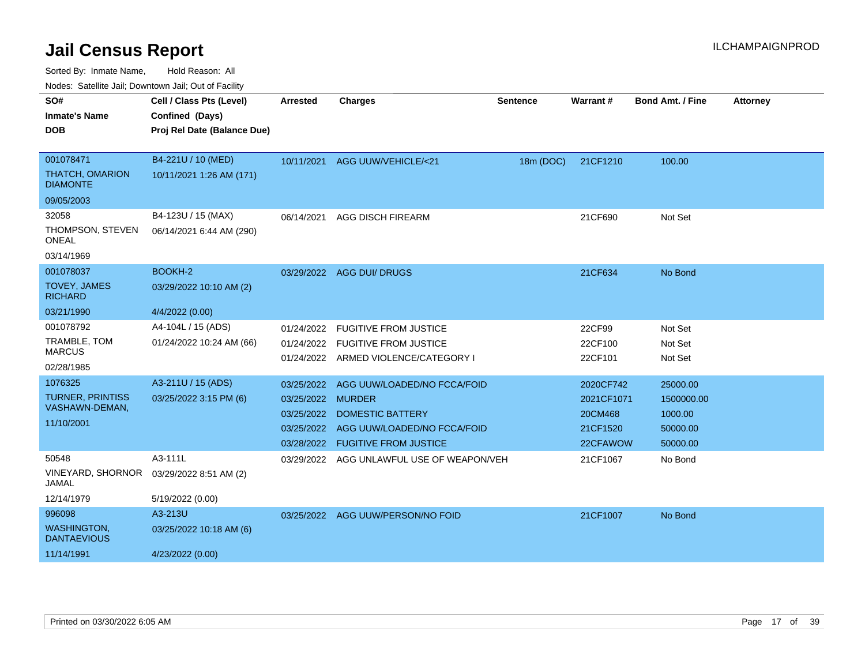Sorted By: Inmate Name, Hold Reason: All

Nodes: Satellite Jail; Downtown Jail; Out of Facility

| SO#                                       | Cell / Class Pts (Level)    | <b>Arrested</b>   | <b>Charges</b>                            | Sentence  | <b>Warrant#</b> | <b>Bond Amt. / Fine</b> | <b>Attorney</b> |
|-------------------------------------------|-----------------------------|-------------------|-------------------------------------------|-----------|-----------------|-------------------------|-----------------|
| <b>Inmate's Name</b>                      | Confined (Days)             |                   |                                           |           |                 |                         |                 |
| <b>DOB</b>                                | Proj Rel Date (Balance Due) |                   |                                           |           |                 |                         |                 |
|                                           |                             |                   |                                           |           |                 |                         |                 |
| 001078471                                 | B4-221U / 10 (MED)          |                   | 10/11/2021 AGG UUW/VEHICLE/<21            | 18m (DOC) | 21CF1210        | 100.00                  |                 |
| <b>THATCH, OMARION</b><br><b>DIAMONTE</b> | 10/11/2021 1:26 AM (171)    |                   |                                           |           |                 |                         |                 |
| 09/05/2003                                |                             |                   |                                           |           |                 |                         |                 |
| 32058                                     | B4-123U / 15 (MAX)          | 06/14/2021        | <b>AGG DISCH FIREARM</b>                  |           | 21CF690         | Not Set                 |                 |
| THOMPSON, STEVEN<br><b>ONEAL</b>          | 06/14/2021 6:44 AM (290)    |                   |                                           |           |                 |                         |                 |
| 03/14/1969                                |                             |                   |                                           |           |                 |                         |                 |
| 001078037                                 | BOOKH-2                     |                   | 03/29/2022 AGG DUI/ DRUGS                 |           | 21CF634         | No Bond                 |                 |
| <b>TOVEY, JAMES</b><br><b>RICHARD</b>     | 03/29/2022 10:10 AM (2)     |                   |                                           |           |                 |                         |                 |
| 03/21/1990                                | 4/4/2022 (0.00)             |                   |                                           |           |                 |                         |                 |
| 001078792                                 | A4-104L / 15 (ADS)          | 01/24/2022        | <b>FUGITIVE FROM JUSTICE</b>              |           | 22CF99          | Not Set                 |                 |
| TRAMBLE, TOM                              | 01/24/2022 10:24 AM (66)    | 01/24/2022        | <b>FUGITIVE FROM JUSTICE</b>              |           | 22CF100         | Not Set                 |                 |
| <b>MARCUS</b>                             |                             |                   | 01/24/2022 ARMED VIOLENCE/CATEGORY I      |           | 22CF101         | Not Set                 |                 |
| 02/28/1985                                |                             |                   |                                           |           |                 |                         |                 |
| 1076325                                   | A3-211U / 15 (ADS)          | 03/25/2022        | AGG UUW/LOADED/NO FCCA/FOID               |           | 2020CF742       | 25000.00                |                 |
| <b>TURNER, PRINTISS</b>                   | 03/25/2022 3:15 PM (6)      | 03/25/2022 MURDER |                                           |           | 2021CF1071      | 1500000.00              |                 |
| VASHAWN-DEMAN,                            |                             | 03/25/2022        | <b>DOMESTIC BATTERY</b>                   |           | 20CM468         | 1000.00                 |                 |
| 11/10/2001                                |                             |                   | 03/25/2022 AGG UUW/LOADED/NO FCCA/FOID    |           | 21CF1520        | 50000.00                |                 |
|                                           |                             | 03/28/2022        | <b>FUGITIVE FROM JUSTICE</b>              |           | 22CFAWOW        | 50000.00                |                 |
| 50548                                     | A3-111L                     |                   | 03/29/2022 AGG UNLAWFUL USE OF WEAPON/VEH |           | 21CF1067        | No Bond                 |                 |
| <b>VINEYARD, SHORNOR</b><br><b>JAMAL</b>  | 03/29/2022 8:51 AM (2)      |                   |                                           |           |                 |                         |                 |
| 12/14/1979                                | 5/19/2022 (0.00)            |                   |                                           |           |                 |                         |                 |
| 996098                                    | A3-213U                     |                   | 03/25/2022 AGG UUW/PERSON/NO FOID         |           | 21CF1007        | No Bond                 |                 |
| <b>WASHINGTON,</b><br><b>DANTAEVIOUS</b>  | 03/25/2022 10:18 AM (6)     |                   |                                           |           |                 |                         |                 |
| 11/14/1991                                | 4/23/2022 (0.00)            |                   |                                           |           |                 |                         |                 |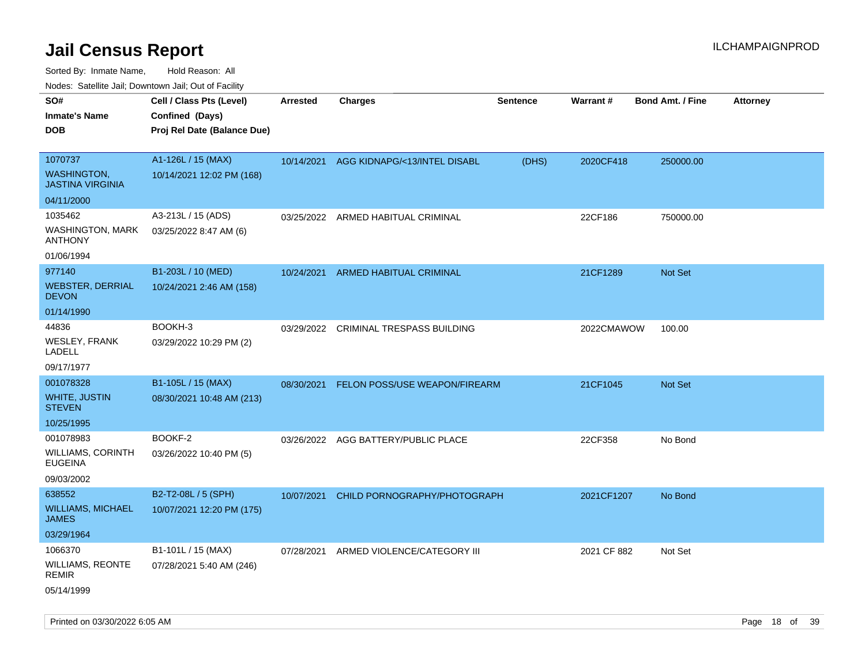| ivuutos. Saltiilit Jall, Duwilluwii Jall, Oul of Facility |                             |                 |                                         |                 |             |                         |                 |
|-----------------------------------------------------------|-----------------------------|-----------------|-----------------------------------------|-----------------|-------------|-------------------------|-----------------|
| SO#                                                       | Cell / Class Pts (Level)    | <b>Arrested</b> | <b>Charges</b>                          | <b>Sentence</b> | Warrant#    | <b>Bond Amt. / Fine</b> | <b>Attorney</b> |
| <b>Inmate's Name</b>                                      | Confined (Days)             |                 |                                         |                 |             |                         |                 |
| <b>DOB</b>                                                | Proj Rel Date (Balance Due) |                 |                                         |                 |             |                         |                 |
|                                                           |                             |                 |                                         |                 |             |                         |                 |
| 1070737                                                   | A1-126L / 15 (MAX)          |                 | 10/14/2021 AGG KIDNAPG/<13/INTEL DISABL | (DHS)           | 2020CF418   | 250000.00               |                 |
| <b>WASHINGTON,</b><br><b>JASTINA VIRGINIA</b>             | 10/14/2021 12:02 PM (168)   |                 |                                         |                 |             |                         |                 |
| 04/11/2000                                                |                             |                 |                                         |                 |             |                         |                 |
| 1035462                                                   | A3-213L / 15 (ADS)          |                 | 03/25/2022 ARMED HABITUAL CRIMINAL      |                 | 22CF186     | 750000.00               |                 |
| <b>WASHINGTON, MARK</b><br><b>ANTHONY</b>                 | 03/25/2022 8:47 AM (6)      |                 |                                         |                 |             |                         |                 |
| 01/06/1994                                                |                             |                 |                                         |                 |             |                         |                 |
| 977140                                                    | B1-203L / 10 (MED)          | 10/24/2021      | ARMED HABITUAL CRIMINAL                 |                 | 21CF1289    | <b>Not Set</b>          |                 |
| <b>WEBSTER, DERRIAL</b><br><b>DEVON</b>                   | 10/24/2021 2:46 AM (158)    |                 |                                         |                 |             |                         |                 |
| 01/14/1990                                                |                             |                 |                                         |                 |             |                         |                 |
| 44836                                                     | BOOKH-3                     | 03/29/2022      | <b>CRIMINAL TRESPASS BUILDING</b>       |                 | 2022CMAWOW  | 100.00                  |                 |
| <b>WESLEY, FRANK</b><br>LADELL                            | 03/29/2022 10:29 PM (2)     |                 |                                         |                 |             |                         |                 |
| 09/17/1977                                                |                             |                 |                                         |                 |             |                         |                 |
| 001078328                                                 | B1-105L / 15 (MAX)          | 08/30/2021      | FELON POSS/USE WEAPON/FIREARM           |                 | 21CF1045    | Not Set                 |                 |
| <b>WHITE, JUSTIN</b><br><b>STEVEN</b>                     | 08/30/2021 10:48 AM (213)   |                 |                                         |                 |             |                         |                 |
| 10/25/1995                                                |                             |                 |                                         |                 |             |                         |                 |
| 001078983                                                 | BOOKF-2                     |                 | 03/26/2022 AGG BATTERY/PUBLIC PLACE     |                 | 22CF358     | No Bond                 |                 |
| WILLIAMS, CORINTH<br><b>EUGEINA</b>                       | 03/26/2022 10:40 PM (5)     |                 |                                         |                 |             |                         |                 |
| 09/03/2002                                                |                             |                 |                                         |                 |             |                         |                 |
| 638552                                                    | B2-T2-08L / 5 (SPH)         | 10/07/2021      | CHILD PORNOGRAPHY/PHOTOGRAPH            |                 | 2021CF1207  | No Bond                 |                 |
| <b>WILLIAMS, MICHAEL</b><br><b>JAMES</b>                  | 10/07/2021 12:20 PM (175)   |                 |                                         |                 |             |                         |                 |
| 03/29/1964                                                |                             |                 |                                         |                 |             |                         |                 |
| 1066370                                                   | B1-101L / 15 (MAX)          | 07/28/2021      | ARMED VIOLENCE/CATEGORY III             |                 | 2021 CF 882 | Not Set                 |                 |
| <b>WILLIAMS, REONTE</b><br>REMIR                          | 07/28/2021 5:40 AM (246)    |                 |                                         |                 |             |                         |                 |
| 05/14/1999                                                |                             |                 |                                         |                 |             |                         |                 |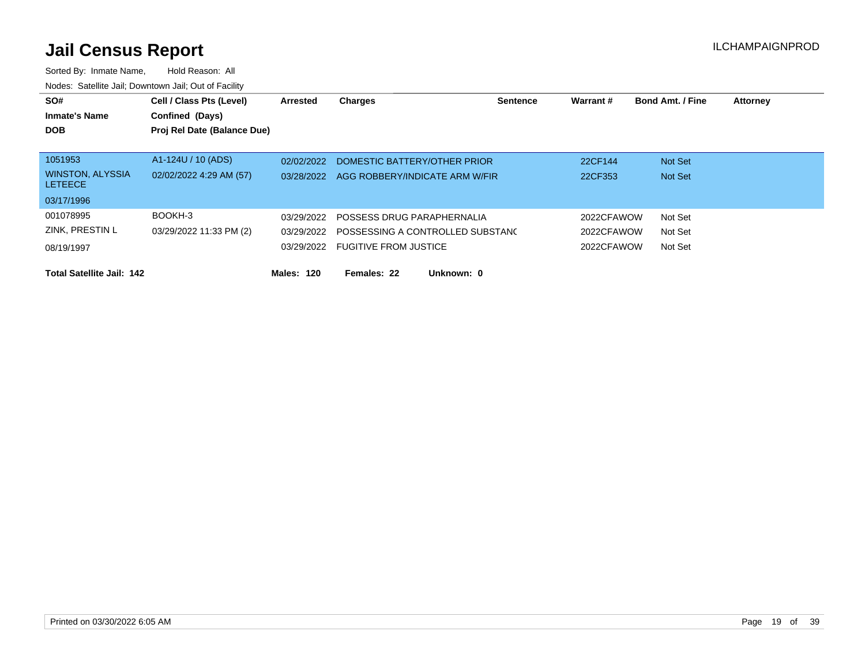| SO#                                       | Cell / Class Pts (Level)    | Arrested   | Charges                          | <b>Sentence</b> | Warrant #  | <b>Bond Amt. / Fine</b> | <b>Attorney</b> |
|-------------------------------------------|-----------------------------|------------|----------------------------------|-----------------|------------|-------------------------|-----------------|
| <b>Inmate's Name</b>                      | Confined (Days)             |            |                                  |                 |            |                         |                 |
| <b>DOB</b>                                | Proj Rel Date (Balance Due) |            |                                  |                 |            |                         |                 |
|                                           |                             |            |                                  |                 |            |                         |                 |
| 1051953                                   | A1-124U / 10 (ADS)          | 02/02/2022 | DOMESTIC BATTERY/OTHER PRIOR     |                 | 22CF144    | <b>Not Set</b>          |                 |
| <b>WINSTON, ALYSSIA</b><br><b>LETEECE</b> | 02/02/2022 4:29 AM (57)     | 03/28/2022 | AGG ROBBERY/INDICATE ARM W/FIR   |                 | 22CF353    | <b>Not Set</b>          |                 |
| 03/17/1996                                |                             |            |                                  |                 |            |                         |                 |
| 001078995                                 | BOOKH-3                     | 03/29/2022 | POSSESS DRUG PARAPHERNALIA       |                 | 2022CFAWOW | Not Set                 |                 |
| ZINK, PRESTIN L                           | 03/29/2022 11:33 PM (2)     | 03/29/2022 | POSSESSING A CONTROLLED SUBSTANC |                 | 2022CFAWOW | Not Set                 |                 |
| 08/19/1997                                |                             | 03/29/2022 | <b>FUGITIVE FROM JUSTICE</b>     |                 | 2022CFAWOW | Not Set                 |                 |
| <b>Total Satellite Jail: 142</b>          |                             | Males: 120 | Unknown: 0<br>Females: 22        |                 |            |                         |                 |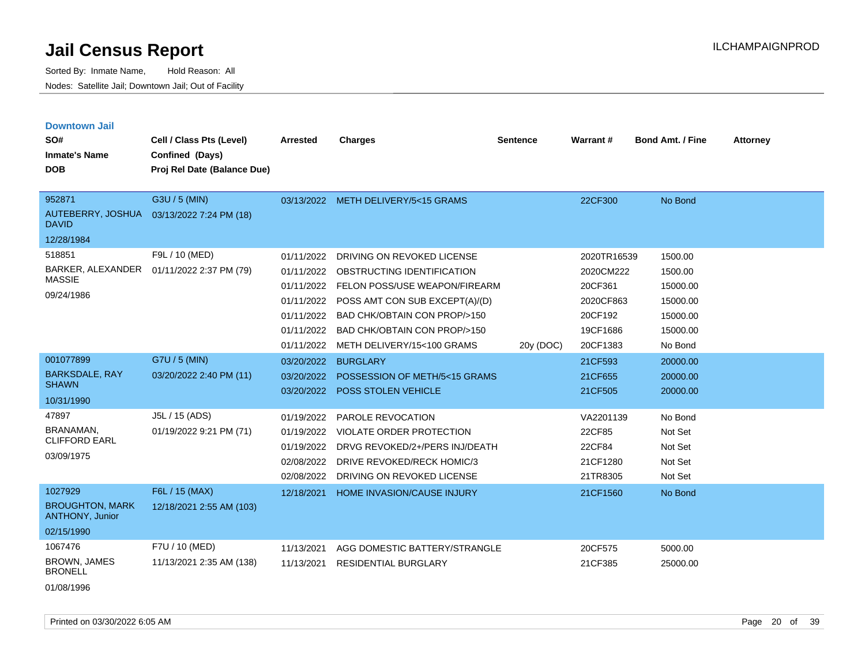Sorted By: Inmate Name, Hold Reason: All Nodes: Satellite Jail; Downtown Jail; Out of Facility

| <b>Downtown Jail</b><br>SO#<br><b>Inmate's Name</b><br><b>DOB</b>  | Cell / Class Pts (Level)<br>Confined (Days)<br>Proj Rel Date (Balance Due) | Arrested                                                                                       | <b>Charges</b>                                                                                                                                                                                                            | Sentence  | Warrant#                                                                            | <b>Bond Amt. / Fine</b>                                                       | <b>Attorney</b> |
|--------------------------------------------------------------------|----------------------------------------------------------------------------|------------------------------------------------------------------------------------------------|---------------------------------------------------------------------------------------------------------------------------------------------------------------------------------------------------------------------------|-----------|-------------------------------------------------------------------------------------|-------------------------------------------------------------------------------|-----------------|
| 952871<br>AUTEBERRY, JOSHUA<br><b>DAVID</b><br>12/28/1984          | G3U / 5 (MIN)<br>03/13/2022 7:24 PM (18)                                   |                                                                                                | 03/13/2022 METH DELIVERY/5<15 GRAMS                                                                                                                                                                                       |           | 22CF300                                                                             | No Bond                                                                       |                 |
| 518851<br>BARKER, ALEXANDER<br><b>MASSIE</b><br>09/24/1986         | F9L / 10 (MED)<br>01/11/2022 2:37 PM (79)                                  | 01/11/2022<br>01/11/2022<br>01/11/2022<br>01/11/2022<br>01/11/2022<br>01/11/2022<br>01/11/2022 | DRIVING ON REVOKED LICENSE<br>OBSTRUCTING IDENTIFICATION<br>FELON POSS/USE WEAPON/FIREARM<br>POSS AMT CON SUB EXCEPT(A)/(D)<br>BAD CHK/OBTAIN CON PROP/>150<br>BAD CHK/OBTAIN CON PROP/>150<br>METH DELIVERY/15<100 GRAMS | 20y (DOC) | 2020TR16539<br>2020CM222<br>20CF361<br>2020CF863<br>20CF192<br>19CF1686<br>20CF1383 | 1500.00<br>1500.00<br>15000.00<br>15000.00<br>15000.00<br>15000.00<br>No Bond |                 |
| 001077899<br><b>BARKSDALE, RAY</b><br><b>SHAWN</b><br>10/31/1990   | G7U / 5 (MIN)<br>03/20/2022 2:40 PM (11)                                   | 03/20/2022<br>03/20/2022<br>03/20/2022                                                         | <b>BURGLARY</b><br>POSSESSION OF METH/5<15 GRAMS<br>POSS STOLEN VEHICLE                                                                                                                                                   |           | 21CF593<br>21CF655<br>21CF505                                                       | 20000.00<br>20000.00<br>20000.00                                              |                 |
| 47897<br>BRANAMAN,<br><b>CLIFFORD EARL</b><br>03/09/1975           | J5L / 15 (ADS)<br>01/19/2022 9:21 PM (71)                                  | 01/19/2022<br>01/19/2022<br>01/19/2022<br>02/08/2022<br>02/08/2022                             | PAROLE REVOCATION<br>VIOLATE ORDER PROTECTION<br>DRVG REVOKED/2+/PERS INJ/DEATH<br>DRIVE REVOKED/RECK HOMIC/3<br>DRIVING ON REVOKED LICENSE                                                                               |           | VA2201139<br>22CF85<br>22CF84<br>21CF1280<br>21TR8305                               | No Bond<br>Not Set<br>Not Set<br>Not Set<br>Not Set                           |                 |
| 1027929<br><b>BROUGHTON, MARK</b><br>ANTHONY, Junior<br>02/15/1990 | F6L / 15 (MAX)<br>12/18/2021 2:55 AM (103)                                 | 12/18/2021                                                                                     | <b>HOME INVASION/CAUSE INJURY</b>                                                                                                                                                                                         |           | 21CF1560                                                                            | No Bond                                                                       |                 |
| 1067476<br>BROWN, JAMES<br><b>BRONELL</b>                          | F7U / 10 (MED)<br>11/13/2021 2:35 AM (138)                                 | 11/13/2021<br>11/13/2021                                                                       | AGG DOMESTIC BATTERY/STRANGLE<br>RESIDENTIAL BURGLARY                                                                                                                                                                     |           | 20CF575<br>21CF385                                                                  | 5000.00<br>25000.00                                                           |                 |

01/08/1996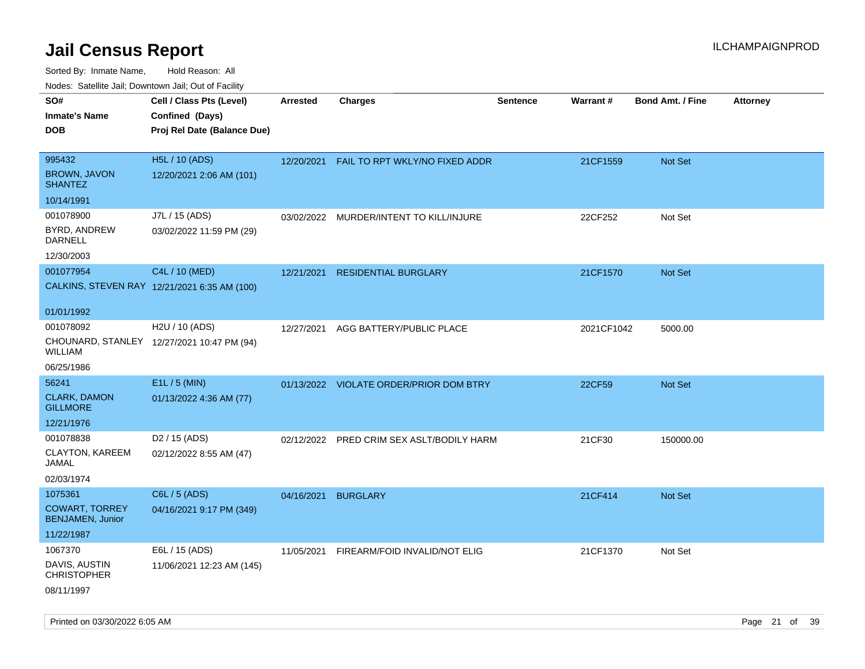| ivouss. Saleline Jali, Downtown Jali, Out of Facility |                                              |            |                                           |                 |                 |                         |                 |
|-------------------------------------------------------|----------------------------------------------|------------|-------------------------------------------|-----------------|-----------------|-------------------------|-----------------|
| SO#                                                   | Cell / Class Pts (Level)                     | Arrested   | <b>Charges</b>                            | <b>Sentence</b> | <b>Warrant#</b> | <b>Bond Amt. / Fine</b> | <b>Attorney</b> |
| Inmate's Name                                         | Confined (Days)                              |            |                                           |                 |                 |                         |                 |
| DOB                                                   | Proj Rel Date (Balance Due)                  |            |                                           |                 |                 |                         |                 |
|                                                       |                                              |            |                                           |                 |                 |                         |                 |
| 995432                                                | H5L / 10 (ADS)                               | 12/20/2021 | FAIL TO RPT WKLY/NO FIXED ADDR            |                 | 21CF1559        | Not Set                 |                 |
| <b>BROWN, JAVON</b><br><b>SHANTEZ</b>                 | 12/20/2021 2:06 AM (101)                     |            |                                           |                 |                 |                         |                 |
| 10/14/1991                                            |                                              |            |                                           |                 |                 |                         |                 |
| 001078900                                             | J7L / 15 (ADS)                               | 03/02/2022 | MURDER/INTENT TO KILL/INJURE              |                 | 22CF252         | Not Set                 |                 |
| BYRD, ANDREW<br>DARNELL                               | 03/02/2022 11:59 PM (29)                     |            |                                           |                 |                 |                         |                 |
| 12/30/2003                                            |                                              |            |                                           |                 |                 |                         |                 |
| 001077954                                             | C4L / 10 (MED)                               | 12/21/2021 | <b>RESIDENTIAL BURGLARY</b>               |                 | 21CF1570        | <b>Not Set</b>          |                 |
|                                                       | CALKINS, STEVEN RAY 12/21/2021 6:35 AM (100) |            |                                           |                 |                 |                         |                 |
| 01/01/1992                                            |                                              |            |                                           |                 |                 |                         |                 |
| 001078092                                             | H2U / 10 (ADS)                               | 12/27/2021 | AGG BATTERY/PUBLIC PLACE                  |                 | 2021CF1042      | 5000.00                 |                 |
| WILLIAM                                               | CHOUNARD, STANLEY 12/27/2021 10:47 PM (94)   |            |                                           |                 |                 |                         |                 |
| 06/25/1986                                            |                                              |            |                                           |                 |                 |                         |                 |
| 56241                                                 | E1L / 5 (MIN)                                |            | 01/13/2022 VIOLATE ORDER/PRIOR DOM BTRY   |                 | 22CF59          | Not Set                 |                 |
| <b>CLARK, DAMON</b><br><b>GILLMORE</b>                | 01/13/2022 4:36 AM (77)                      |            |                                           |                 |                 |                         |                 |
| 12/21/1976                                            |                                              |            |                                           |                 |                 |                         |                 |
| 001078838                                             | D <sub>2</sub> / 15 (ADS)                    |            | 02/12/2022 PRED CRIM SEX ASLT/BODILY HARM |                 | 21CF30          | 150000.00               |                 |
| CLAYTON, KAREEM<br>JAMAL                              | 02/12/2022 8:55 AM (47)                      |            |                                           |                 |                 |                         |                 |
| 02/03/1974                                            |                                              |            |                                           |                 |                 |                         |                 |
| 1075361                                               | C6L / 5 (ADS)                                | 04/16/2021 | <b>BURGLARY</b>                           |                 | 21CF414         | <b>Not Set</b>          |                 |
| <b>COWART, TORREY</b><br><b>BENJAMEN, Junior</b>      | 04/16/2021 9:17 PM (349)                     |            |                                           |                 |                 |                         |                 |
| 11/22/1987                                            |                                              |            |                                           |                 |                 |                         |                 |
| 1067370                                               | E6L / 15 (ADS)                               | 11/05/2021 | FIREARM/FOID INVALID/NOT ELIG             |                 | 21CF1370        | Not Set                 |                 |
| DAVIS, AUSTIN<br>CHRISTOPHER                          | 11/06/2021 12:23 AM (145)                    |            |                                           |                 |                 |                         |                 |
| 08/11/1997                                            |                                              |            |                                           |                 |                 |                         |                 |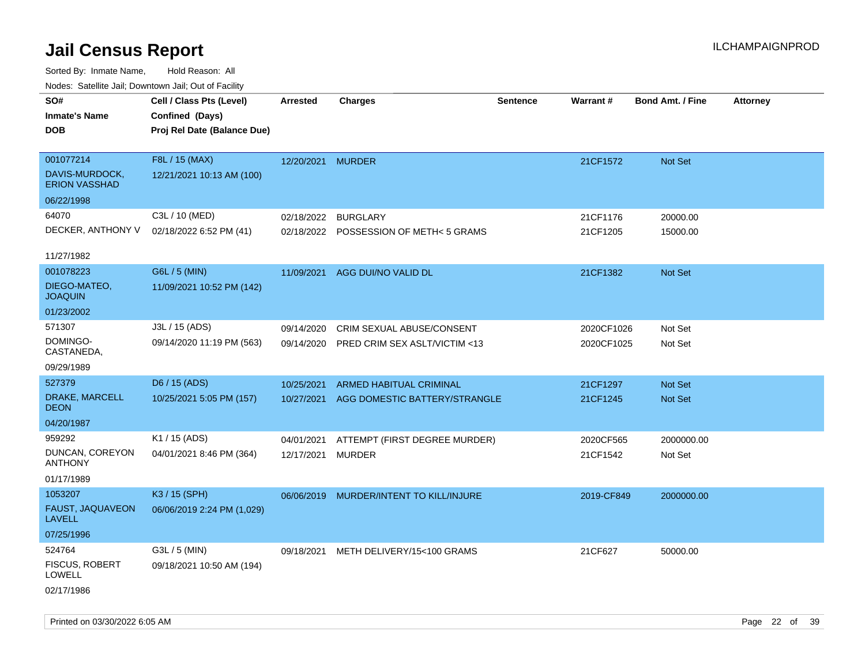| ivouss. Satellite Jali, Downtown Jali, Out of Facility |                             |                   |                                       |                 |            |                         |                 |
|--------------------------------------------------------|-----------------------------|-------------------|---------------------------------------|-----------------|------------|-------------------------|-----------------|
| SO#                                                    | Cell / Class Pts (Level)    | Arrested          | <b>Charges</b>                        | <b>Sentence</b> | Warrant#   | <b>Bond Amt. / Fine</b> | <b>Attorney</b> |
| <b>Inmate's Name</b>                                   | Confined (Days)             |                   |                                       |                 |            |                         |                 |
| <b>DOB</b>                                             | Proj Rel Date (Balance Due) |                   |                                       |                 |            |                         |                 |
|                                                        |                             |                   |                                       |                 |            |                         |                 |
| 001077214                                              | F8L / 15 (MAX)              | 12/20/2021 MURDER |                                       |                 | 21CF1572   | <b>Not Set</b>          |                 |
| DAVIS-MURDOCK,<br><b>ERION VASSHAD</b>                 | 12/21/2021 10:13 AM (100)   |                   |                                       |                 |            |                         |                 |
| 06/22/1998                                             |                             |                   |                                       |                 |            |                         |                 |
| 64070                                                  | C3L / 10 (MED)              | 02/18/2022        | <b>BURGLARY</b>                       |                 | 21CF1176   | 20000.00                |                 |
| DECKER, ANTHONY V                                      | 02/18/2022 6:52 PM (41)     |                   | 02/18/2022 POSSESSION OF METH<5 GRAMS |                 | 21CF1205   | 15000.00                |                 |
|                                                        |                             |                   |                                       |                 |            |                         |                 |
| 11/27/1982                                             |                             |                   |                                       |                 |            |                         |                 |
| 001078223                                              | G6L / 5 (MIN)               | 11/09/2021        | AGG DUI/NO VALID DL                   |                 | 21CF1382   | Not Set                 |                 |
| DIEGO-MATEO,<br><b>JOAQUIN</b>                         | 11/09/2021 10:52 PM (142)   |                   |                                       |                 |            |                         |                 |
| 01/23/2002                                             |                             |                   |                                       |                 |            |                         |                 |
| 571307                                                 | J3L / 15 (ADS)              | 09/14/2020        | CRIM SEXUAL ABUSE/CONSENT             |                 | 2020CF1026 | Not Set                 |                 |
| DOMINGO-<br>CASTANEDA,                                 | 09/14/2020 11:19 PM (563)   | 09/14/2020        | PRED CRIM SEX ASLT/VICTIM <13         |                 | 2020CF1025 | Not Set                 |                 |
| 09/29/1989                                             |                             |                   |                                       |                 |            |                         |                 |
| 527379                                                 | D6 / 15 (ADS)               | 10/25/2021        | ARMED HABITUAL CRIMINAL               |                 | 21CF1297   | <b>Not Set</b>          |                 |
| DRAKE, MARCELL<br><b>DEON</b>                          | 10/25/2021 5:05 PM (157)    | 10/27/2021        | AGG DOMESTIC BATTERY/STRANGLE         |                 | 21CF1245   | Not Set                 |                 |
| 04/20/1987                                             |                             |                   |                                       |                 |            |                         |                 |
| 959292                                                 | K1 / 15 (ADS)               | 04/01/2021        | ATTEMPT (FIRST DEGREE MURDER)         |                 | 2020CF565  | 2000000.00              |                 |
| DUNCAN, COREYON<br><b>ANTHONY</b>                      | 04/01/2021 8:46 PM (364)    | 12/17/2021 MURDER |                                       |                 | 21CF1542   | Not Set                 |                 |
| 01/17/1989                                             |                             |                   |                                       |                 |            |                         |                 |
| 1053207                                                | K3 / 15 (SPH)               | 06/06/2019        | MURDER/INTENT TO KILL/INJURE          |                 | 2019-CF849 | 2000000.00              |                 |
| <b>FAUST, JAQUAVEON</b><br>LAVELL                      | 06/06/2019 2:24 PM (1,029)  |                   |                                       |                 |            |                         |                 |
| 07/25/1996                                             |                             |                   |                                       |                 |            |                         |                 |
| 524764                                                 | G3L / 5 (MIN)               | 09/18/2021        | METH DELIVERY/15<100 GRAMS            |                 | 21CF627    | 50000.00                |                 |
| <b>FISCUS, ROBERT</b><br>LOWELL                        | 09/18/2021 10:50 AM (194)   |                   |                                       |                 |            |                         |                 |
| 02/17/1986                                             |                             |                   |                                       |                 |            |                         |                 |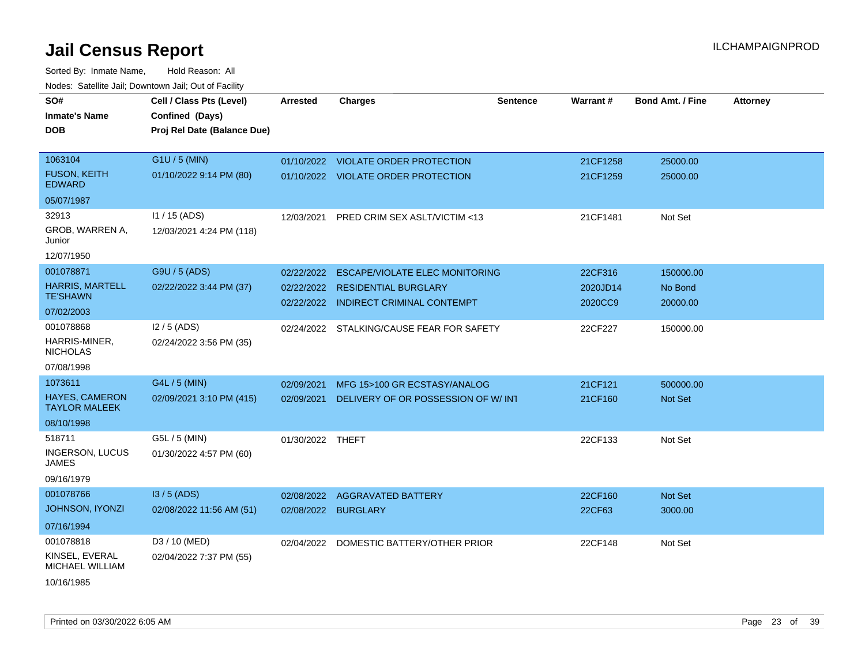| SO#                                           | Cell / Class Pts (Level)    | <b>Arrested</b>  | <b>Charges</b>                            | <b>Sentence</b> | Warrant# | <b>Bond Amt. / Fine</b> | <b>Attorney</b> |
|-----------------------------------------------|-----------------------------|------------------|-------------------------------------------|-----------------|----------|-------------------------|-----------------|
| <b>Inmate's Name</b>                          | Confined (Days)             |                  |                                           |                 |          |                         |                 |
| <b>DOB</b>                                    | Proj Rel Date (Balance Due) |                  |                                           |                 |          |                         |                 |
|                                               |                             |                  |                                           |                 |          |                         |                 |
| 1063104                                       | G1U / 5 (MIN)               |                  | 01/10/2022 VIOLATE ORDER PROTECTION       |                 | 21CF1258 | 25000.00                |                 |
| <b>FUSON, KEITH</b><br><b>EDWARD</b>          | 01/10/2022 9:14 PM (80)     |                  | 01/10/2022 VIOLATE ORDER PROTECTION       |                 | 21CF1259 | 25000.00                |                 |
| 05/07/1987                                    |                             |                  |                                           |                 |          |                         |                 |
| 32913                                         | I1 / 15 (ADS)               | 12/03/2021       | PRED CRIM SEX ASLT/VICTIM <13             |                 | 21CF1481 | Not Set                 |                 |
| GROB, WARREN A,<br>Junior                     | 12/03/2021 4:24 PM (118)    |                  |                                           |                 |          |                         |                 |
| 12/07/1950                                    |                             |                  |                                           |                 |          |                         |                 |
| 001078871                                     | G9U / 5 (ADS)               | 02/22/2022       | ESCAPE/VIOLATE ELEC MONITORING            |                 | 22CF316  | 150000.00               |                 |
| <b>HARRIS, MARTELL</b>                        | 02/22/2022 3:44 PM (37)     | 02/22/2022       | <b>RESIDENTIAL BURGLARY</b>               |                 | 2020JD14 | No Bond                 |                 |
| <b>TE'SHAWN</b>                               |                             |                  | 02/22/2022 INDIRECT CRIMINAL CONTEMPT     |                 | 2020CC9  | 20000.00                |                 |
| 07/02/2003                                    |                             |                  |                                           |                 |          |                         |                 |
| 001078868                                     | $12/5$ (ADS)                |                  | 02/24/2022 STALKING/CAUSE FEAR FOR SAFETY |                 | 22CF227  | 150000.00               |                 |
| HARRIS-MINER,<br><b>NICHOLAS</b>              | 02/24/2022 3:56 PM (35)     |                  |                                           |                 |          |                         |                 |
| 07/08/1998                                    |                             |                  |                                           |                 |          |                         |                 |
| 1073611                                       | G4L / 5 (MIN)               | 02/09/2021       | MFG 15>100 GR ECSTASY/ANALOG              |                 | 21CF121  | 500000.00               |                 |
| <b>HAYES, CAMERON</b><br><b>TAYLOR MALEEK</b> | 02/09/2021 3:10 PM (415)    | 02/09/2021       | DELIVERY OF OR POSSESSION OF W/INT        |                 | 21CF160  | Not Set                 |                 |
| 08/10/1998                                    |                             |                  |                                           |                 |          |                         |                 |
| 518711                                        | G5L / 5 (MIN)               | 01/30/2022 THEFT |                                           |                 | 22CF133  | Not Set                 |                 |
| <b>INGERSON, LUCUS</b><br>JAMES               | 01/30/2022 4:57 PM (60)     |                  |                                           |                 |          |                         |                 |
| 09/16/1979                                    |                             |                  |                                           |                 |          |                         |                 |
| 001078766                                     | $13/5$ (ADS)                | 02/08/2022       | <b>AGGRAVATED BATTERY</b>                 |                 | 22CF160  | Not Set                 |                 |
| <b>JOHNSON, IYONZI</b>                        | 02/08/2022 11:56 AM (51)    |                  | 02/08/2022 BURGLARY                       |                 | 22CF63   | 3000.00                 |                 |
| 07/16/1994                                    |                             |                  |                                           |                 |          |                         |                 |
| 001078818                                     | D3 / 10 (MED)               | 02/04/2022       | DOMESTIC BATTERY/OTHER PRIOR              |                 | 22CF148  | Not Set                 |                 |
| KINSEL, EVERAL<br><b>MICHAEL WILLIAM</b>      | 02/04/2022 7:37 PM (55)     |                  |                                           |                 |          |                         |                 |
| 10/16/1985                                    |                             |                  |                                           |                 |          |                         |                 |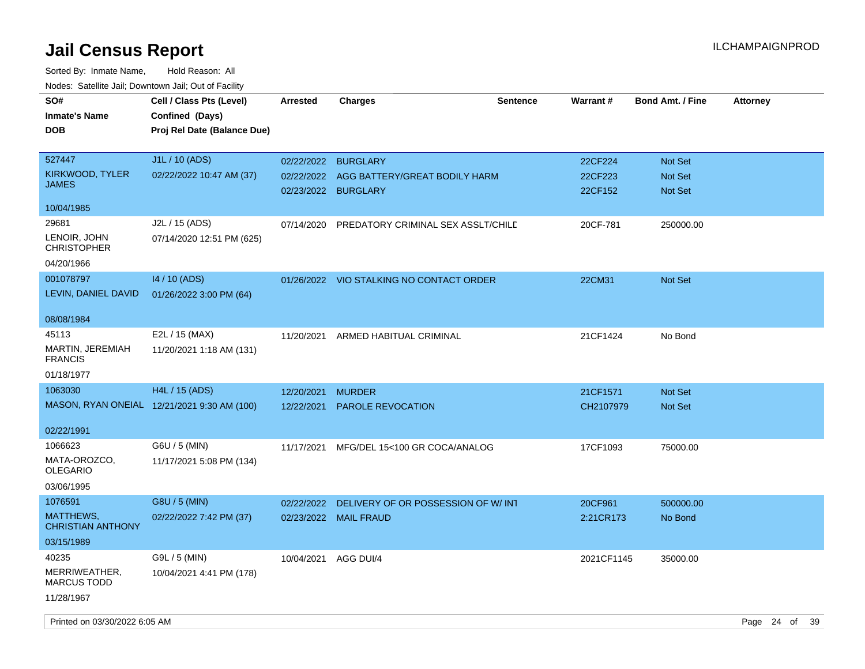| SO#<br><b>Inmate's Name</b><br><b>DOB</b>    | Cell / Class Pts (Level)<br>Confined (Days)<br>Proj Rel Date (Balance Due) | <b>Arrested</b> | <b>Charges</b>                           | <b>Sentence</b> | <b>Warrant#</b> | <b>Bond Amt. / Fine</b> | <b>Attorney</b> |
|----------------------------------------------|----------------------------------------------------------------------------|-----------------|------------------------------------------|-----------------|-----------------|-------------------------|-----------------|
| 527447                                       | J1L / 10 (ADS)                                                             |                 | 02/22/2022 BURGLARY                      |                 | 22CF224         | Not Set                 |                 |
| KIRKWOOD, TYLER                              | 02/22/2022 10:47 AM (37)                                                   | 02/22/2022      | AGG BATTERY/GREAT BODILY HARM            |                 | 22CF223         | Not Set                 |                 |
| <b>JAMES</b>                                 |                                                                            |                 | 02/23/2022 BURGLARY                      |                 | 22CF152         | <b>Not Set</b>          |                 |
| 10/04/1985                                   |                                                                            |                 |                                          |                 |                 |                         |                 |
| 29681                                        | J2L / 15 (ADS)                                                             | 07/14/2020      | PREDATORY CRIMINAL SEX ASSLT/CHILD       |                 | 20CF-781        | 250000.00               |                 |
| LENOIR, JOHN<br><b>CHRISTOPHER</b>           | 07/14/2020 12:51 PM (625)                                                  |                 |                                          |                 |                 |                         |                 |
| 04/20/1966                                   |                                                                            |                 |                                          |                 |                 |                         |                 |
| 001078797                                    | 14 / 10 (ADS)                                                              |                 | 01/26/2022 VIO STALKING NO CONTACT ORDER |                 | 22CM31          | Not Set                 |                 |
| LEVIN, DANIEL DAVID                          | 01/26/2022 3:00 PM (64)                                                    |                 |                                          |                 |                 |                         |                 |
| 08/08/1984                                   |                                                                            |                 |                                          |                 |                 |                         |                 |
| 45113                                        | E2L / 15 (MAX)                                                             | 11/20/2021      | ARMED HABITUAL CRIMINAL                  |                 | 21CF1424        | No Bond                 |                 |
| MARTIN, JEREMIAH<br><b>FRANCIS</b>           | 11/20/2021 1:18 AM (131)                                                   |                 |                                          |                 |                 |                         |                 |
| 01/18/1977                                   |                                                                            |                 |                                          |                 |                 |                         |                 |
| 1063030                                      | H4L / 15 (ADS)                                                             | 12/20/2021      | <b>MURDER</b>                            |                 | 21CF1571        | Not Set                 |                 |
|                                              | MASON, RYAN ONEIAL 12/21/2021 9:30 AM (100)                                | 12/22/2021      | <b>PAROLE REVOCATION</b>                 |                 | CH2107979       | <b>Not Set</b>          |                 |
| 02/22/1991                                   |                                                                            |                 |                                          |                 |                 |                         |                 |
| 1066623                                      | G6U / 5 (MIN)                                                              | 11/17/2021      | MFG/DEL 15<100 GR COCA/ANALOG            |                 | 17CF1093        | 75000.00                |                 |
| MATA-OROZCO.<br><b>OLEGARIO</b>              | 11/17/2021 5:08 PM (134)                                                   |                 |                                          |                 |                 |                         |                 |
| 03/06/1995                                   |                                                                            |                 |                                          |                 |                 |                         |                 |
| 1076591                                      | G8U / 5 (MIN)                                                              | 02/22/2022      | DELIVERY OF OR POSSESSION OF W/INT       |                 | 20CF961         | 500000.00               |                 |
| <b>MATTHEWS,</b><br><b>CHRISTIAN ANTHONY</b> | 02/22/2022 7:42 PM (37)                                                    |                 | 02/23/2022 MAIL FRAUD                    |                 | 2:21CR173       | No Bond                 |                 |
| 03/15/1989                                   |                                                                            |                 |                                          |                 |                 |                         |                 |
| 40235                                        | G9L / 5 (MIN)                                                              | 10/04/2021      | AGG DUI/4                                |                 | 2021CF1145      | 35000.00                |                 |
| MERRIWEATHER,<br><b>MARCUS TODD</b>          | 10/04/2021 4:41 PM (178)                                                   |                 |                                          |                 |                 |                         |                 |
| 11/28/1967                                   |                                                                            |                 |                                          |                 |                 |                         |                 |
|                                              |                                                                            |                 |                                          |                 |                 |                         |                 |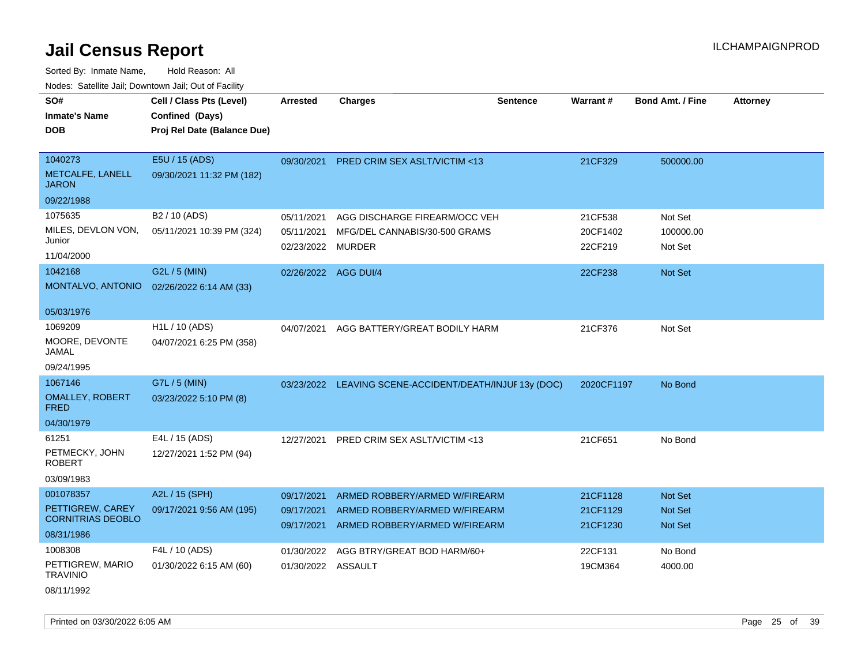Sorted By: Inmate Name, Hold Reason: All Nodes: Satellite Jail; Downtown Jail; Out of Facility

| SO#                                   | Cell / Class Pts (Level)    | <b>Arrested</b>      | <b>Charges</b>                                          | <b>Sentence</b> | Warrant#   | <b>Bond Amt. / Fine</b> | <b>Attorney</b> |
|---------------------------------------|-----------------------------|----------------------|---------------------------------------------------------|-----------------|------------|-------------------------|-----------------|
| <b>Inmate's Name</b>                  | Confined (Days)             |                      |                                                         |                 |            |                         |                 |
| <b>DOB</b>                            | Proj Rel Date (Balance Due) |                      |                                                         |                 |            |                         |                 |
|                                       |                             |                      |                                                         |                 |            |                         |                 |
| 1040273                               | E5U / 15 (ADS)              | 09/30/2021           | <b>PRED CRIM SEX ASLT/VICTIM &lt;13</b>                 |                 | 21CF329    | 500000.00               |                 |
| METCALFE, LANELL<br><b>JARON</b>      | 09/30/2021 11:32 PM (182)   |                      |                                                         |                 |            |                         |                 |
| 09/22/1988                            |                             |                      |                                                         |                 |            |                         |                 |
| 1075635                               | B <sub>2</sub> / 10 (ADS)   | 05/11/2021           | AGG DISCHARGE FIREARM/OCC VEH                           |                 | 21CF538    | Not Set                 |                 |
| MILES, DEVLON VON,                    | 05/11/2021 10:39 PM (324)   | 05/11/2021           | MFG/DEL CANNABIS/30-500 GRAMS                           |                 | 20CF1402   | 100000.00               |                 |
| Junior                                |                             | 02/23/2022 MURDER    |                                                         |                 | 22CF219    | Not Set                 |                 |
| 11/04/2000                            |                             |                      |                                                         |                 |            |                         |                 |
| 1042168                               | G2L / 5 (MIN)               | 02/26/2022 AGG DUI/4 |                                                         |                 | 22CF238    | Not Set                 |                 |
| MONTALVO, ANTONIO                     | 02/26/2022 6:14 AM (33)     |                      |                                                         |                 |            |                         |                 |
| 05/03/1976                            |                             |                      |                                                         |                 |            |                         |                 |
| 1069209                               | H1L / 10 (ADS)              | 04/07/2021           | AGG BATTERY/GREAT BODILY HARM                           |                 | 21CF376    | Not Set                 |                 |
| MOORE, DEVONTE<br>JAMAL               | 04/07/2021 6:25 PM (358)    |                      |                                                         |                 |            |                         |                 |
| 09/24/1995                            |                             |                      |                                                         |                 |            |                         |                 |
| 1067146                               | G7L / 5 (MIN)               |                      | 03/23/2022 LEAVING SCENE-ACCIDENT/DEATH/INJUF 13y (DOC) |                 | 2020CF1197 | No Bond                 |                 |
| <b>OMALLEY, ROBERT</b><br><b>FRED</b> | 03/23/2022 5:10 PM (8)      |                      |                                                         |                 |            |                         |                 |
| 04/30/1979                            |                             |                      |                                                         |                 |            |                         |                 |
| 61251                                 | E4L / 15 (ADS)              | 12/27/2021           | PRED CRIM SEX ASLT/VICTIM <13                           |                 | 21CF651    | No Bond                 |                 |
| PETMECKY, JOHN<br><b>ROBERT</b>       | 12/27/2021 1:52 PM (94)     |                      |                                                         |                 |            |                         |                 |
| 03/09/1983                            |                             |                      |                                                         |                 |            |                         |                 |
| 001078357                             | A2L / 15 (SPH)              | 09/17/2021           | ARMED ROBBERY/ARMED W/FIREARM                           |                 | 21CF1128   | Not Set                 |                 |
| PETTIGREW, CAREY                      | 09/17/2021 9:56 AM (195)    | 09/17/2021           | ARMED ROBBERY/ARMED W/FIREARM                           |                 | 21CF1129   | <b>Not Set</b>          |                 |
| <b>CORNITRIAS DEOBLO</b>              |                             | 09/17/2021           | ARMED ROBBERY/ARMED W/FIREARM                           |                 | 21CF1230   | Not Set                 |                 |
| 08/31/1986                            |                             |                      |                                                         |                 |            |                         |                 |
| 1008308                               | F4L / 10 (ADS)              | 01/30/2022           | AGG BTRY/GREAT BOD HARM/60+                             |                 | 22CF131    | No Bond                 |                 |
| PETTIGREW, MARIO<br><b>TRAVINIO</b>   | 01/30/2022 6:15 AM (60)     | 01/30/2022 ASSAULT   |                                                         |                 | 19CM364    | 4000.00                 |                 |
| 08/11/1992                            |                             |                      |                                                         |                 |            |                         |                 |

Printed on 03/30/2022 6:05 AM Page 25 of 39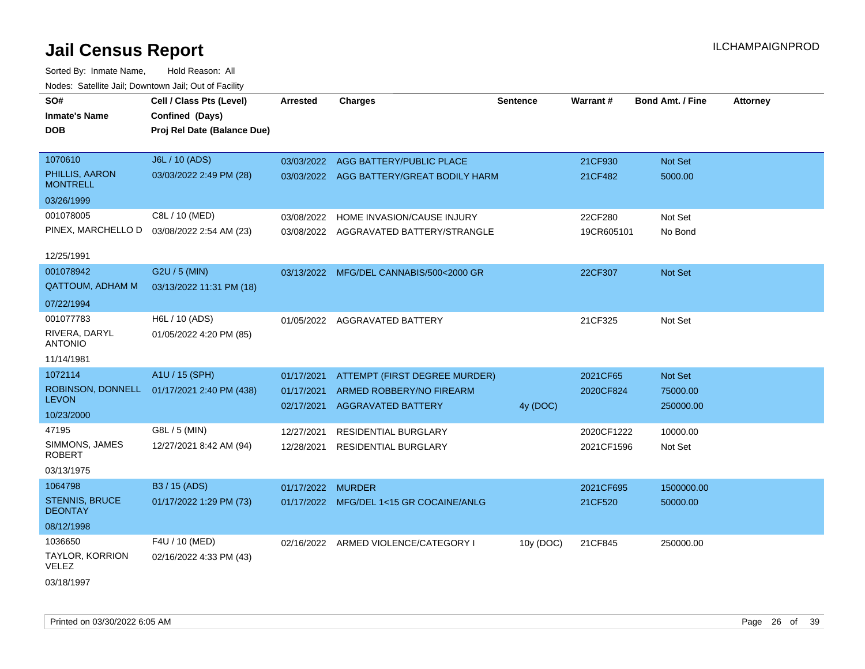Sorted By: Inmate Name, Hold Reason: All Nodes: Satellite Jail; Downtown Jail; Out of Facility

| SO#                                     | Cell / Class Pts (Level)    | <b>Arrested</b> | <b>Charges</b>                           | <b>Sentence</b> | Warrant#   | <b>Bond Amt. / Fine</b> | <b>Attorney</b> |
|-----------------------------------------|-----------------------------|-----------------|------------------------------------------|-----------------|------------|-------------------------|-----------------|
| <b>Inmate's Name</b>                    | Confined (Days)             |                 |                                          |                 |            |                         |                 |
| <b>DOB</b>                              | Proj Rel Date (Balance Due) |                 |                                          |                 |            |                         |                 |
|                                         |                             |                 |                                          |                 |            |                         |                 |
| 1070610                                 | J6L / 10 (ADS)              |                 | 03/03/2022 AGG BATTERY/PUBLIC PLACE      |                 | 21CF930    | Not Set                 |                 |
| PHILLIS, AARON<br><b>MONTRELL</b>       | 03/03/2022 2:49 PM (28)     |                 | 03/03/2022 AGG BATTERY/GREAT BODILY HARM |                 | 21CF482    | 5000.00                 |                 |
| 03/26/1999                              |                             |                 |                                          |                 |            |                         |                 |
| 001078005                               | C8L / 10 (MED)              | 03/08/2022      | HOME INVASION/CAUSE INJURY               |                 | 22CF280    | Not Set                 |                 |
| PINEX, MARCHELLO D                      | 03/08/2022 2:54 AM (23)     | 03/08/2022      | AGGRAVATED BATTERY/STRANGLE              |                 | 19CR605101 | No Bond                 |                 |
| 12/25/1991                              |                             |                 |                                          |                 |            |                         |                 |
| 001078942                               | G2U / 5 (MIN)               |                 | 03/13/2022 MFG/DEL CANNABIS/500<2000 GR  |                 | 22CF307    | <b>Not Set</b>          |                 |
| <b>QATTOUM, ADHAM M</b>                 | 03/13/2022 11:31 PM (18)    |                 |                                          |                 |            |                         |                 |
| 07/22/1994                              |                             |                 |                                          |                 |            |                         |                 |
| 001077783                               | H6L / 10 (ADS)              |                 | 01/05/2022 AGGRAVATED BATTERY            |                 | 21CF325    | Not Set                 |                 |
| RIVERA, DARYL<br><b>ANTONIO</b>         | 01/05/2022 4:20 PM (85)     |                 |                                          |                 |            |                         |                 |
| 11/14/1981                              |                             |                 |                                          |                 |            |                         |                 |
| 1072114                                 | A1U / 15 (SPH)              | 01/17/2021      | ATTEMPT (FIRST DEGREE MURDER)            |                 | 2021CF65   | Not Set                 |                 |
| ROBINSON, DONNELL                       | 01/17/2021 2:40 PM (438)    | 01/17/2021      | ARMED ROBBERY/NO FIREARM                 |                 | 2020CF824  | 75000.00                |                 |
| <b>LEVON</b>                            |                             | 02/17/2021      | <b>AGGRAVATED BATTERY</b>                | 4y (DOC)        |            | 250000.00               |                 |
| 10/23/2000                              |                             |                 |                                          |                 |            |                         |                 |
| 47195                                   | G8L / 5 (MIN)               | 12/27/2021      | RESIDENTIAL BURGLARY                     |                 | 2020CF1222 | 10000.00                |                 |
| SIMMONS, JAMES<br><b>ROBERT</b>         | 12/27/2021 8:42 AM (94)     | 12/28/2021      | RESIDENTIAL BURGLARY                     |                 | 2021CF1596 | Not Set                 |                 |
| 03/13/1975                              |                             |                 |                                          |                 |            |                         |                 |
| 1064798                                 | B3 / 15 (ADS)               | 01/17/2022      | <b>MURDER</b>                            |                 | 2021CF695  | 1500000.00              |                 |
| <b>STENNIS, BRUCE</b><br><b>DEONTAY</b> | 01/17/2022 1:29 PM (73)     |                 | 01/17/2022 MFG/DEL 1<15 GR COCAINE/ANLG  |                 | 21CF520    | 50000.00                |                 |
| 08/12/1998                              |                             |                 |                                          |                 |            |                         |                 |
| 1036650                                 | F4U / 10 (MED)              |                 | 02/16/2022 ARMED VIOLENCE/CATEGORY I     | 10y (DOC)       | 21CF845    | 250000.00               |                 |
| TAYLOR, KORRION<br><b>VELEZ</b>         | 02/16/2022 4:33 PM (43)     |                 |                                          |                 |            |                         |                 |
|                                         |                             |                 |                                          |                 |            |                         |                 |

03/18/1997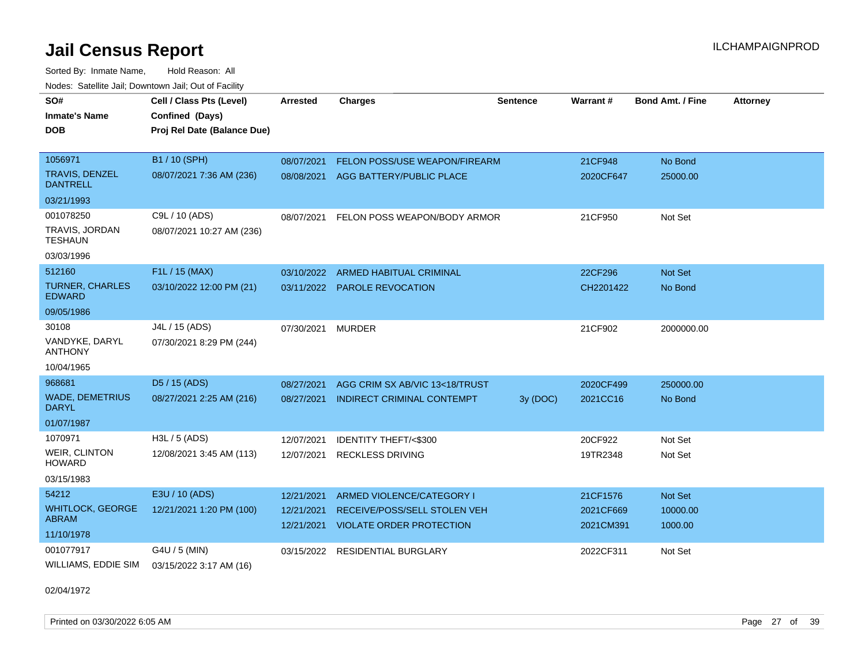Sorted By: Inmate Name, Hold Reason: All Nodes: Satellite Jail; Downtown Jail; Out of Facility

| SO#                                      | Cell / Class Pts (Level)    | Arrested          | Charges                           | <b>Sentence</b> | Warrant#  | <b>Bond Amt. / Fine</b> | <b>Attorney</b> |
|------------------------------------------|-----------------------------|-------------------|-----------------------------------|-----------------|-----------|-------------------------|-----------------|
| <b>Inmate's Name</b>                     | Confined (Days)             |                   |                                   |                 |           |                         |                 |
| <b>DOB</b>                               | Proj Rel Date (Balance Due) |                   |                                   |                 |           |                         |                 |
|                                          |                             |                   |                                   |                 |           |                         |                 |
| 1056971                                  | B1 / 10 (SPH)               | 08/07/2021        | FELON POSS/USE WEAPON/FIREARM     |                 | 21CF948   | No Bond                 |                 |
| <b>TRAVIS, DENZEL</b><br><b>DANTRELL</b> | 08/07/2021 7:36 AM (236)    | 08/08/2021        | AGG BATTERY/PUBLIC PLACE          |                 | 2020CF647 | 25000.00                |                 |
| 03/21/1993                               |                             |                   |                                   |                 |           |                         |                 |
| 001078250                                | C9L / 10 (ADS)              | 08/07/2021        | FELON POSS WEAPON/BODY ARMOR      |                 | 21CF950   | Not Set                 |                 |
| TRAVIS, JORDAN<br><b>TESHAUN</b>         | 08/07/2021 10:27 AM (236)   |                   |                                   |                 |           |                         |                 |
| 03/03/1996                               |                             |                   |                                   |                 |           |                         |                 |
| 512160                                   | F1L / 15 (MAX)              | 03/10/2022        | <b>ARMED HABITUAL CRIMINAL</b>    |                 | 22CF296   | Not Set                 |                 |
| <b>TURNER, CHARLES</b><br><b>EDWARD</b>  | 03/10/2022 12:00 PM (21)    |                   | 03/11/2022 PAROLE REVOCATION      |                 | CH2201422 | No Bond                 |                 |
| 09/05/1986                               |                             |                   |                                   |                 |           |                         |                 |
| 30108                                    | J4L / 15 (ADS)              | 07/30/2021 MURDER |                                   |                 | 21CF902   | 2000000.00              |                 |
| VANDYKE, DARYL<br><b>ANTHONY</b>         | 07/30/2021 8:29 PM (244)    |                   |                                   |                 |           |                         |                 |
| 10/04/1965                               |                             |                   |                                   |                 |           |                         |                 |
| 968681                                   | D5 / 15 (ADS)               | 08/27/2021        | AGG CRIM SX AB/VIC 13<18/TRUST    |                 | 2020CF499 | 250000.00               |                 |
| <b>WADE, DEMETRIUS</b><br><b>DARYL</b>   | 08/27/2021 2:25 AM (216)    | 08/27/2021        | <b>INDIRECT CRIMINAL CONTEMPT</b> | 3y (DOC)        | 2021CC16  | No Bond                 |                 |
| 01/07/1987                               |                             |                   |                                   |                 |           |                         |                 |
| 1070971                                  | H3L / 5 (ADS)               | 12/07/2021        | IDENTITY THEFT/<\$300             |                 | 20CF922   | Not Set                 |                 |
| WEIR, CLINTON<br><b>HOWARD</b>           | 12/08/2021 3:45 AM (113)    |                   | 12/07/2021 RECKLESS DRIVING       |                 | 19TR2348  | Not Set                 |                 |
| 03/15/1983                               |                             |                   |                                   |                 |           |                         |                 |
| 54212                                    | E3U / 10 (ADS)              | 12/21/2021        | ARMED VIOLENCE/CATEGORY I         |                 | 21CF1576  | Not Set                 |                 |
| <b>WHITLOCK, GEORGE</b>                  | 12/21/2021 1:20 PM (100)    | 12/21/2021        | RECEIVE/POSS/SELL STOLEN VEH      |                 | 2021CF669 | 10000.00                |                 |
| <b>ABRAM</b>                             |                             | 12/21/2021        | <b>VIOLATE ORDER PROTECTION</b>   |                 | 2021CM391 | 1000.00                 |                 |
| 11/10/1978                               |                             |                   |                                   |                 |           |                         |                 |
| 001077917                                | G4U / 5 (MIN)               | 03/15/2022        | <b>RESIDENTIAL BURGLARY</b>       |                 | 2022CF311 | Not Set                 |                 |
| WILLIAMS, EDDIE SIM                      | 03/15/2022 3:17 AM (16)     |                   |                                   |                 |           |                         |                 |

02/04/1972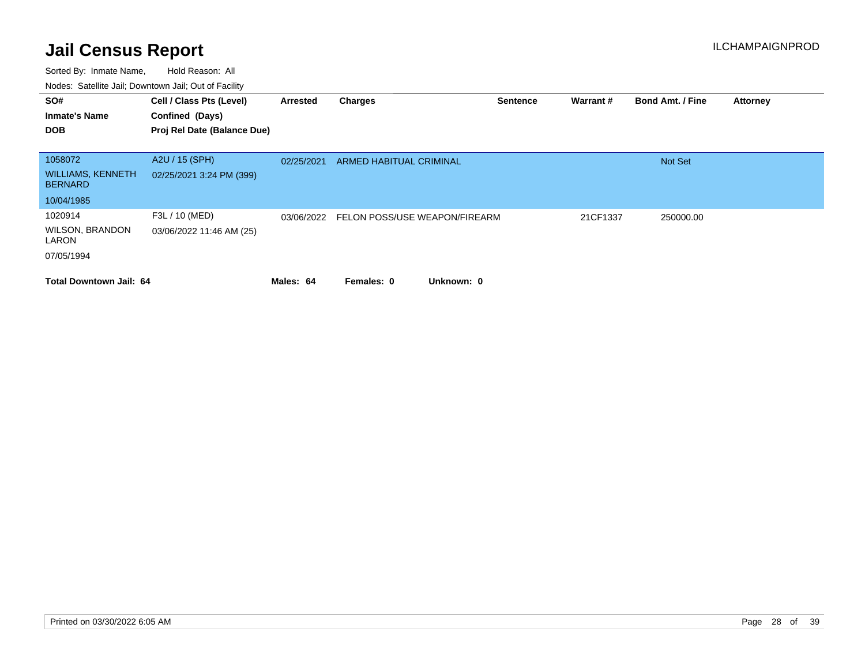| SO#                                        | Cell / Class Pts (Level)    | Arrested   | Charges                        | <b>Sentence</b> | <b>Warrant#</b> | <b>Bond Amt. / Fine</b> | <b>Attorney</b> |
|--------------------------------------------|-----------------------------|------------|--------------------------------|-----------------|-----------------|-------------------------|-----------------|
| <b>Inmate's Name</b>                       | Confined (Days)             |            |                                |                 |                 |                         |                 |
| <b>DOB</b>                                 | Proj Rel Date (Balance Due) |            |                                |                 |                 |                         |                 |
|                                            |                             |            |                                |                 |                 |                         |                 |
| 1058072                                    | A2U / 15 (SPH)              | 02/25/2021 | <b>ARMED HABITUAL CRIMINAL</b> |                 |                 | Not Set                 |                 |
| <b>WILLIAMS, KENNETH</b><br><b>BERNARD</b> | 02/25/2021 3:24 PM (399)    |            |                                |                 |                 |                         |                 |
| 10/04/1985                                 |                             |            |                                |                 |                 |                         |                 |
| 1020914                                    | F3L / 10 (MED)              | 03/06/2022 | FELON POSS/USE WEAPON/FIREARM  |                 | 21CF1337        | 250000.00               |                 |
| <b>WILSON, BRANDON</b><br>LARON            | 03/06/2022 11:46 AM (25)    |            |                                |                 |                 |                         |                 |
| 07/05/1994                                 |                             |            |                                |                 |                 |                         |                 |
|                                            |                             |            |                                |                 |                 |                         |                 |
| <b>Total Downtown Jail: 64</b>             |                             | Males: 64  | Females: 0                     | Unknown: 0      |                 |                         |                 |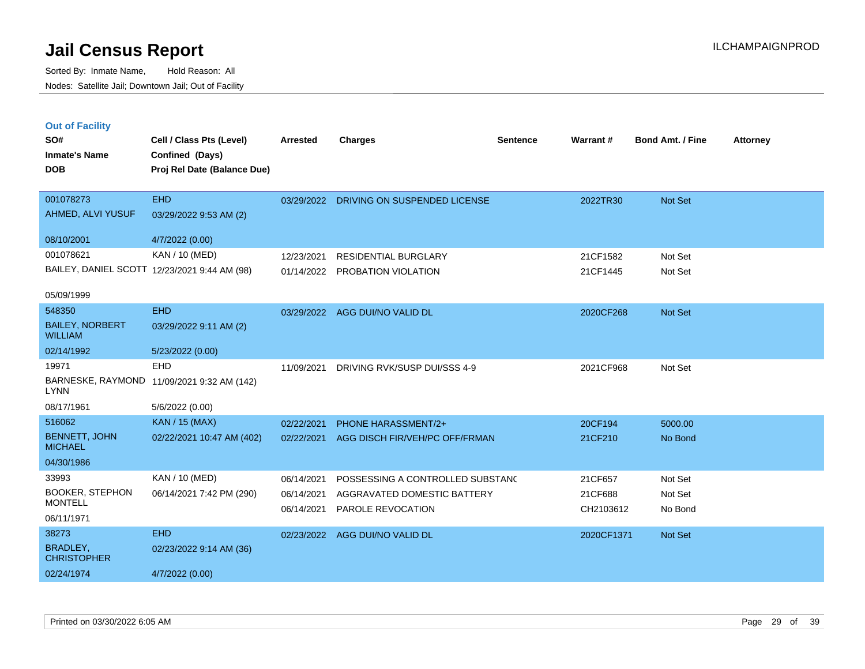**Out of Facility**

**MONTELL** 

06/11/1971

BRADLEY, **CHRISTOPHER** 

Sorted By: Inmate Name, Hold Reason: All Nodes: Satellite Jail; Downtown Jail; Out of Facility

| SO#<br><b>Inmate's Name</b>                  | Cell / Class Pts (Level)<br>Confined (Days) | <b>Arrested</b> | <b>Charges</b>                   | <b>Sentence</b> | Warrant#  | <b>Bond Amt. / Fine</b> | <b>Attorney</b> |
|----------------------------------------------|---------------------------------------------|-----------------|----------------------------------|-----------------|-----------|-------------------------|-----------------|
| <b>DOB</b>                                   | Proj Rel Date (Balance Due)                 |                 |                                  |                 |           |                         |                 |
|                                              |                                             |                 |                                  |                 |           |                         |                 |
| 001078273                                    | <b>EHD</b>                                  | 03/29/2022      | DRIVING ON SUSPENDED LICENSE     |                 | 2022TR30  | Not Set                 |                 |
| AHMED, ALVI YUSUF                            | 03/29/2022 9:53 AM (2)                      |                 |                                  |                 |           |                         |                 |
| 08/10/2001                                   | 4/7/2022 (0.00)                             |                 |                                  |                 |           |                         |                 |
| 001078621                                    | KAN / 10 (MED)                              | 12/23/2021      | <b>RESIDENTIAL BURGLARY</b>      |                 | 21CF1582  | Not Set                 |                 |
| BAILEY, DANIEL SCOTT 12/23/2021 9:44 AM (98) |                                             | 01/14/2022      | PROBATION VIOLATION              |                 | 21CF1445  | Not Set                 |                 |
| 05/09/1999                                   |                                             |                 |                                  |                 |           |                         |                 |
| 548350                                       | <b>EHD</b>                                  | 03/29/2022      | AGG DUI/NO VALID DL              |                 | 2020CF268 | Not Set                 |                 |
| <b>BAILEY, NORBERT</b><br><b>WILLIAM</b>     | 03/29/2022 9:11 AM (2)                      |                 |                                  |                 |           |                         |                 |
| 02/14/1992                                   | 5/23/2022 (0.00)                            |                 |                                  |                 |           |                         |                 |
| 19971                                        | <b>EHD</b>                                  | 11/09/2021      | DRIVING RVK/SUSP DUI/SSS 4-9     |                 | 2021CF968 | Not Set                 |                 |
| <b>LYNN</b>                                  | BARNESKE, RAYMOND 11/09/2021 9:32 AM (142)  |                 |                                  |                 |           |                         |                 |
| 08/17/1961                                   | 5/6/2022 (0.00)                             |                 |                                  |                 |           |                         |                 |
| 516062                                       | <b>KAN / 15 (MAX)</b>                       | 02/22/2021      | <b>PHONE HARASSMENT/2+</b>       |                 | 20CF194   | 5000.00                 |                 |
| <b>BENNETT, JOHN</b><br><b>MICHAEL</b>       | 02/22/2021 10:47 AM (402)                   | 02/22/2021      | AGG DISCH FIR/VEH/PC OFF/FRMAN   |                 | 21CF210   | No Bond                 |                 |
| 04/30/1986                                   |                                             |                 |                                  |                 |           |                         |                 |
| 33993                                        | <b>KAN / 10 (MED)</b>                       | 06/14/2021      | POSSESSING A CONTROLLED SUBSTAND |                 | 21CF657   | Not Set                 |                 |
| <b>BOOKER, STEPHON</b>                       | 06/14/2021 7:42 PM (290)                    | 06/14/2021      | AGGRAVATED DOMESTIC BATTERY      |                 | 21CF688   | Not Set                 |                 |

06/14/2021 PAROLE REVOCATION CH2103612 No Bond

02/23/2022 AGG DUI/NO VALID DL 2020CF1371 Not Set

Printed on 03/30/2022 6:05 AM Page 29 of 39

02/24/1974 4/7/2022 (0.00)

38273 EHD

02/23/2022 9:14 AM (36)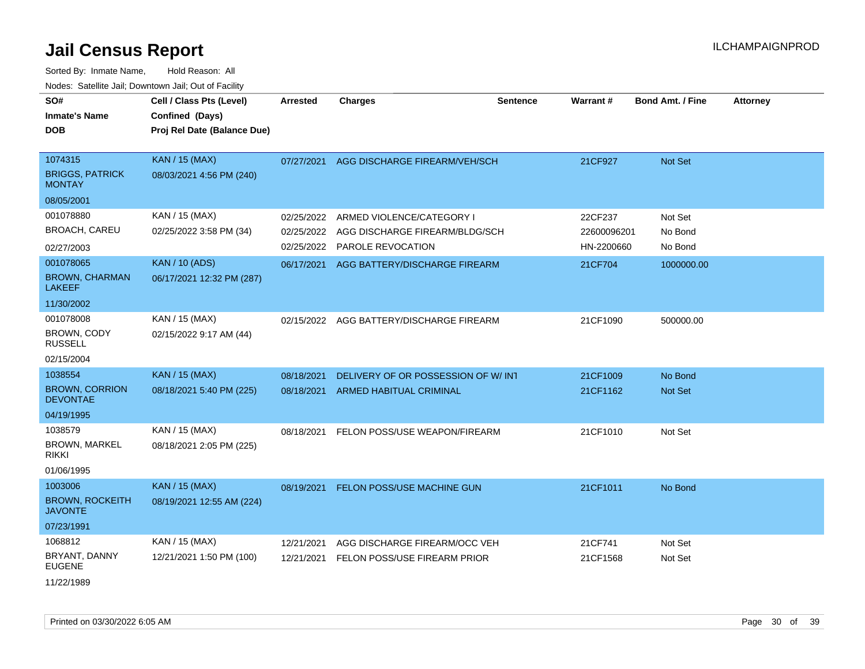| SO#<br><b>Inmate's Name</b><br>DOB                 | Cell / Class Pts (Level)<br>Confined (Days)<br>Proj Rel Date (Balance Due) | <b>Arrested</b> | <b>Charges</b>                     | <b>Sentence</b> | <b>Warrant#</b> | <b>Bond Amt. / Fine</b> | <b>Attorney</b> |
|----------------------------------------------------|----------------------------------------------------------------------------|-----------------|------------------------------------|-----------------|-----------------|-------------------------|-----------------|
| 1074315<br><b>BRIGGS, PATRICK</b><br><b>MONTAY</b> | KAN / 15 (MAX)<br>08/03/2021 4:56 PM (240)                                 | 07/27/2021      | AGG DISCHARGE FIREARM/VEH/SCH      |                 | 21CF927         | Not Set                 |                 |
| 08/05/2001                                         |                                                                            |                 |                                    |                 |                 |                         |                 |
| 001078880                                          | KAN / 15 (MAX)                                                             | 02/25/2022      | ARMED VIOLENCE/CATEGORY I          |                 | 22CF237         | Not Set                 |                 |
| <b>BROACH, CAREU</b>                               | 02/25/2022 3:58 PM (34)                                                    | 02/25/2022      | AGG DISCHARGE FIREARM/BLDG/SCH     |                 | 22600096201     | No Bond                 |                 |
| 02/27/2003                                         |                                                                            | 02/25/2022      | PAROLE REVOCATION                  |                 | HN-2200660      | No Bond                 |                 |
| 001078065                                          | <b>KAN / 10 (ADS)</b>                                                      | 06/17/2021      | AGG BATTERY/DISCHARGE FIREARM      |                 | 21CF704         | 1000000.00              |                 |
| <b>BROWN, CHARMAN</b><br><b>LAKEEF</b>             | 06/17/2021 12:32 PM (287)                                                  |                 |                                    |                 |                 |                         |                 |
| 11/30/2002                                         |                                                                            |                 |                                    |                 |                 |                         |                 |
| 001078008                                          | KAN / 15 (MAX)                                                             | 02/15/2022      | AGG BATTERY/DISCHARGE FIREARM      |                 | 21CF1090        | 500000.00               |                 |
| BROWN, CODY<br><b>RUSSELL</b>                      | 02/15/2022 9:17 AM (44)                                                    |                 |                                    |                 |                 |                         |                 |
| 02/15/2004                                         |                                                                            |                 |                                    |                 |                 |                         |                 |
| 1038554                                            | <b>KAN / 15 (MAX)</b>                                                      | 08/18/2021      | DELIVERY OF OR POSSESSION OF W/INT |                 | 21CF1009        | No Bond                 |                 |
| <b>BROWN, CORRION</b><br><b>DEVONTAE</b>           | 08/18/2021 5:40 PM (225)                                                   | 08/18/2021      | ARMED HABITUAL CRIMINAL            |                 | 21CF1162        | <b>Not Set</b>          |                 |
| 04/19/1995                                         |                                                                            |                 |                                    |                 |                 |                         |                 |
| 1038579                                            | KAN / 15 (MAX)                                                             | 08/18/2021      | FELON POSS/USE WEAPON/FIREARM      |                 | 21CF1010        | Not Set                 |                 |
| <b>BROWN, MARKEL</b><br>rikki                      | 08/18/2021 2:05 PM (225)                                                   |                 |                                    |                 |                 |                         |                 |
| 01/06/1995                                         |                                                                            |                 |                                    |                 |                 |                         |                 |
| 1003006                                            | <b>KAN / 15 (MAX)</b>                                                      | 08/19/2021      | FELON POSS/USE MACHINE GUN         |                 | 21CF1011        | No Bond                 |                 |
| <b>BROWN, ROCKEITH</b><br><b>JAVONTE</b>           | 08/19/2021 12:55 AM (224)                                                  |                 |                                    |                 |                 |                         |                 |
| 07/23/1991                                         |                                                                            |                 |                                    |                 |                 |                         |                 |
| 1068812                                            | KAN / 15 (MAX)                                                             | 12/21/2021      | AGG DISCHARGE FIREARM/OCC VEH      |                 | 21CF741         | Not Set                 |                 |
| BRYANT, DANNY<br><b>EUGENE</b>                     | 12/21/2021 1:50 PM (100)                                                   | 12/21/2021      | FELON POSS/USE FIREARM PRIOR       |                 | 21CF1568        | Not Set                 |                 |
| 11/22/1989                                         |                                                                            |                 |                                    |                 |                 |                         |                 |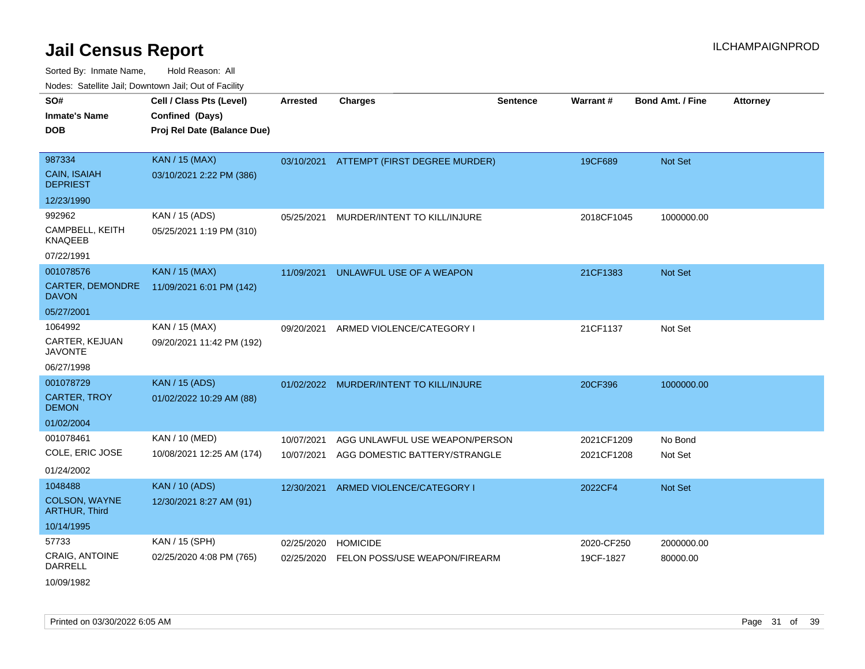Sorted By: Inmate Name, Hold Reason: All Nodes: Satellite Jail; Downtown Jail; Out of Facility

| SO#                                          | Cell / Class Pts (Level)    | <b>Arrested</b> | <b>Charges</b>                           | <b>Sentence</b> | <b>Warrant#</b> | <b>Bond Amt. / Fine</b> | <b>Attorney</b> |
|----------------------------------------------|-----------------------------|-----------------|------------------------------------------|-----------------|-----------------|-------------------------|-----------------|
| <b>Inmate's Name</b>                         | Confined (Days)             |                 |                                          |                 |                 |                         |                 |
| <b>DOB</b>                                   | Proj Rel Date (Balance Due) |                 |                                          |                 |                 |                         |                 |
|                                              |                             |                 |                                          |                 |                 |                         |                 |
| 987334                                       | <b>KAN / 15 (MAX)</b>       |                 | 03/10/2021 ATTEMPT (FIRST DEGREE MURDER) |                 | 19CF689         | Not Set                 |                 |
| <b>CAIN, ISAIAH</b><br><b>DEPRIEST</b>       | 03/10/2021 2:22 PM (386)    |                 |                                          |                 |                 |                         |                 |
| 12/23/1990                                   |                             |                 |                                          |                 |                 |                         |                 |
| 992962                                       | KAN / 15 (ADS)              | 05/25/2021      | MURDER/INTENT TO KILL/INJURE             |                 | 2018CF1045      | 1000000.00              |                 |
| CAMPBELL, KEITH<br><b>KNAQEEB</b>            | 05/25/2021 1:19 PM (310)    |                 |                                          |                 |                 |                         |                 |
| 07/22/1991                                   |                             |                 |                                          |                 |                 |                         |                 |
| 001078576                                    | <b>KAN / 15 (MAX)</b>       | 11/09/2021      | UNLAWFUL USE OF A WEAPON                 |                 | 21CF1383        | <b>Not Set</b>          |                 |
| CARTER, DEMONDRE<br><b>DAVON</b>             | 11/09/2021 6:01 PM (142)    |                 |                                          |                 |                 |                         |                 |
| 05/27/2001                                   |                             |                 |                                          |                 |                 |                         |                 |
| 1064992                                      | KAN / 15 (MAX)              | 09/20/2021      | ARMED VIOLENCE/CATEGORY I                |                 | 21CF1137        | Not Set                 |                 |
| CARTER, KEJUAN<br><b>JAVONTE</b>             | 09/20/2021 11:42 PM (192)   |                 |                                          |                 |                 |                         |                 |
| 06/27/1998                                   |                             |                 |                                          |                 |                 |                         |                 |
| 001078729                                    | <b>KAN / 15 (ADS)</b>       |                 | 01/02/2022 MURDER/INTENT TO KILL/INJURE  |                 | 20CF396         | 1000000.00              |                 |
| <b>CARTER, TROY</b><br><b>DEMON</b>          | 01/02/2022 10:29 AM (88)    |                 |                                          |                 |                 |                         |                 |
| 01/02/2004                                   |                             |                 |                                          |                 |                 |                         |                 |
| 001078461                                    | KAN / 10 (MED)              | 10/07/2021      | AGG UNLAWFUL USE WEAPON/PERSON           |                 | 2021CF1209      | No Bond                 |                 |
| COLE, ERIC JOSE                              | 10/08/2021 12:25 AM (174)   | 10/07/2021      | AGG DOMESTIC BATTERY/STRANGLE            |                 | 2021CF1208      | Not Set                 |                 |
| 01/24/2002                                   |                             |                 |                                          |                 |                 |                         |                 |
| 1048488                                      | <b>KAN / 10 (ADS)</b>       | 12/30/2021      | ARMED VIOLENCE/CATEGORY I                |                 | 2022CF4         | <b>Not Set</b>          |                 |
| <b>COLSON, WAYNE</b><br><b>ARTHUR, Third</b> | 12/30/2021 8:27 AM (91)     |                 |                                          |                 |                 |                         |                 |
| 10/14/1995                                   |                             |                 |                                          |                 |                 |                         |                 |
| 57733                                        | KAN / 15 (SPH)              | 02/25/2020      | <b>HOMICIDE</b>                          |                 | 2020-CF250      | 2000000.00              |                 |
| <b>CRAIG, ANTOINE</b><br>DARRELL             | 02/25/2020 4:08 PM (765)    | 02/25/2020      | FELON POSS/USE WEAPON/FIREARM            |                 | 19CF-1827       | 80000.00                |                 |
|                                              |                             |                 |                                          |                 |                 |                         |                 |

10/09/1982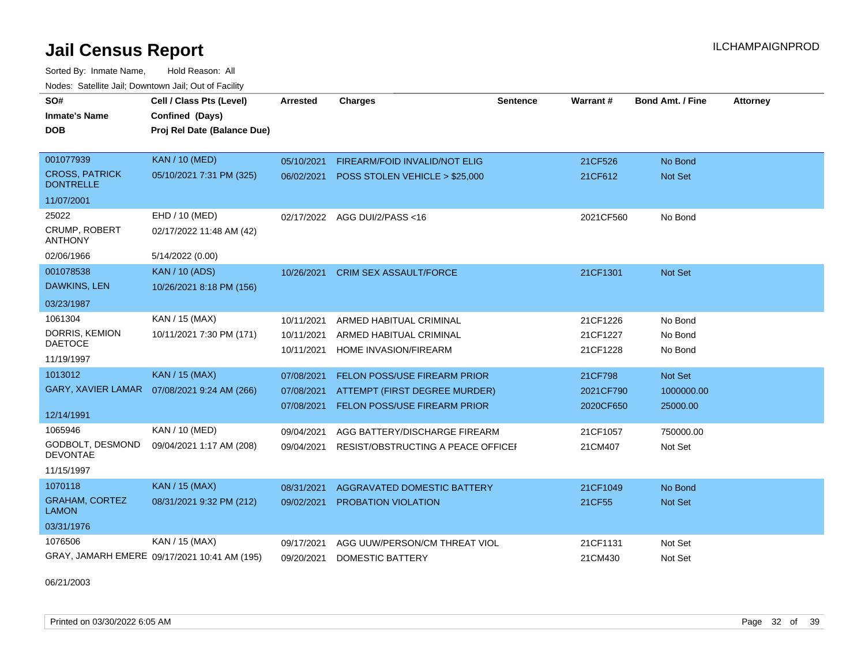Sorted By: Inmate Name, Hold Reason: All Nodes: Satellite Jail; Downtown Jail; Out of Facility

| SO#<br><b>Inmate's Name</b><br><b>DOB</b> | Cell / Class Pts (Level)<br>Confined (Days)<br>Proj Rel Date (Balance Due) | Arrested   | <b>Charges</b>                      | Sentence | <b>Warrant#</b> | <b>Bond Amt. / Fine</b> | <b>Attorney</b> |
|-------------------------------------------|----------------------------------------------------------------------------|------------|-------------------------------------|----------|-----------------|-------------------------|-----------------|
| 001077939                                 | <b>KAN / 10 (MED)</b>                                                      | 05/10/2021 | FIREARM/FOID INVALID/NOT ELIG       |          | 21CF526         | No Bond                 |                 |
| <b>CROSS, PATRICK</b><br><b>DONTRELLE</b> | 05/10/2021 7:31 PM (325)                                                   | 06/02/2021 | POSS STOLEN VEHICLE > \$25,000      |          | 21CF612         | <b>Not Set</b>          |                 |
| 11/07/2001                                |                                                                            |            |                                     |          |                 |                         |                 |
| 25022                                     | EHD / 10 (MED)                                                             | 02/17/2022 | AGG DUI/2/PASS <16                  |          | 2021CF560       | No Bond                 |                 |
| <b>CRUMP, ROBERT</b><br><b>ANTHONY</b>    | 02/17/2022 11:48 AM (42)                                                   |            |                                     |          |                 |                         |                 |
| 02/06/1966                                | 5/14/2022 (0.00)                                                           |            |                                     |          |                 |                         |                 |
| 001078538                                 | <b>KAN / 10 (ADS)</b>                                                      | 10/26/2021 | <b>CRIM SEX ASSAULT/FORCE</b>       |          | 21CF1301        | <b>Not Set</b>          |                 |
| DAWKINS, LEN                              | 10/26/2021 8:18 PM (156)                                                   |            |                                     |          |                 |                         |                 |
| 03/23/1987                                |                                                                            |            |                                     |          |                 |                         |                 |
| 1061304                                   | KAN / 15 (MAX)                                                             | 10/11/2021 | ARMED HABITUAL CRIMINAL             |          | 21CF1226        | No Bond                 |                 |
| DORRIS, KEMION                            | 10/11/2021 7:30 PM (171)                                                   | 10/11/2021 | ARMED HABITUAL CRIMINAL             |          | 21CF1227        | No Bond                 |                 |
| <b>DAETOCE</b><br>11/19/1997              |                                                                            | 10/11/2021 | HOME INVASION/FIREARM               |          | 21CF1228        | No Bond                 |                 |
| 1013012                                   | <b>KAN / 15 (MAX)</b>                                                      | 07/08/2021 | FELON POSS/USE FIREARM PRIOR        |          | 21CF798         | Not Set                 |                 |
|                                           | GARY, XAVIER LAMAR  07/08/2021 9:24 AM (266)                               | 07/08/2021 | ATTEMPT (FIRST DEGREE MURDER)       |          | 2021CF790       | 1000000.00              |                 |
|                                           |                                                                            | 07/08/2021 | <b>FELON POSS/USE FIREARM PRIOR</b> |          | 2020CF650       | 25000.00                |                 |
| 12/14/1991                                |                                                                            |            |                                     |          |                 |                         |                 |
| 1065946                                   | KAN / 10 (MED)                                                             | 09/04/2021 | AGG BATTERY/DISCHARGE FIREARM       |          | 21CF1057        | 750000.00               |                 |
| GODBOLT, DESMOND<br><b>DEVONTAE</b>       | 09/04/2021 1:17 AM (208)                                                   | 09/04/2021 | RESIST/OBSTRUCTING A PEACE OFFICEF  |          | 21CM407         | Not Set                 |                 |
| 11/15/1997                                |                                                                            |            |                                     |          |                 |                         |                 |
| 1070118                                   | <b>KAN / 15 (MAX)</b>                                                      | 08/31/2021 | <b>AGGRAVATED DOMESTIC BATTERY</b>  |          | 21CF1049        | No Bond                 |                 |
| <b>GRAHAM, CORTEZ</b><br><b>LAMON</b>     | 08/31/2021 9:32 PM (212)                                                   | 09/02/2021 | PROBATION VIOLATION                 |          | 21CF55          | Not Set                 |                 |
| 03/31/1976                                |                                                                            |            |                                     |          |                 |                         |                 |
| 1076506                                   | KAN / 15 (MAX)                                                             | 09/17/2021 | AGG UUW/PERSON/CM THREAT VIOL       |          | 21CF1131        | Not Set                 |                 |
|                                           | GRAY, JAMARH EMERE 09/17/2021 10:41 AM (195)                               | 09/20/2021 | <b>DOMESTIC BATTERY</b>             |          | 21CM430         | Not Set                 |                 |

06/21/2003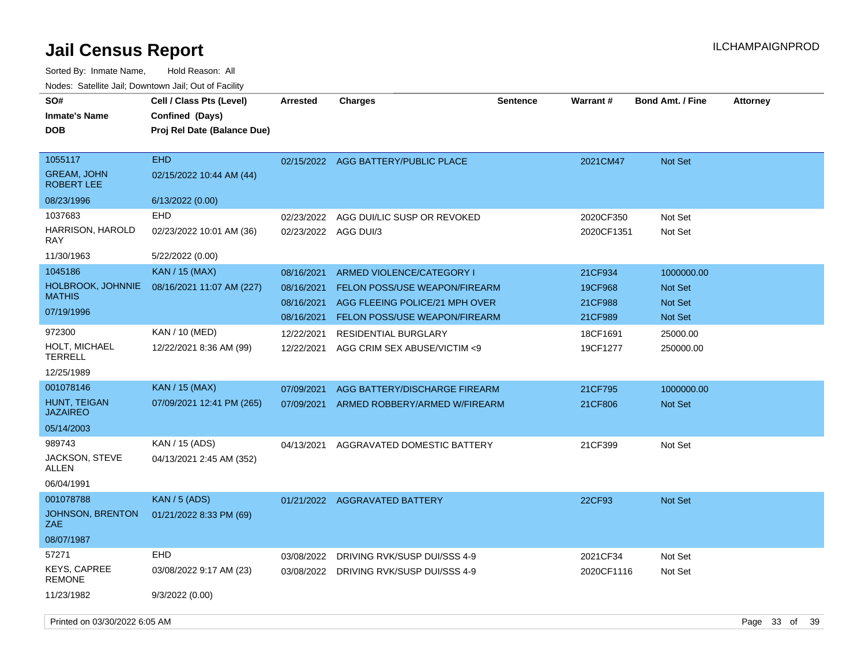| SO#<br><b>Inmate's Name</b><br><b>DOB</b>                   | Cell / Class Pts (Level)<br>Confined (Days)<br>Proj Rel Date (Balance Due) | <b>Arrested</b>                                      | <b>Charges</b>                                                                                                                | <b>Sentence</b> | Warrant#                                 | <b>Bond Amt. / Fine</b>                                   | <b>Attorney</b> |     |
|-------------------------------------------------------------|----------------------------------------------------------------------------|------------------------------------------------------|-------------------------------------------------------------------------------------------------------------------------------|-----------------|------------------------------------------|-----------------------------------------------------------|-----------------|-----|
| 1055117<br><b>GREAM, JOHN</b><br><b>ROBERT LEE</b>          | <b>EHD</b><br>02/15/2022 10:44 AM (44)                                     |                                                      | 02/15/2022 AGG BATTERY/PUBLIC PLACE                                                                                           |                 | 2021CM47                                 | <b>Not Set</b>                                            |                 |     |
| 08/23/1996                                                  | 6/13/2022 (0.00)                                                           |                                                      |                                                                                                                               |                 |                                          |                                                           |                 |     |
| 1037683<br>HARRISON, HAROLD<br><b>RAY</b>                   | <b>EHD</b><br>02/23/2022 10:01 AM (36)                                     | 02/23/2022<br>02/23/2022                             | AGG DUI/LIC SUSP OR REVOKED<br>AGG DUI/3                                                                                      |                 | 2020CF350<br>2020CF1351                  | Not Set<br>Not Set                                        |                 |     |
| 11/30/1963                                                  | 5/22/2022 (0.00)                                                           |                                                      |                                                                                                                               |                 |                                          |                                                           |                 |     |
| 1045186<br>HOLBROOK, JOHNNIE<br><b>MATHIS</b><br>07/19/1996 | <b>KAN / 15 (MAX)</b><br>08/16/2021 11:07 AM (227)                         | 08/16/2021<br>08/16/2021<br>08/16/2021<br>08/16/2021 | ARMED VIOLENCE/CATEGORY I<br>FELON POSS/USE WEAPON/FIREARM<br>AGG FLEEING POLICE/21 MPH OVER<br>FELON POSS/USE WEAPON/FIREARM |                 | 21CF934<br>19CF968<br>21CF988<br>21CF989 | 1000000.00<br><b>Not Set</b><br><b>Not Set</b><br>Not Set |                 |     |
| 972300<br>HOLT, MICHAEL<br><b>TERRELL</b><br>12/25/1989     | <b>KAN / 10 (MED)</b><br>12/22/2021 8:36 AM (99)                           | 12/22/2021<br>12/22/2021                             | <b>RESIDENTIAL BURGLARY</b><br>AGG CRIM SEX ABUSE/VICTIM <9                                                                   |                 | 18CF1691<br>19CF1277                     | 25000.00<br>250000.00                                     |                 |     |
| 001078146<br>HUNT, TEIGAN<br><b>JAZAIREO</b><br>05/14/2003  | <b>KAN / 15 (MAX)</b><br>07/09/2021 12:41 PM (265)                         | 07/09/2021<br>07/09/2021                             | AGG BATTERY/DISCHARGE FIREARM<br>ARMED ROBBERY/ARMED W/FIREARM                                                                |                 | 21CF795<br>21CF806                       | 1000000.00<br><b>Not Set</b>                              |                 |     |
| 989743<br><b>JACKSON, STEVE</b><br>ALLEN<br>06/04/1991      | KAN / 15 (ADS)<br>04/13/2021 2:45 AM (352)                                 | 04/13/2021                                           | AGGRAVATED DOMESTIC BATTERY                                                                                                   |                 | 21CF399                                  | Not Set                                                   |                 |     |
| 001078788<br><b>JOHNSON, BRENTON</b><br>ZAE                 | <b>KAN / 5 (ADS)</b><br>01/21/2022 8:33 PM (69)                            |                                                      | 01/21/2022 AGGRAVATED BATTERY                                                                                                 |                 | 22CF93                                   | Not Set                                                   |                 |     |
| 08/07/1987                                                  |                                                                            |                                                      |                                                                                                                               |                 |                                          |                                                           |                 |     |
| 57271<br><b>KEYS, CAPREE</b><br><b>REMONE</b>               | <b>EHD</b><br>03/08/2022 9:17 AM (23)                                      | 03/08/2022                                           | DRIVING RVK/SUSP DUI/SSS 4-9<br>03/08/2022 DRIVING RVK/SUSP DUI/SSS 4-9                                                       |                 | 2021CF34<br>2020CF1116                   | Not Set<br>Not Set                                        |                 |     |
| 11/23/1982                                                  | 9/3/2022 (0.00)                                                            |                                                      |                                                                                                                               |                 |                                          |                                                           |                 |     |
| Printed on 03/30/2022 6:05 AM                               |                                                                            |                                                      |                                                                                                                               |                 |                                          |                                                           | Page 33 of      | -39 |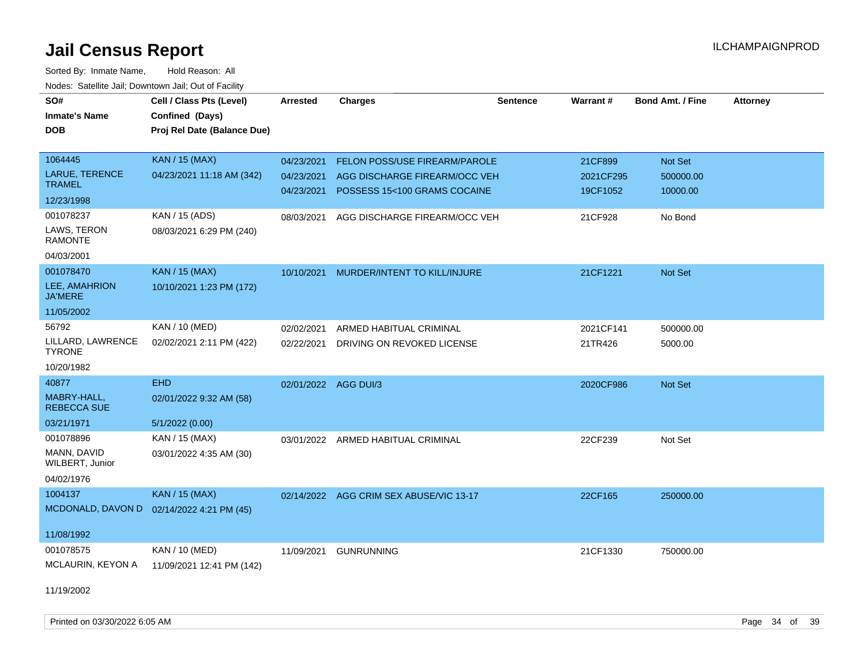Sorted By: Inmate Name, Hold Reason: All Nodes: Satellite Jail; Downtown Jail; Out of Facility

| SO#                                       | Cell / Class Pts (Level)    | <b>Arrested</b>      | <b>Charges</b>                          | <b>Sentence</b> | Warrant#  | <b>Bond Amt. / Fine</b> | <b>Attorney</b> |
|-------------------------------------------|-----------------------------|----------------------|-----------------------------------------|-----------------|-----------|-------------------------|-----------------|
| <b>Inmate's Name</b>                      | Confined (Days)             |                      |                                         |                 |           |                         |                 |
| <b>DOB</b>                                | Proj Rel Date (Balance Due) |                      |                                         |                 |           |                         |                 |
|                                           |                             |                      |                                         |                 |           |                         |                 |
| 1064445                                   | <b>KAN / 15 (MAX)</b>       | 04/23/2021           | FELON POSS/USE FIREARM/PAROLE           |                 | 21CF899   | Not Set                 |                 |
| LARUE, TERENCE<br><b>TRAMEL</b>           | 04/23/2021 11:18 AM (342)   | 04/23/2021           | AGG DISCHARGE FIREARM/OCC VEH           |                 | 2021CF295 | 500000.00               |                 |
| 12/23/1998                                |                             | 04/23/2021           | POSSESS 15<100 GRAMS COCAINE            |                 | 19CF1052  | 10000.00                |                 |
| 001078237                                 | KAN / 15 (ADS)              | 08/03/2021           | AGG DISCHARGE FIREARM/OCC VEH           |                 | 21CF928   | No Bond                 |                 |
| LAWS, TERON<br><b>RAMONTE</b>             | 08/03/2021 6:29 PM (240)    |                      |                                         |                 |           |                         |                 |
| 04/03/2001                                |                             |                      |                                         |                 |           |                         |                 |
| 001078470                                 | <b>KAN / 15 (MAX)</b>       | 10/10/2021           | MURDER/INTENT TO KILL/INJURE            |                 | 21CF1221  | Not Set                 |                 |
| LEE, AMAHRION<br><b>JA'MERE</b>           | 10/10/2021 1:23 PM (172)    |                      |                                         |                 |           |                         |                 |
| 11/05/2002                                |                             |                      |                                         |                 |           |                         |                 |
| 56792                                     | KAN / 10 (MED)              | 02/02/2021           | ARMED HABITUAL CRIMINAL                 |                 | 2021CF141 | 500000.00               |                 |
| LILLARD, LAWRENCE<br><b>TYRONE</b>        | 02/02/2021 2:11 PM (422)    | 02/22/2021           | DRIVING ON REVOKED LICENSE              |                 | 21TR426   | 5000.00                 |                 |
| 10/20/1982                                |                             |                      |                                         |                 |           |                         |                 |
| 40877                                     | <b>EHD</b>                  | 02/01/2022 AGG DUI/3 |                                         |                 | 2020CF986 | Not Set                 |                 |
| MABRY-HALL,<br><b>REBECCA SUE</b>         | 02/01/2022 9:32 AM (58)     |                      |                                         |                 |           |                         |                 |
| 03/21/1971                                | 5/1/2022 (0.00)             |                      |                                         |                 |           |                         |                 |
| 001078896                                 | KAN / 15 (MAX)              |                      | 03/01/2022 ARMED HABITUAL CRIMINAL      |                 | 22CF239   | Not Set                 |                 |
| MANN, DAVID<br>WILBERT, Junior            | 03/01/2022 4:35 AM (30)     |                      |                                         |                 |           |                         |                 |
| 04/02/1976                                |                             |                      |                                         |                 |           |                         |                 |
| 1004137                                   | <b>KAN / 15 (MAX)</b>       |                      | 02/14/2022 AGG CRIM SEX ABUSE/VIC 13-17 |                 | 22CF165   | 250000.00               |                 |
| MCDONALD, DAVON D 02/14/2022 4:21 PM (45) |                             |                      |                                         |                 |           |                         |                 |
| 11/08/1992                                |                             |                      |                                         |                 |           |                         |                 |
| 001078575                                 | <b>KAN / 10 (MED)</b>       | 11/09/2021           | <b>GUNRUNNING</b>                       |                 | 21CF1330  | 750000.00               |                 |
| MCLAURIN, KEYON A                         | 11/09/2021 12:41 PM (142)   |                      |                                         |                 |           |                         |                 |

11/19/2002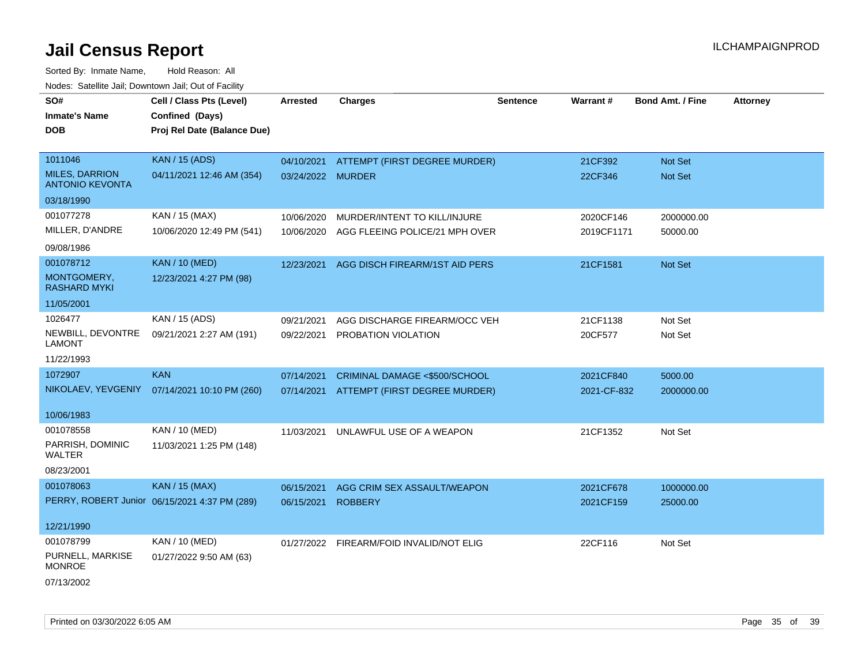| SO#                                             | Cell / Class Pts (Level)                      | <b>Arrested</b>   | <b>Charges</b>                           | <b>Sentence</b> | <b>Warrant#</b> | <b>Bond Amt. / Fine</b> | <b>Attorney</b> |
|-------------------------------------------------|-----------------------------------------------|-------------------|------------------------------------------|-----------------|-----------------|-------------------------|-----------------|
| <b>Inmate's Name</b>                            | Confined (Days)                               |                   |                                          |                 |                 |                         |                 |
| <b>DOB</b>                                      | Proj Rel Date (Balance Due)                   |                   |                                          |                 |                 |                         |                 |
|                                                 |                                               |                   |                                          |                 |                 |                         |                 |
| 1011046                                         | <b>KAN / 15 (ADS)</b>                         | 04/10/2021        | ATTEMPT (FIRST DEGREE MURDER)            |                 | 21CF392         | Not Set                 |                 |
| <b>MILES, DARRION</b><br><b>ANTONIO KEVONTA</b> | 04/11/2021 12:46 AM (354)                     | 03/24/2022 MURDER |                                          |                 | 22CF346         | Not Set                 |                 |
| 03/18/1990                                      |                                               |                   |                                          |                 |                 |                         |                 |
| 001077278                                       | KAN / 15 (MAX)                                | 10/06/2020        | MURDER/INTENT TO KILL/INJURE             |                 | 2020CF146       | 2000000.00              |                 |
| MILLER, D'ANDRE                                 | 10/06/2020 12:49 PM (541)                     | 10/06/2020        | AGG FLEEING POLICE/21 MPH OVER           |                 | 2019CF1171      | 50000.00                |                 |
| 09/08/1986                                      |                                               |                   |                                          |                 |                 |                         |                 |
| 001078712                                       | <b>KAN / 10 (MED)</b>                         | 12/23/2021        | AGG DISCH FIREARM/1ST AID PERS           |                 | 21CF1581        | Not Set                 |                 |
| MONTGOMERY,<br><b>RASHARD MYKI</b>              | 12/23/2021 4:27 PM (98)                       |                   |                                          |                 |                 |                         |                 |
| 11/05/2001                                      |                                               |                   |                                          |                 |                 |                         |                 |
| 1026477                                         | KAN / 15 (ADS)                                | 09/21/2021        | AGG DISCHARGE FIREARM/OCC VEH            |                 | 21CF1138        | Not Set                 |                 |
| NEWBILL, DEVONTRE<br><b>LAMONT</b>              | 09/21/2021 2:27 AM (191)                      | 09/22/2021        | PROBATION VIOLATION                      |                 | 20CF577         | Not Set                 |                 |
| 11/22/1993                                      |                                               |                   |                                          |                 |                 |                         |                 |
| 1072907                                         | <b>KAN</b>                                    | 07/14/2021        | CRIMINAL DAMAGE <\$500/SCHOOL            |                 | 2021CF840       | 5000.00                 |                 |
| NIKOLAEV, YEVGENIY                              | 07/14/2021 10:10 PM (260)                     | 07/14/2021        | ATTEMPT (FIRST DEGREE MURDER)            |                 | 2021-CF-832     | 2000000.00              |                 |
|                                                 |                                               |                   |                                          |                 |                 |                         |                 |
| 10/06/1983                                      |                                               |                   |                                          |                 |                 |                         |                 |
| 001078558                                       | KAN / 10 (MED)                                | 11/03/2021        | UNLAWFUL USE OF A WEAPON                 |                 | 21CF1352        | Not Set                 |                 |
| PARRISH, DOMINIC<br><b>WALTER</b>               | 11/03/2021 1:25 PM (148)                      |                   |                                          |                 |                 |                         |                 |
| 08/23/2001                                      |                                               |                   |                                          |                 |                 |                         |                 |
| 001078063                                       | <b>KAN / 15 (MAX)</b>                         | 06/15/2021        | AGG CRIM SEX ASSAULT/WEAPON              |                 | 2021CF678       | 1000000.00              |                 |
|                                                 | PERRY, ROBERT Junior 06/15/2021 4:37 PM (289) | 06/15/2021        | <b>ROBBERY</b>                           |                 | 2021CF159       | 25000.00                |                 |
| 12/21/1990                                      |                                               |                   |                                          |                 |                 |                         |                 |
| 001078799                                       | KAN / 10 (MED)                                |                   | 01/27/2022 FIREARM/FOID INVALID/NOT ELIG |                 | 22CF116         | Not Set                 |                 |
| PURNELL, MARKISE<br><b>MONROE</b>               | 01/27/2022 9:50 AM (63)                       |                   |                                          |                 |                 |                         |                 |
| 07/13/2002                                      |                                               |                   |                                          |                 |                 |                         |                 |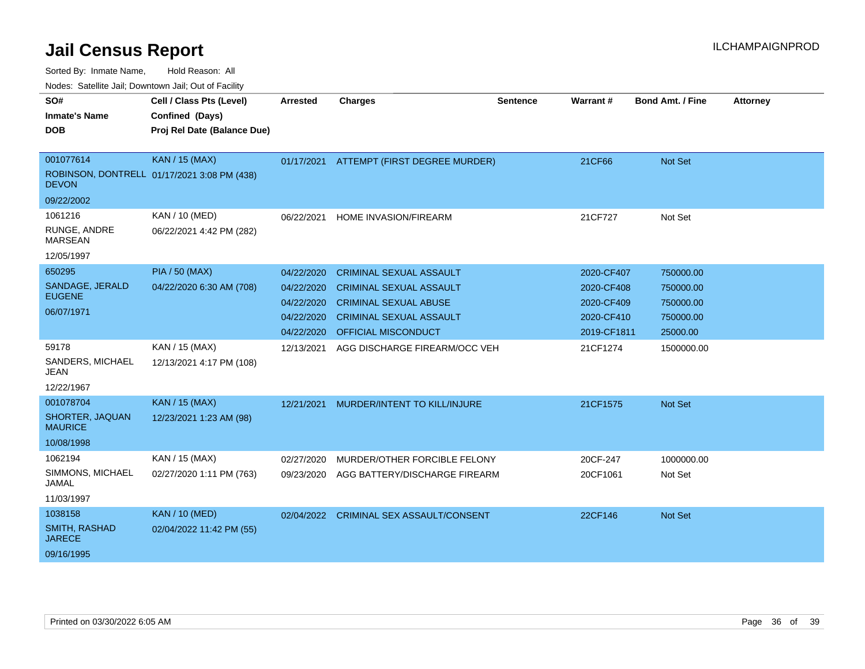| SO#                               | Cell / Class Pts (Level)                    | <b>Arrested</b> | <b>Charges</b>                      | Sentence | Warrant#    | <b>Bond Amt. / Fine</b> | <b>Attorney</b> |
|-----------------------------------|---------------------------------------------|-----------------|-------------------------------------|----------|-------------|-------------------------|-----------------|
| <b>Inmate's Name</b>              | Confined (Days)                             |                 |                                     |          |             |                         |                 |
| <b>DOB</b>                        | Proj Rel Date (Balance Due)                 |                 |                                     |          |             |                         |                 |
| 001077614                         | <b>KAN / 15 (MAX)</b>                       | 01/17/2021      | ATTEMPT (FIRST DEGREE MURDER)       |          | 21CF66      | <b>Not Set</b>          |                 |
| <b>DEVON</b>                      | ROBINSON, DONTRELL 01/17/2021 3:08 PM (438) |                 |                                     |          |             |                         |                 |
| 09/22/2002                        |                                             |                 |                                     |          |             |                         |                 |
| 1061216                           | KAN / 10 (MED)                              | 06/22/2021      | HOME INVASION/FIREARM               |          | 21CF727     | Not Set                 |                 |
| RUNGE, ANDRE<br><b>MARSEAN</b>    | 06/22/2021 4:42 PM (282)                    |                 |                                     |          |             |                         |                 |
| 12/05/1997                        |                                             |                 |                                     |          |             |                         |                 |
| 650295                            | <b>PIA / 50 (MAX)</b>                       | 04/22/2020      | <b>CRIMINAL SEXUAL ASSAULT</b>      |          | 2020-CF407  | 750000.00               |                 |
| SANDAGE, JERALD<br><b>EUGENE</b>  | 04/22/2020 6:30 AM (708)                    | 04/22/2020      | <b>CRIMINAL SEXUAL ASSAULT</b>      |          | 2020-CF408  | 750000.00               |                 |
|                                   |                                             | 04/22/2020      | <b>CRIMINAL SEXUAL ABUSE</b>        |          | 2020-CF409  | 750000.00               |                 |
| 06/07/1971                        |                                             | 04/22/2020      | <b>CRIMINAL SEXUAL ASSAULT</b>      |          | 2020-CF410  | 750000.00               |                 |
|                                   |                                             | 04/22/2020      | <b>OFFICIAL MISCONDUCT</b>          |          | 2019-CF1811 | 25000.00                |                 |
| 59178                             | KAN / 15 (MAX)                              | 12/13/2021      | AGG DISCHARGE FIREARM/OCC VEH       |          | 21CF1274    | 1500000.00              |                 |
| SANDERS, MICHAEL<br><b>JEAN</b>   | 12/13/2021 4:17 PM (108)                    |                 |                                     |          |             |                         |                 |
| 12/22/1967                        |                                             |                 |                                     |          |             |                         |                 |
| 001078704                         | <b>KAN / 15 (MAX)</b>                       | 12/21/2021      | MURDER/INTENT TO KILL/INJURE        |          | 21CF1575    | <b>Not Set</b>          |                 |
| SHORTER, JAQUAN<br><b>MAURICE</b> | 12/23/2021 1:23 AM (98)                     |                 |                                     |          |             |                         |                 |
| 10/08/1998                        |                                             |                 |                                     |          |             |                         |                 |
| 1062194                           | KAN / 15 (MAX)                              | 02/27/2020      | MURDER/OTHER FORCIBLE FELONY        |          | 20CF-247    | 1000000.00              |                 |
| SIMMONS, MICHAEL<br>JAMAL         | 02/27/2020 1:11 PM (763)                    | 09/23/2020      | AGG BATTERY/DISCHARGE FIREARM       |          | 20CF1061    | Not Set                 |                 |
| 11/03/1997                        |                                             |                 |                                     |          |             |                         |                 |
| 1038158                           | <b>KAN / 10 (MED)</b>                       | 02/04/2022      | <b>CRIMINAL SEX ASSAULT/CONSENT</b> |          | 22CF146     | <b>Not Set</b>          |                 |
| SMITH, RASHAD<br><b>JARECE</b>    | 02/04/2022 11:42 PM (55)                    |                 |                                     |          |             |                         |                 |
| 09/16/1995                        |                                             |                 |                                     |          |             |                         |                 |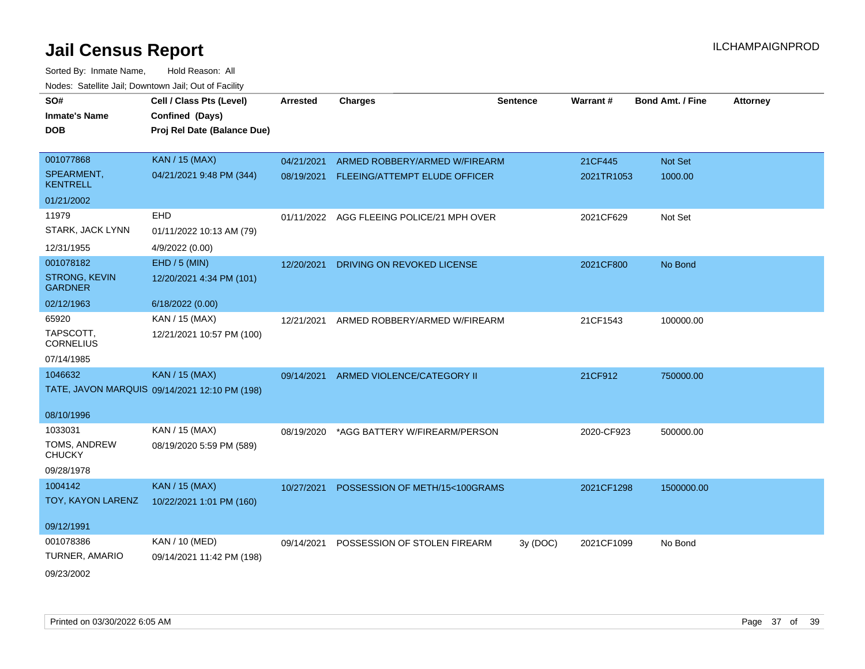| SO#<br><b>Inmate's Name</b>            | Cell / Class Pts (Level)<br>Confined (Days)   | <b>Arrested</b> | <b>Charges</b>                            | <b>Sentence</b> | Warrant#   | <b>Bond Amt. / Fine</b> | <b>Attorney</b> |
|----------------------------------------|-----------------------------------------------|-----------------|-------------------------------------------|-----------------|------------|-------------------------|-----------------|
| <b>DOB</b>                             | Proj Rel Date (Balance Due)                   |                 |                                           |                 |            |                         |                 |
| 001077868                              | <b>KAN / 15 (MAX)</b>                         | 04/21/2021      | ARMED ROBBERY/ARMED W/FIREARM             |                 | 21CF445    | Not Set                 |                 |
| SPEARMENT,<br><b>KENTRELL</b>          | 04/21/2021 9:48 PM (344)                      |                 | 08/19/2021 FLEEING/ATTEMPT ELUDE OFFICER  |                 | 2021TR1053 | 1000.00                 |                 |
| 01/21/2002                             |                                               |                 |                                           |                 |            |                         |                 |
| 11979                                  | <b>EHD</b>                                    |                 | 01/11/2022 AGG FLEEING POLICE/21 MPH OVER |                 | 2021CF629  | Not Set                 |                 |
| STARK, JACK LYNN                       | 01/11/2022 10:13 AM (79)                      |                 |                                           |                 |            |                         |                 |
| 12/31/1955                             | 4/9/2022 (0.00)                               |                 |                                           |                 |            |                         |                 |
| 001078182                              | EHD / 5 (MIN)                                 | 12/20/2021      | DRIVING ON REVOKED LICENSE                |                 | 2021CF800  | No Bond                 |                 |
| <b>STRONG, KEVIN</b><br><b>GARDNER</b> | 12/20/2021 4:34 PM (101)                      |                 |                                           |                 |            |                         |                 |
| 02/12/1963                             | 6/18/2022 (0.00)                              |                 |                                           |                 |            |                         |                 |
| 65920                                  | KAN / 15 (MAX)                                | 12/21/2021      | ARMED ROBBERY/ARMED W/FIREARM             |                 | 21CF1543   | 100000.00               |                 |
| TAPSCOTT.<br><b>CORNELIUS</b>          | 12/21/2021 10:57 PM (100)                     |                 |                                           |                 |            |                         |                 |
| 07/14/1985                             |                                               |                 |                                           |                 |            |                         |                 |
| 1046632                                | <b>KAN / 15 (MAX)</b>                         |                 | 09/14/2021 ARMED VIOLENCE/CATEGORY II     |                 | 21CF912    | 750000.00               |                 |
|                                        | TATE, JAVON MARQUIS 09/14/2021 12:10 PM (198) |                 |                                           |                 |            |                         |                 |
| 08/10/1996                             |                                               |                 |                                           |                 |            |                         |                 |
| 1033031                                | KAN / 15 (MAX)                                | 08/19/2020      | *AGG BATTERY W/FIREARM/PERSON             |                 | 2020-CF923 | 500000.00               |                 |
| TOMS, ANDREW<br><b>CHUCKY</b>          | 08/19/2020 5:59 PM (589)                      |                 |                                           |                 |            |                         |                 |
| 09/28/1978                             |                                               |                 |                                           |                 |            |                         |                 |
| 1004142                                | <b>KAN / 15 (MAX)</b>                         | 10/27/2021      | POSSESSION OF METH/15<100GRAMS            |                 | 2021CF1298 | 1500000.00              |                 |
| TOY, KAYON LARENZ                      | 10/22/2021 1:01 PM (160)                      |                 |                                           |                 |            |                         |                 |
| 09/12/1991                             |                                               |                 |                                           |                 |            |                         |                 |
| 001078386                              | KAN / 10 (MED)                                | 09/14/2021      | POSSESSION OF STOLEN FIREARM              | 3y (DOC)        | 2021CF1099 | No Bond                 |                 |
| TURNER, AMARIO                         | 09/14/2021 11:42 PM (198)                     |                 |                                           |                 |            |                         |                 |
| 09/23/2002                             |                                               |                 |                                           |                 |            |                         |                 |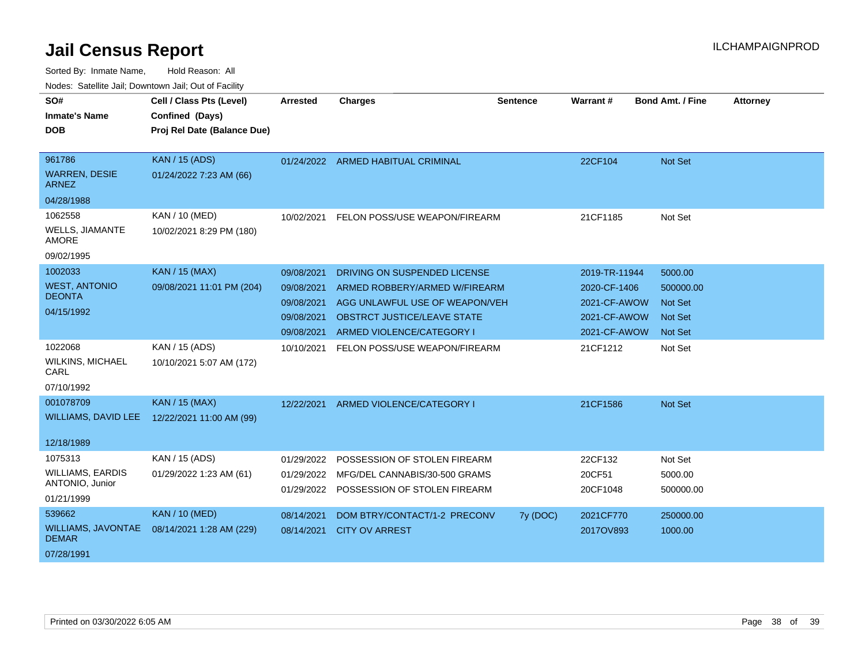| SO#<br><b>Inmate's Name</b><br><b>DOB</b>                           | Cell / Class Pts (Level)<br>Confined (Days)<br>Proj Rel Date (Balance Due) | <b>Arrested</b>                                                    | <b>Charges</b>                                                                                                                                                     | <b>Sentence</b> | <b>Warrant#</b>                                                               | <b>Bond Amt. / Fine</b>                                                    | <b>Attorney</b> |
|---------------------------------------------------------------------|----------------------------------------------------------------------------|--------------------------------------------------------------------|--------------------------------------------------------------------------------------------------------------------------------------------------------------------|-----------------|-------------------------------------------------------------------------------|----------------------------------------------------------------------------|-----------------|
| 961786<br><b>WARREN, DESIE</b><br><b>ARNEZ</b><br>04/28/1988        | <b>KAN / 15 (ADS)</b><br>01/24/2022 7:23 AM (66)                           |                                                                    | 01/24/2022 ARMED HABITUAL CRIMINAL                                                                                                                                 |                 | 22CF104                                                                       | Not Set                                                                    |                 |
| 1062558<br><b>WELLS, JIAMANTE</b><br>AMORE<br>09/02/1995            | KAN / 10 (MED)<br>10/02/2021 8:29 PM (180)                                 | 10/02/2021                                                         | FELON POSS/USE WEAPON/FIREARM                                                                                                                                      |                 | 21CF1185                                                                      | Not Set                                                                    |                 |
| 1002033<br><b>WEST, ANTONIO</b><br><b>DEONTA</b><br>04/15/1992      | <b>KAN / 15 (MAX)</b><br>09/08/2021 11:01 PM (204)                         | 09/08/2021<br>09/08/2021<br>09/08/2021<br>09/08/2021<br>09/08/2021 | DRIVING ON SUSPENDED LICENSE<br>ARMED ROBBERY/ARMED W/FIREARM<br>AGG UNLAWFUL USE OF WEAPON/VEH<br><b>OBSTRCT JUSTICE/LEAVE STATE</b><br>ARMED VIOLENCE/CATEGORY I |                 | 2019-TR-11944<br>2020-CF-1406<br>2021-CF-AWOW<br>2021-CF-AWOW<br>2021-CF-AWOW | 5000.00<br>500000.00<br><b>Not Set</b><br><b>Not Set</b><br><b>Not Set</b> |                 |
| 1022068<br><b>WILKINS, MICHAEL</b><br>CARL<br>07/10/1992            | KAN / 15 (ADS)<br>10/10/2021 5:07 AM (172)                                 | 10/10/2021                                                         | FELON POSS/USE WEAPON/FIREARM                                                                                                                                      |                 | 21CF1212                                                                      | Not Set                                                                    |                 |
| 001078709<br>WILLIAMS, DAVID LEE<br>12/18/1989                      | <b>KAN / 15 (MAX)</b><br>12/22/2021 11:00 AM (99)                          | 12/22/2021                                                         | ARMED VIOLENCE/CATEGORY I                                                                                                                                          |                 | 21CF1586                                                                      | Not Set                                                                    |                 |
| 1075313<br><b>WILLIAMS, EARDIS</b><br>ANTONIO, Junior<br>01/21/1999 | KAN / 15 (ADS)<br>01/29/2022 1:23 AM (61)                                  | 01/29/2022<br>01/29/2022<br>01/29/2022                             | POSSESSION OF STOLEN FIREARM<br>MFG/DEL CANNABIS/30-500 GRAMS<br>POSSESSION OF STOLEN FIREARM                                                                      |                 | 22CF132<br>20CF51<br>20CF1048                                                 | Not Set<br>5000.00<br>500000.00                                            |                 |
| 539662<br>WILLIAMS, JAVONTAE<br><b>DEMAR</b><br>07/28/1991          | <b>KAN / 10 (MED)</b><br>08/14/2021 1:28 AM (229)                          | 08/14/2021<br>08/14/2021                                           | DOM BTRY/CONTACT/1-2 PRECONV<br><b>CITY OV ARREST</b>                                                                                                              | 7y (DOC)        | 2021CF770<br>2017OV893                                                        | 250000.00<br>1000.00                                                       |                 |